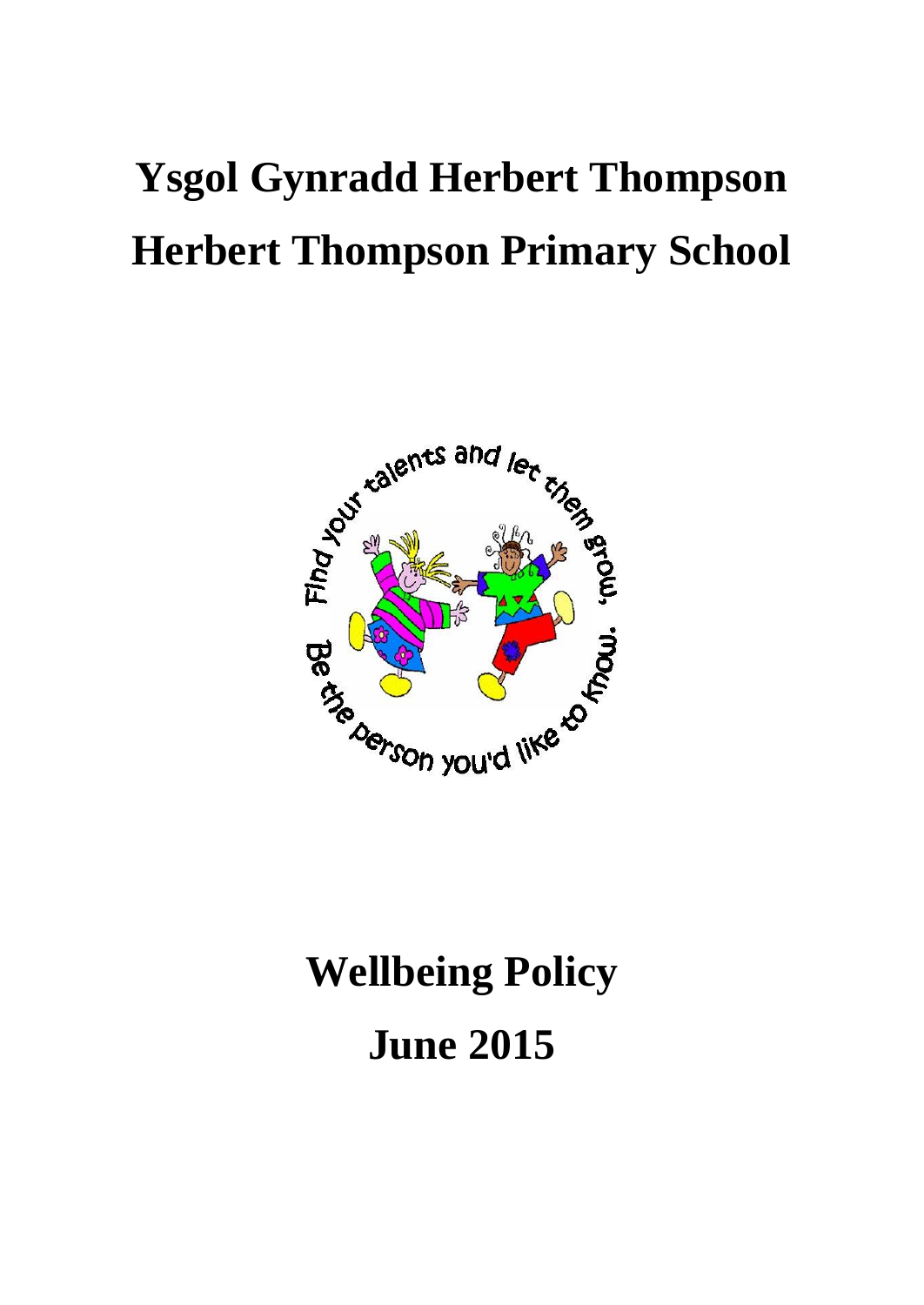# **Ysgol Gynradd Herbert Thompson Herbert Thompson Primary School**



# **Wellbeing Policy June 2015**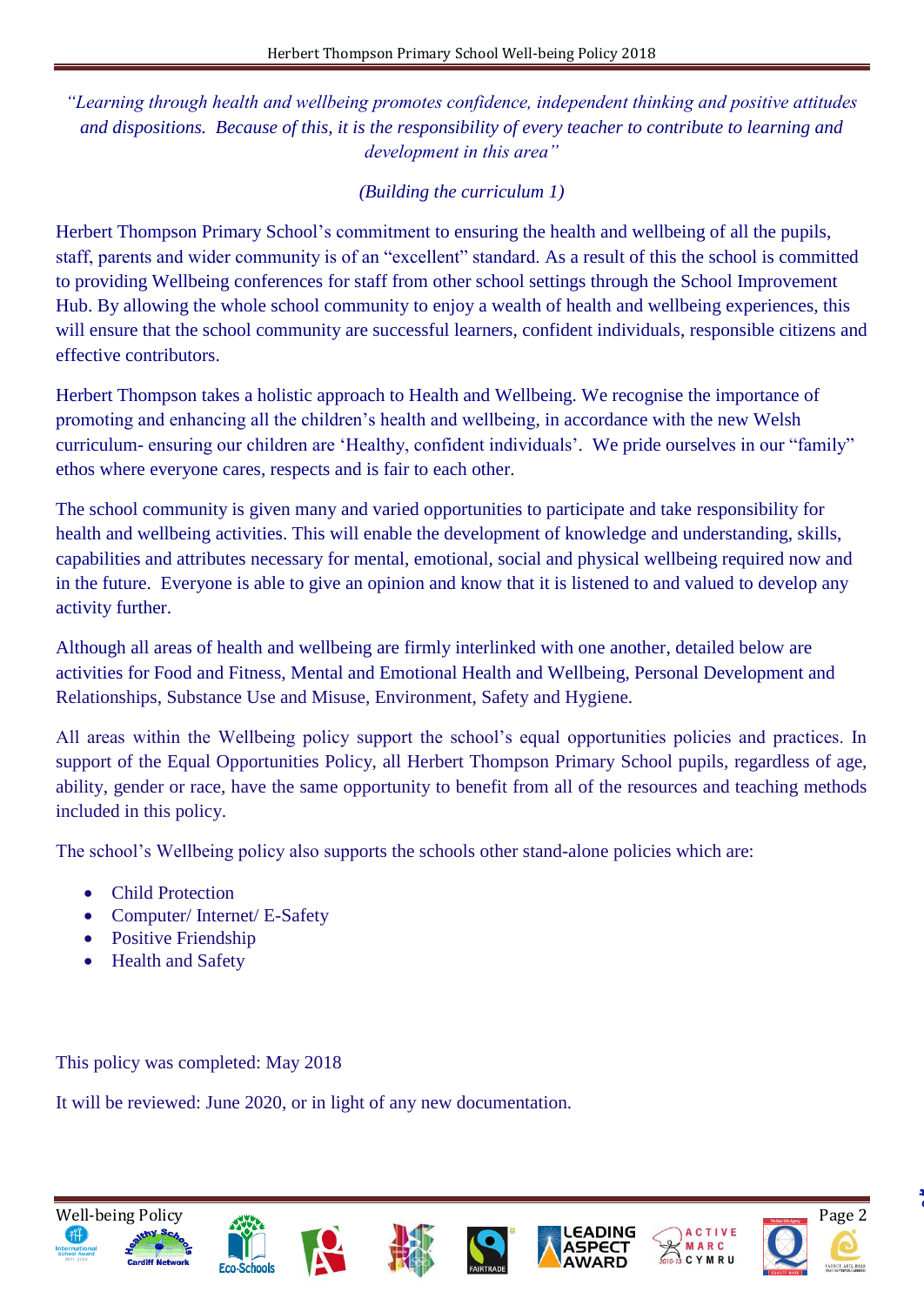*"Learning through health and wellbeing promotes confidence, independent thinking and positive attitudes and dispositions. Because of this, it is the responsibility of every teacher to contribute to learning and development in this area"* 

## *(Building the curriculum 1)*

Herbert Thompson Primary School's commitment to ensuring the health and wellbeing of all the pupils, staff, parents and wider community is of an "excellent" standard. As a result of this the school is committed to providing Wellbeing conferences for staff from other school settings through the School Improvement Hub. By allowing the whole school community to enjoy a wealth of health and wellbeing experiences, this will ensure that the school community are successful learners, confident individuals, responsible citizens and effective contributors.

Herbert Thompson takes a holistic approach to Health and Wellbeing. We recognise the importance of promoting and enhancing all the children's health and wellbeing, in accordance with the new Welsh curriculum- ensuring our children are 'Healthy, confident individuals'. We pride ourselves in our "family" ethos where everyone cares, respects and is fair to each other.

The school community is given many and varied opportunities to participate and take responsibility for health and wellbeing activities. This will enable the development of knowledge and understanding, skills, capabilities and attributes necessary for mental, emotional, social and physical wellbeing required now and in the future. Everyone is able to give an opinion and know that it is listened to and valued to develop any activity further.

Although all areas of health and wellbeing are firmly interlinked with one another, detailed below are activities for Food and Fitness, Mental and Emotional Health and Wellbeing, Personal Development and Relationships, Substance Use and Misuse, Environment, Safety and Hygiene.

All areas within the Wellbeing policy support the school's equal opportunities policies and practices. In support of the Equal Opportunities Policy, all Herbert Thompson Primary School pupils, regardless of age, ability, gender or race, have the same opportunity to benefit from all of the resources and teaching methods included in this policy.

The school's Wellbeing policy also supports the schools other stand-alone policies which are:

- Child Protection
- Computer/ Internet/ E-Safety
- Positive Friendship
- Health and Safety

This policy was completed: May 2018

It will be reviewed: June 2020, or in light of any new documentation.

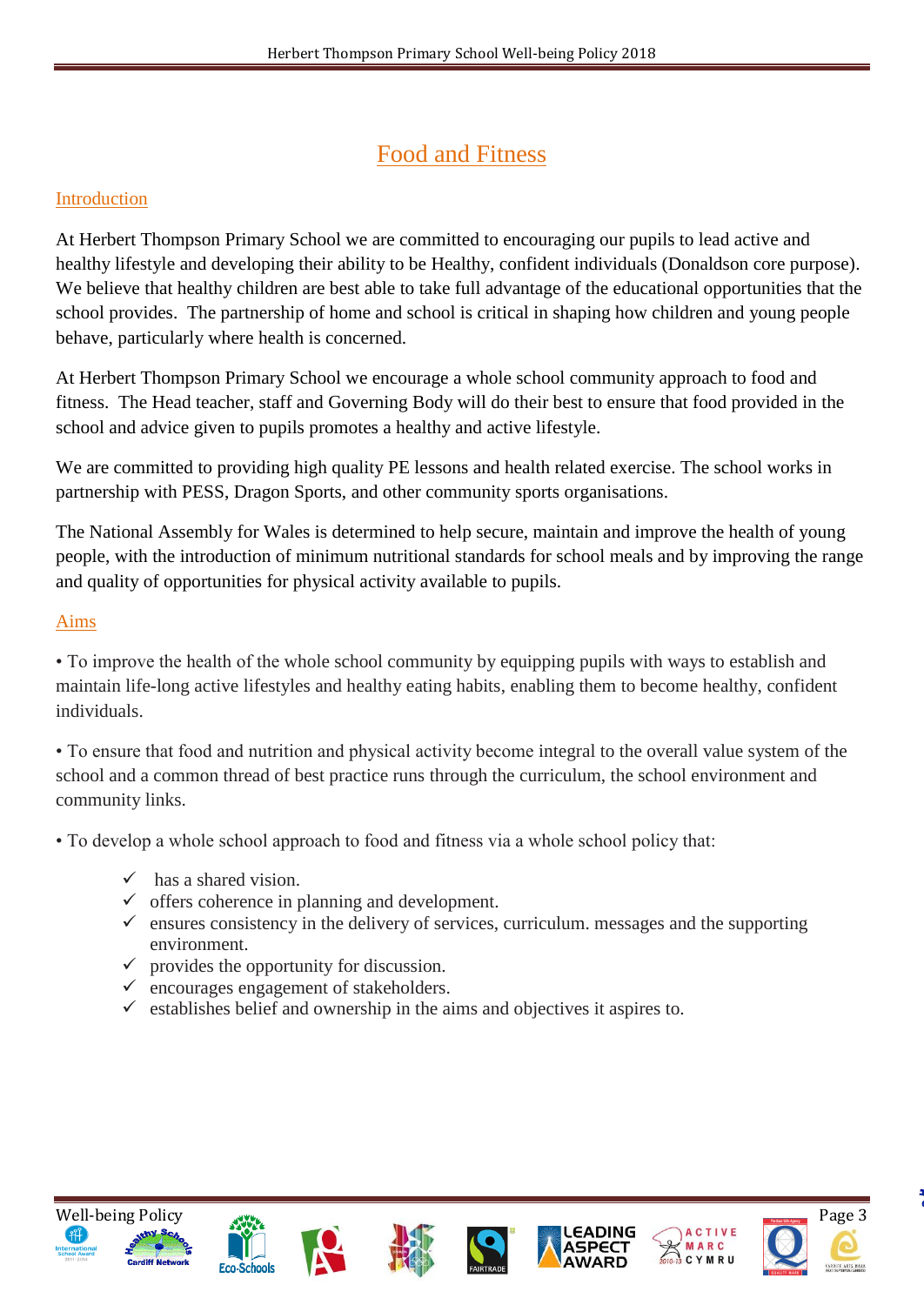# Food and Fitness

### Introduction

At Herbert Thompson Primary School we are committed to encouraging our pupils to lead active and healthy lifestyle and developing their ability to be Healthy, confident individuals (Donaldson core purpose). We believe that healthy children are best able to take full advantage of the educational opportunities that the school provides. The partnership of home and school is critical in shaping how children and young people behave, particularly where health is concerned.

At Herbert Thompson Primary School we encourage a whole school community approach to food and fitness. The Head teacher, staff and Governing Body will do their best to ensure that food provided in the school and advice given to pupils promotes a healthy and active lifestyle.

We are committed to providing high quality PE lessons and health related exercise. The school works in partnership with PESS, Dragon Sports, and other community sports organisations.

The National Assembly for Wales is determined to help secure, maintain and improve the health of young people, with the introduction of minimum nutritional standards for school meals and by improving the range and quality of opportunities for physical activity available to pupils.

#### Aims

• To improve the health of the whole school community by equipping pupils with ways to establish and maintain life-long active lifestyles and healthy eating habits, enabling them to become healthy, confident individuals.

• To ensure that food and nutrition and physical activity become integral to the overall value system of the school and a common thread of best practice runs through the curriculum, the school environment and community links.

• To develop a whole school approach to food and fitness via a whole school policy that:

- $\checkmark$  has a shared vision.
- $\checkmark$  offers coherence in planning and development.
- $\checkmark$  ensures consistency in the delivery of services, curriculum. messages and the supporting environment.
- $\checkmark$  provides the opportunity for discussion.
- $\checkmark$  encourages engagement of stakeholders.
- $\checkmark$  establishes belief and ownership in the aims and objectives it aspires to.













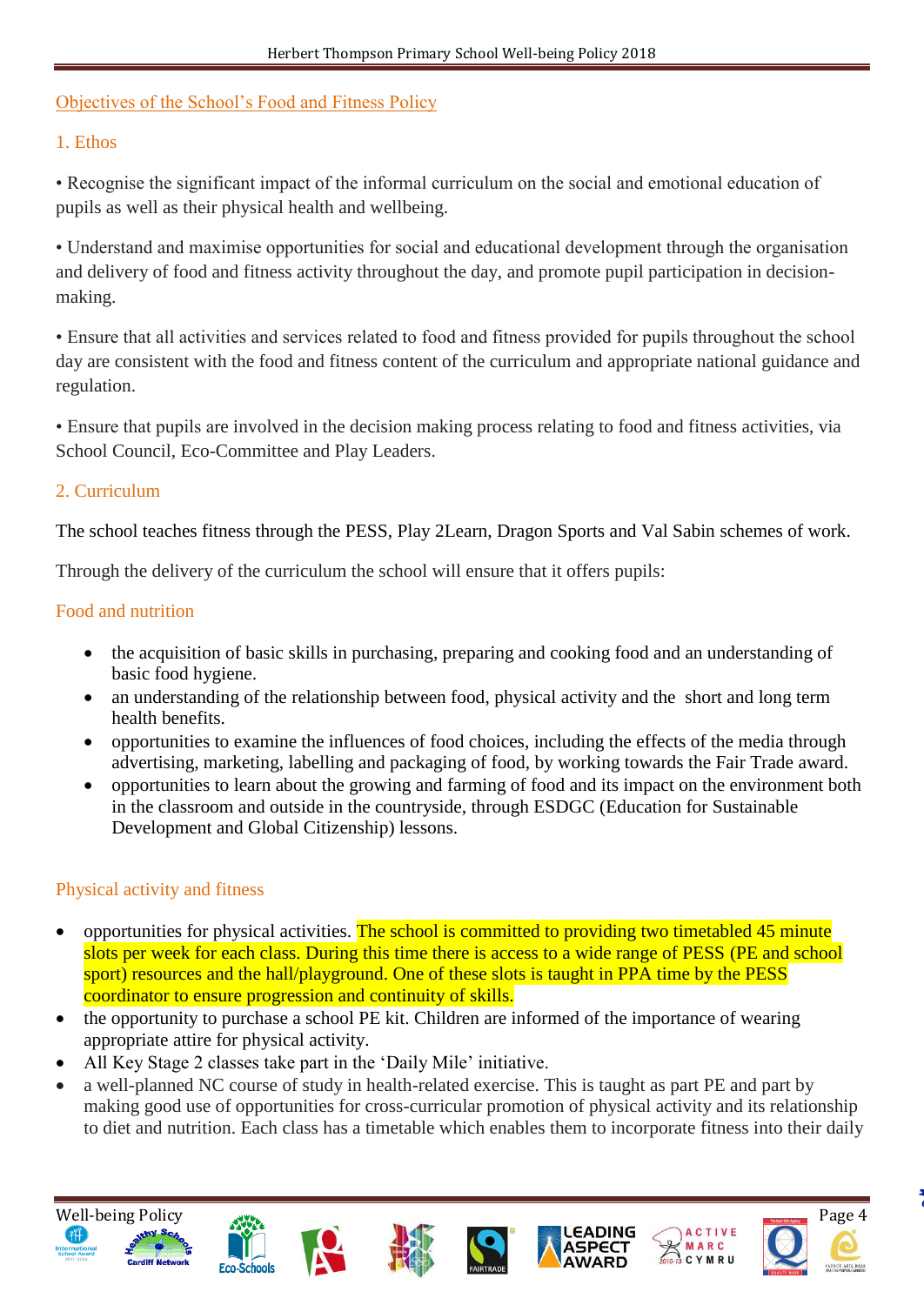# Objectives of the School's Food and Fitness Policy

# 1. Ethos

• Recognise the significant impact of the informal curriculum on the social and emotional education of pupils as well as their physical health and wellbeing.

• Understand and maximise opportunities for social and educational development through the organisation and delivery of food and fitness activity throughout the day, and promote pupil participation in decisionmaking.

• Ensure that all activities and services related to food and fitness provided for pupils throughout the school day are consistent with the food and fitness content of the curriculum and appropriate national guidance and regulation.

• Ensure that pupils are involved in the decision making process relating to food and fitness activities, via School Council, Eco-Committee and Play Leaders.

# 2. Curriculum

The school teaches fitness through the PESS, Play 2Learn, Dragon Sports and Val Sabin schemes of work.

Through the delivery of the curriculum the school will ensure that it offers pupils:

### Food and nutrition

- the acquisition of basic skills in purchasing, preparing and cooking food and an understanding of basic food hygiene.
- an understanding of the relationship between food, physical activity and the short and long term health benefits.
- opportunities to examine the influences of food choices, including the effects of the media through advertising, marketing, labelling and packaging of food, by working towards the Fair Trade award.
- opportunities to learn about the growing and farming of food and its impact on the environment both in the classroom and outside in the countryside, through ESDGC (Education for Sustainable Development and Global Citizenship) lessons.

# Physical activity and fitness

- opportunities for physical activities. The school is committed to providing two timetabled 45 minute slots per week for each class. During this time there is access to a wide range of PESS (PE and school sport) resources and the hall/playground. One of these slots is taught in PPA time by the PESS coordinator to ensure progression and continuity of skills.
- the opportunity to purchase a school PE kit. Children are informed of the importance of wearing appropriate attire for physical activity.
- All Key Stage 2 classes take part in the 'Daily Mile' initiative.
- a well-planned NC course of study in health-related exercise. This is taught as part PE and part by making good use of opportunities for cross-curricular promotion of physical activity and its relationship to diet and nutrition. Each class has a timetable which enables them to incorporate fitness into their daily













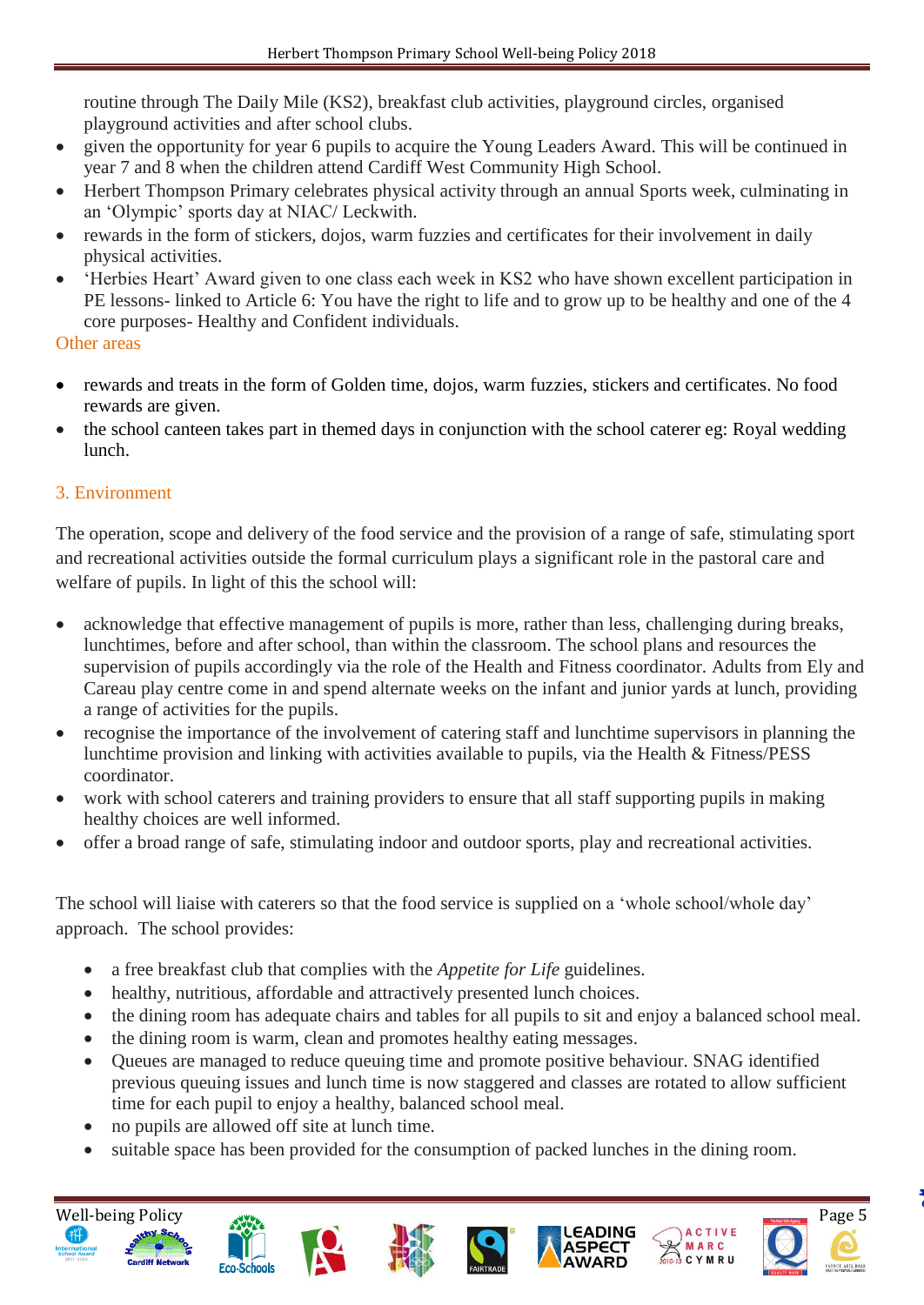routine through The Daily Mile (KS2), breakfast club activities, playground circles, organised playground activities and after school clubs.

- given the opportunity for year 6 pupils to acquire the Young Leaders Award. This will be continued in year 7 and 8 when the children attend Cardiff West Community High School.
- Herbert Thompson Primary celebrates physical activity through an annual Sports week, culminating in an 'Olympic' sports day at NIAC/ Leckwith.
- rewards in the form of stickers, dojos, warm fuzzies and certificates for their involvement in daily physical activities.
- 'Herbies Heart' Award given to one class each week in KS2 who have shown excellent participation in PE lessons- linked to Article 6: You have the right to life and to grow up to be healthy and one of the 4 core purposes- Healthy and Confident individuals.

#### Other areas

- rewards and treats in the form of Golden time, dojos, warm fuzzies, stickers and certificates. No food rewards are given.
- the school canteen takes part in themed days in conjunction with the school caterer eg: Royal wedding lunch.

### 3. Environment

The operation, scope and delivery of the food service and the provision of a range of safe, stimulating sport and recreational activities outside the formal curriculum plays a significant role in the pastoral care and welfare of pupils. In light of this the school will:

- acknowledge that effective management of pupils is more, rather than less, challenging during breaks, lunchtimes, before and after school, than within the classroom. The school plans and resources the supervision of pupils accordingly via the role of the Health and Fitness coordinator. Adults from Ely and Careau play centre come in and spend alternate weeks on the infant and junior yards at lunch, providing a range of activities for the pupils.
- recognise the importance of the involvement of catering staff and lunchtime supervisors in planning the lunchtime provision and linking with activities available to pupils, via the Health & Fitness/PESS coordinator.
- work with school caterers and training providers to ensure that all staff supporting pupils in making healthy choices are well informed.
- offer a broad range of safe, stimulating indoor and outdoor sports, play and recreational activities.

The school will liaise with caterers so that the food service is supplied on a 'whole school/whole day' approach. The school provides:

- a free breakfast club that complies with the *Appetite for Life* guidelines.
- healthy, nutritious, affordable and attractively presented lunch choices.
- the dining room has adequate chairs and tables for all pupils to sit and enjoy a balanced school meal.
- the dining room is warm, clean and promotes healthy eating messages.
- Queues are managed to reduce queuing time and promote positive behaviour. SNAG identified previous queuing issues and lunch time is now staggered and classes are rotated to allow sufficient time for each pupil to enjoy a healthy, balanced school meal.
- no pupils are allowed off site at lunch time.
- suitable space has been provided for the consumption of packed lunches in the dining room.















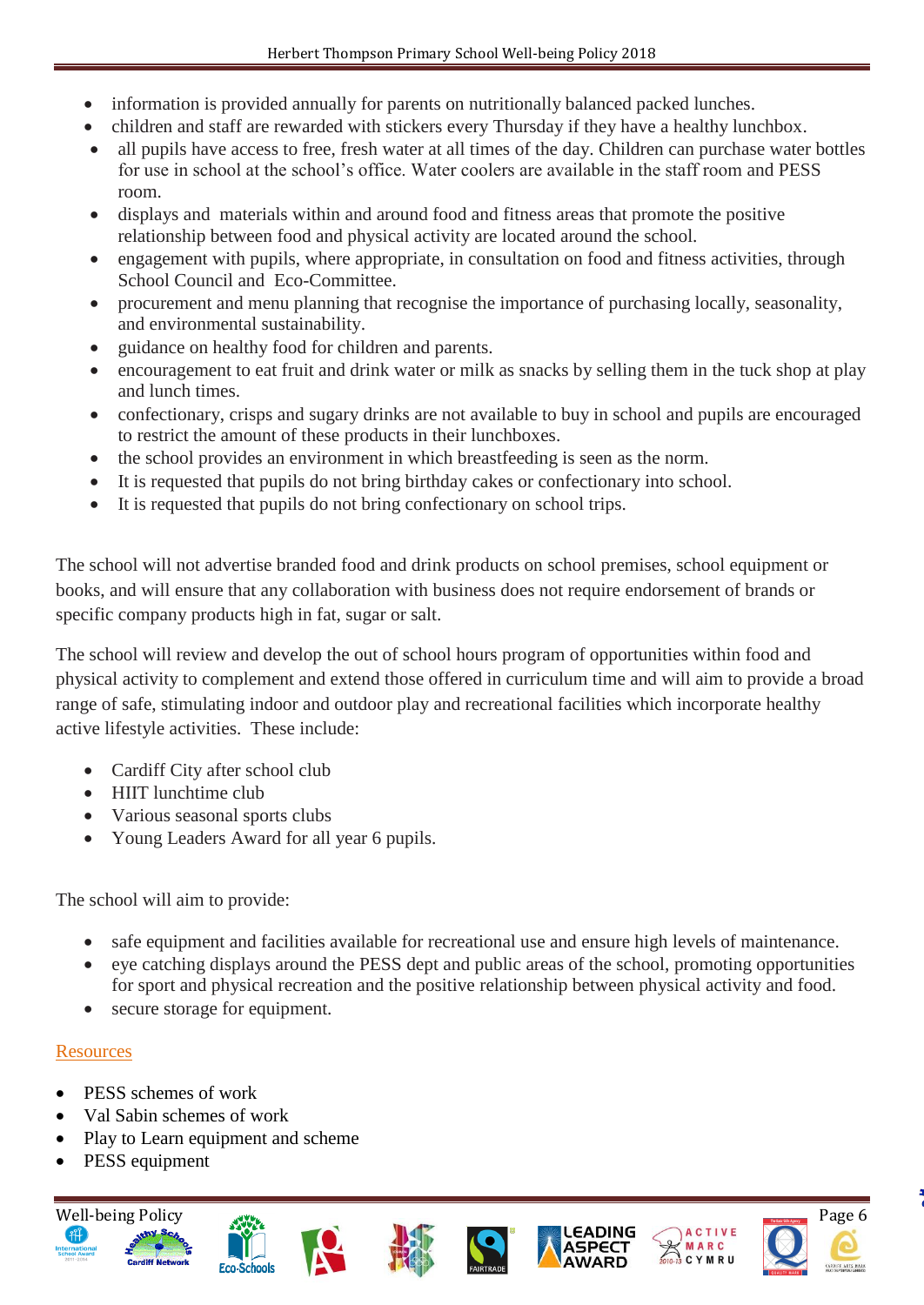- information is provided annually for parents on nutritionally balanced packed lunches.
- children and staff are rewarded with stickers every Thursday if they have a healthy lunchbox.
- all pupils have access to free, fresh water at all times of the day. Children can purchase water bottles for use in school at the school's office. Water coolers are available in the staff room and PESS room.
- displays and materials within and around food and fitness areas that promote the positive relationship between food and physical activity are located around the school.
- engagement with pupils, where appropriate, in consultation on food and fitness activities, through School Council and Eco-Committee.
- procurement and menu planning that recognise the importance of purchasing locally, seasonality, and environmental sustainability.
- guidance on healthy food for children and parents.
- encouragement to eat fruit and drink water or milk as snacks by selling them in the tuck shop at play and lunch times.
- confectionary, crisps and sugary drinks are not available to buy in school and pupils are encouraged to restrict the amount of these products in their lunchboxes.
- the school provides an environment in which breastfeeding is seen as the norm.
- It is requested that pupils do not bring birthday cakes or confectionary into school.
- It is requested that pupils do not bring confectionary on school trips.

The school will not advertise branded food and drink products on school premises, school equipment or books, and will ensure that any collaboration with business does not require endorsement of brands or specific company products high in fat, sugar or salt.

The school will review and develop the out of school hours program of opportunities within food and physical activity to complement and extend those offered in curriculum time and will aim to provide a broad range of safe, stimulating indoor and outdoor play and recreational facilities which incorporate healthy active lifestyle activities. These include:

- Cardiff City after school club
- HIIT lunchtime club
- Various seasonal sports clubs
- Young Leaders Award for all year 6 pupils.

The school will aim to provide:

- safe equipment and facilities available for recreational use and ensure high levels of maintenance.
- eye catching displays around the PESS dept and public areas of the school, promoting opportunities for sport and physical recreation and the positive relationship between physical activity and food.
- secure storage for equipment.

# **Resources**

- PESS schemes of work
- Val Sabin schemes of work
- Play to Learn equipment and scheme
- PESS equipment















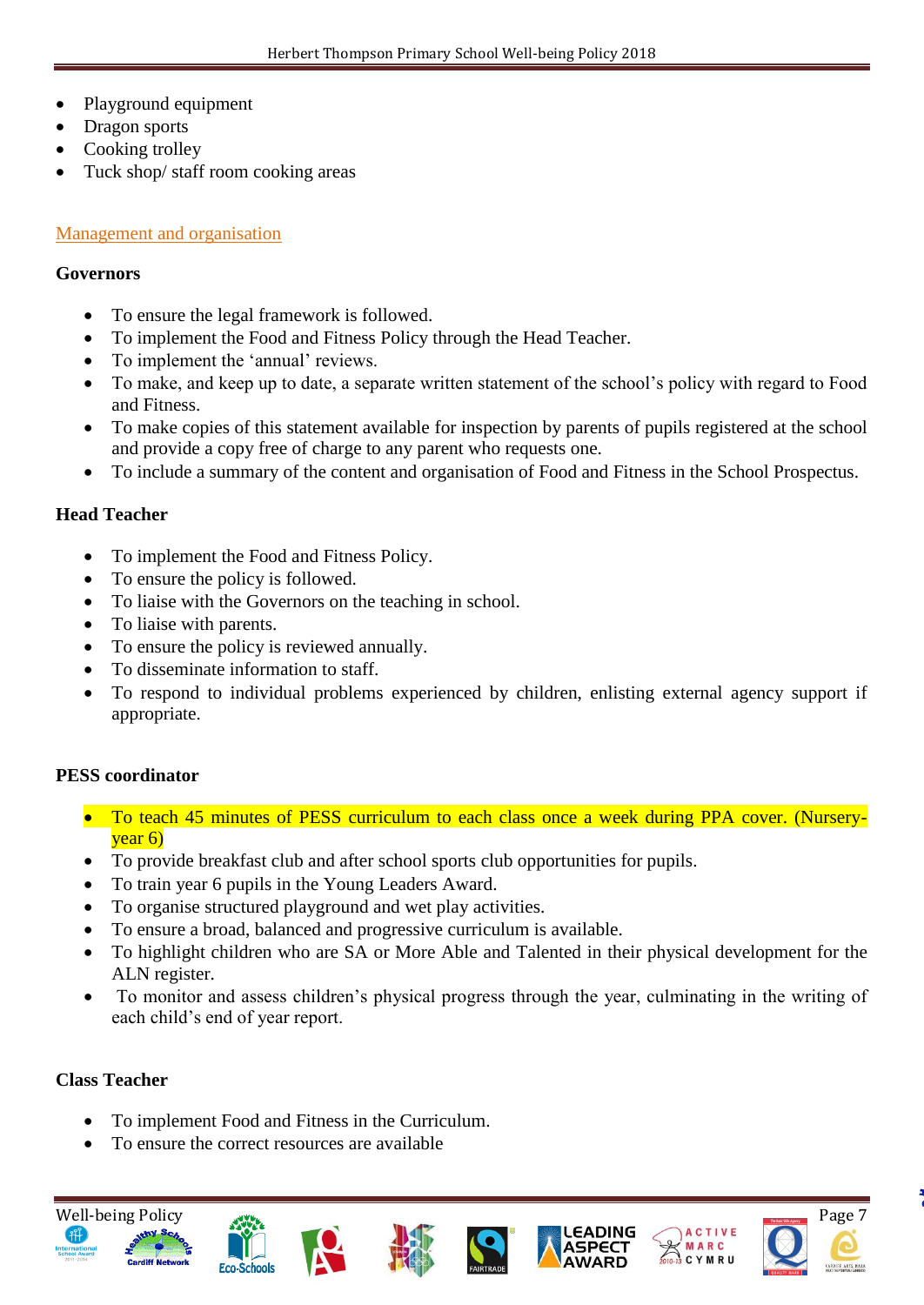- Playground equipment
- Dragon sports
- Cooking trolley
- Tuck shop/ staff room cooking areas

#### Management and organisation

#### **Governors**

- To ensure the legal framework is followed.
- To implement the Food and Fitness Policy through the Head Teacher.
- To implement the 'annual' reviews.
- To make, and keep up to date, a separate written statement of the school's policy with regard to Food and Fitness.
- To make copies of this statement available for inspection by parents of pupils registered at the school and provide a copy free of charge to any parent who requests one.
- To include a summary of the content and organisation of Food and Fitness in the School Prospectus.

#### **Head Teacher**

- To implement the Food and Fitness Policy.
- To ensure the policy is followed.
- To liaise with the Governors on the teaching in school.
- To liaise with parents.
- To ensure the policy is reviewed annually.
- To disseminate information to staff.
- To respond to individual problems experienced by children, enlisting external agency support if appropriate.

#### **PESS coordinator**

- To teach 45 minutes of PESS curriculum to each class once a week during PPA cover. (Nurseryyear 6)
- To provide breakfast club and after school sports club opportunities for pupils.
- To train year 6 pupils in the Young Leaders Award.
- To organise structured playground and wet play activities.
- To ensure a broad, balanced and progressive curriculum is available.
- To highlight children who are SA or More Able and Talented in their physical development for the ALN register.
- To monitor and assess children's physical progress through the year, culminating in the writing of each child's end of year report.

#### **Class Teacher**

- To implement Food and Fitness in the Curriculum.
- To ensure the correct resources are available

**Eco-Schools** 



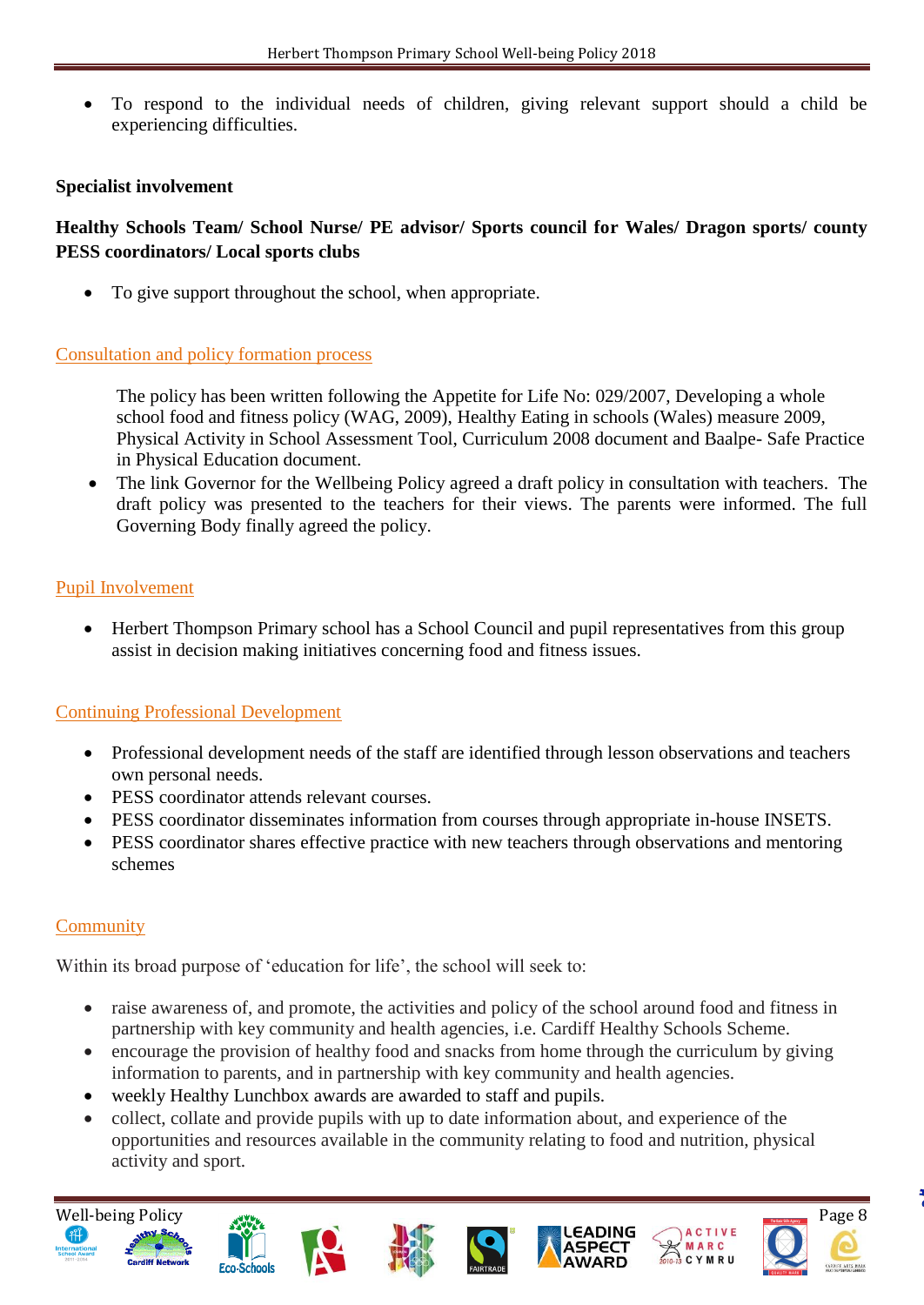To respond to the individual needs of children, giving relevant support should a child be experiencing difficulties.

#### **Specialist involvement**

## **Healthy Schools Team/ School Nurse/ PE advisor/ Sports council for Wales/ Dragon sports/ county PESS coordinators/ Local sports clubs**

To give support throughout the school, when appropriate.

#### Consultation and policy formation process

 The policy has been written following the Appetite for Life No: 029/2007, Developing a whole school food and fitness policy (WAG, 2009), Healthy Eating in schools (Wales) measure 2009, Physical Activity in School Assessment Tool, Curriculum 2008 document and Baalpe- Safe Practice in Physical Education document.

• The link Governor for the Wellbeing Policy agreed a draft policy in consultation with teachers. The draft policy was presented to the teachers for their views. The parents were informed. The full Governing Body finally agreed the policy.

#### Pupil Involvement

• Herbert Thompson Primary school has a School Council and pupil representatives from this group assist in decision making initiatives concerning food and fitness issues.

#### Continuing Professional Development

- Professional development needs of the staff are identified through lesson observations and teachers own personal needs.
- PESS coordinator attends relevant courses.
- PESS coordinator disseminates information from courses through appropriate in-house INSETS.
- PESS coordinator shares effective practice with new teachers through observations and mentoring schemes

#### **Community**

Within its broad purpose of 'education for life', the school will seek to:

- raise awareness of, and promote, the activities and policy of the school around food and fitness in partnership with key community and health agencies, i.e. Cardiff Healthy Schools Scheme.
- encourage the provision of healthy food and snacks from home through the curriculum by giving information to parents, and in partnership with key community and health agencies.
- weekly Healthy Lunchbox awards are awarded to staff and pupils.
- collect, collate and provide pupils with up to date information about, and experience of the opportunities and resources available in the community relating to food and nutrition, physical activity and sport.















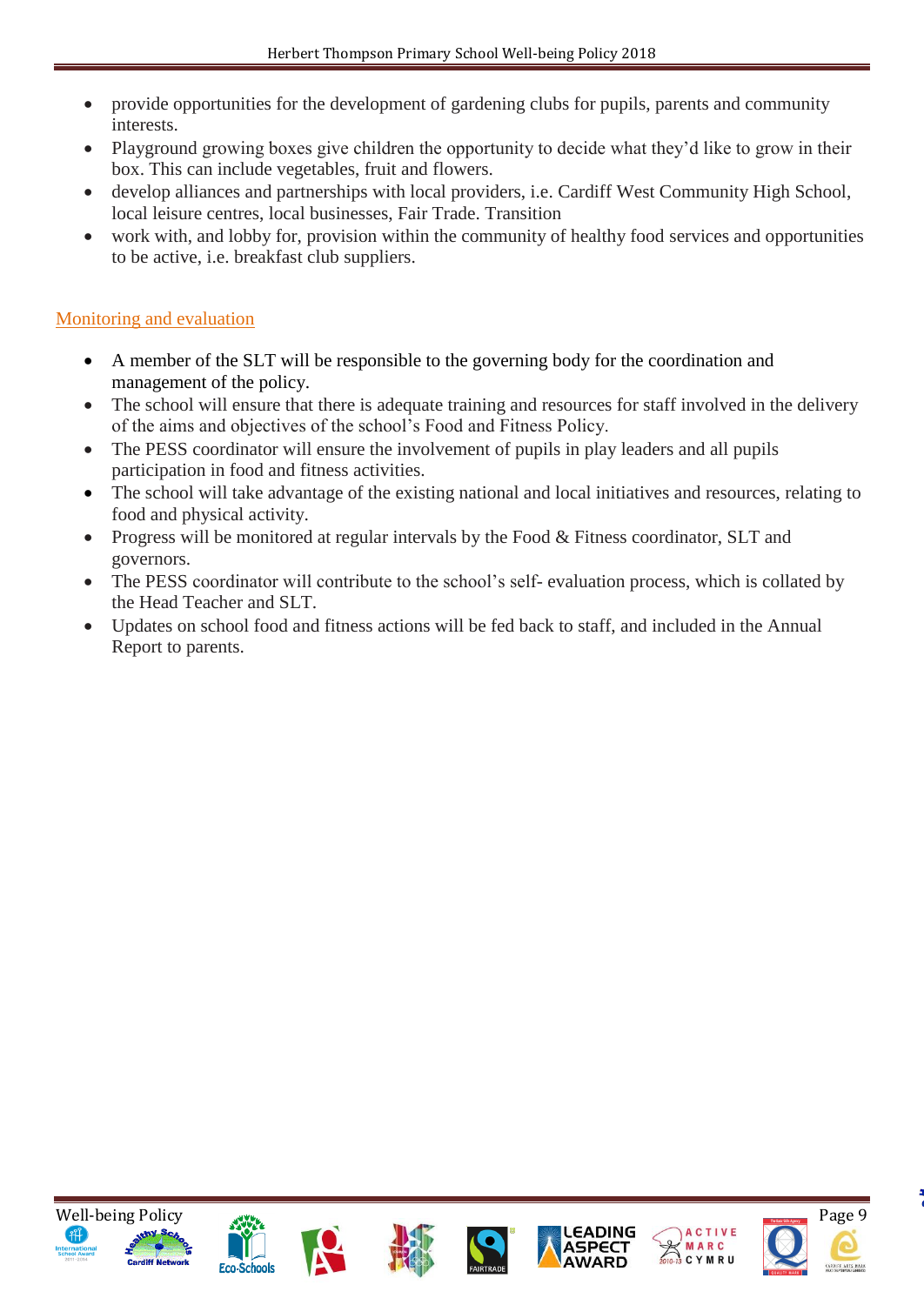- provide opportunities for the development of gardening clubs for pupils, parents and community interests.
- Playground growing boxes give children the opportunity to decide what they'd like to grow in their box. This can include vegetables, fruit and flowers.
- develop alliances and partnerships with local providers, i.e. Cardiff West Community High School, local leisure centres, local businesses, Fair Trade. Transition
- work with, and lobby for, provision within the community of healthy food services and opportunities to be active, i.e. breakfast club suppliers.

# Monitoring and evaluation

- A member of the SLT will be responsible to the governing body for the coordination and management of the policy.
- The school will ensure that there is adequate training and resources for staff involved in the delivery of the aims and objectives of the school's Food and Fitness Policy.
- The PESS coordinator will ensure the involvement of pupils in play leaders and all pupils participation in food and fitness activities.
- The school will take advantage of the existing national and local initiatives and resources, relating to food and physical activity.
- Progress will be monitored at regular intervals by the Food & Fitness coordinator, SLT and governors.
- The PESS coordinator will contribute to the school's self- evaluation process, which is collated by the Head Teacher and SLT.
- Updates on school food and fitness actions will be fed back to staff, and included in the Annual Report to parents.













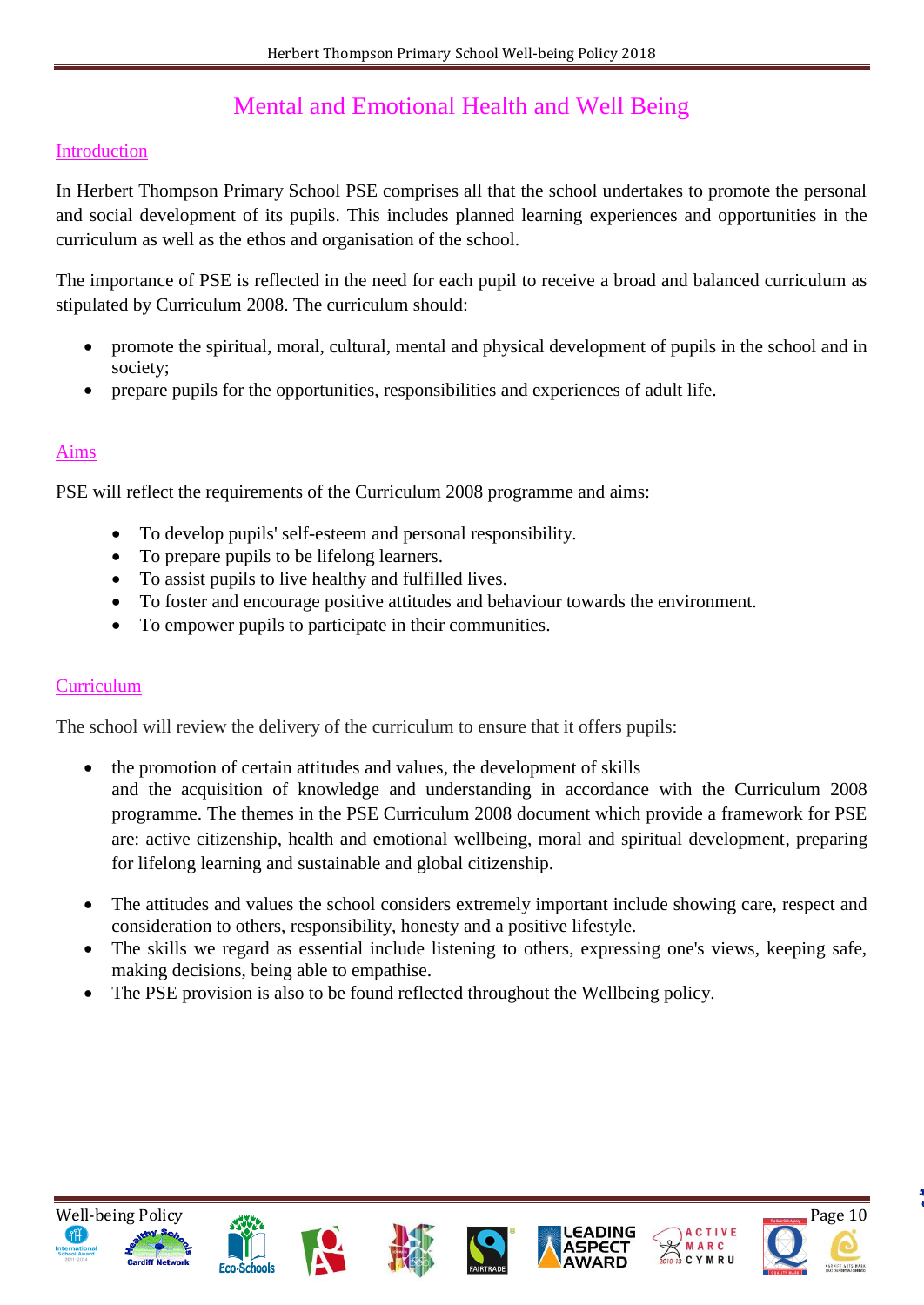# Mental and Emotional Health and Well Being

#### Introduction

In Herbert Thompson Primary School PSE comprises all that the school undertakes to promote the personal and social development of its pupils. This includes planned learning experiences and opportunities in the curriculum as well as the ethos and organisation of the school.

The importance of PSE is reflected in the need for each pupil to receive a broad and balanced curriculum as stipulated by Curriculum 2008. The curriculum should:

- promote the spiritual, moral, cultural, mental and physical development of pupils in the school and in society;
- prepare pupils for the opportunities, responsibilities and experiences of adult life.

### Aims

PSE will reflect the requirements of the Curriculum 2008 programme and aims:

- To develop pupils' self-esteem and personal responsibility.
- To prepare pupils to be lifelong learners.
- To assist pupils to live healthy and fulfilled lives.
- To foster and encourage positive attitudes and behaviour towards the environment.
- To empower pupils to participate in their communities.

#### **Curriculum**

The school will review the delivery of the curriculum to ensure that it offers pupils:

- the promotion of certain attitudes and values, the development of skills and the acquisition of knowledge and understanding in accordance with the Curriculum 2008 programme. The themes in the PSE Curriculum 2008 document which provide a framework for PSE are: active citizenship, health and emotional wellbeing, moral and spiritual development, preparing for lifelong learning and sustainable and global citizenship.
- The attitudes and values the school considers extremely important include showing care, respect and consideration to others, responsibility, honesty and a positive lifestyle.
- The skills we regard as essential include listening to others, expressing one's views, keeping safe, making decisions, being able to empathise.
- The PSE provision is also to be found reflected throughout the Wellbeing policy.













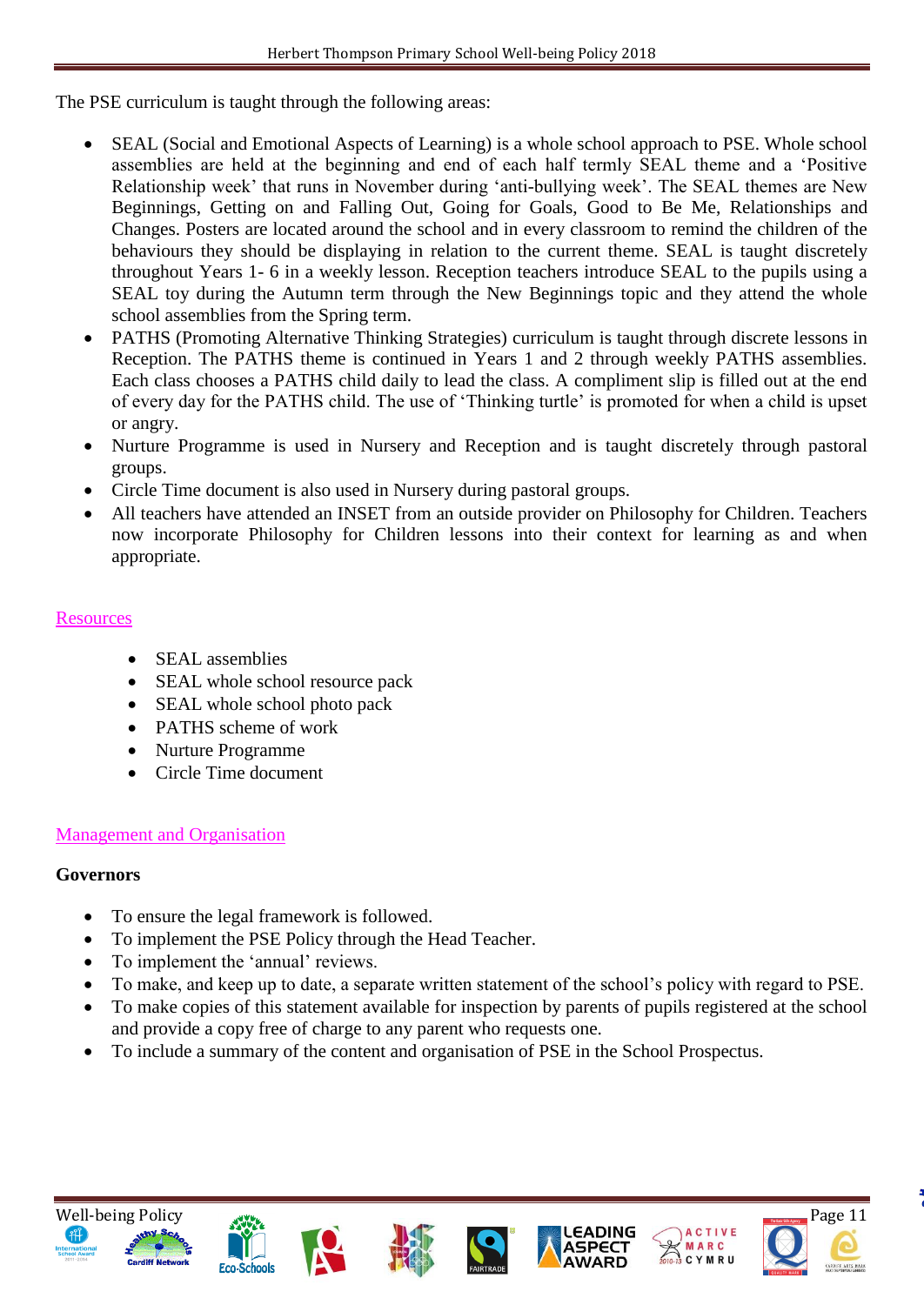The PSE curriculum is taught through the following areas:

- SEAL (Social and Emotional Aspects of Learning) is a whole school approach to PSE. Whole school assemblies are held at the beginning and end of each half termly SEAL theme and a 'Positive Relationship week' that runs in November during 'anti-bullying week'. The SEAL themes are New Beginnings, Getting on and Falling Out, Going for Goals, Good to Be Me, Relationships and Changes. Posters are located around the school and in every classroom to remind the children of the behaviours they should be displaying in relation to the current theme. SEAL is taught discretely throughout Years 1- 6 in a weekly lesson. Reception teachers introduce SEAL to the pupils using a SEAL toy during the Autumn term through the New Beginnings topic and they attend the whole school assemblies from the Spring term.
- PATHS (Promoting Alternative Thinking Strategies) curriculum is taught through discrete lessons in Reception. The PATHS theme is continued in Years 1 and 2 through weekly PATHS assemblies. Each class chooses a PATHS child daily to lead the class. A compliment slip is filled out at the end of every day for the PATHS child. The use of 'Thinking turtle' is promoted for when a child is upset or angry.
- Nurture Programme is used in Nursery and Reception and is taught discretely through pastoral groups.
- Circle Time document is also used in Nursery during pastoral groups.
- All teachers have attended an INSET from an outside provider on Philosophy for Children. Teachers now incorporate Philosophy for Children lessons into their context for learning as and when appropriate.

#### **Resources**

- SEAL assemblies
- SEAL whole school resource pack
- SEAL whole school photo pack
- PATHS scheme of work
- Nurture Programme
- Circle Time document

# Management and Organisation

#### **Governors**

- To ensure the legal framework is followed.
- To implement the PSE Policy through the Head Teacher.
- To implement the 'annual' reviews.
- To make, and keep up to date, a separate written statement of the school's policy with regard to PSE.
- To make copies of this statement available for inspection by parents of pupils registered at the school and provide a copy free of charge to any parent who requests one.
- To include a summary of the content and organisation of PSE in the School Prospectus.













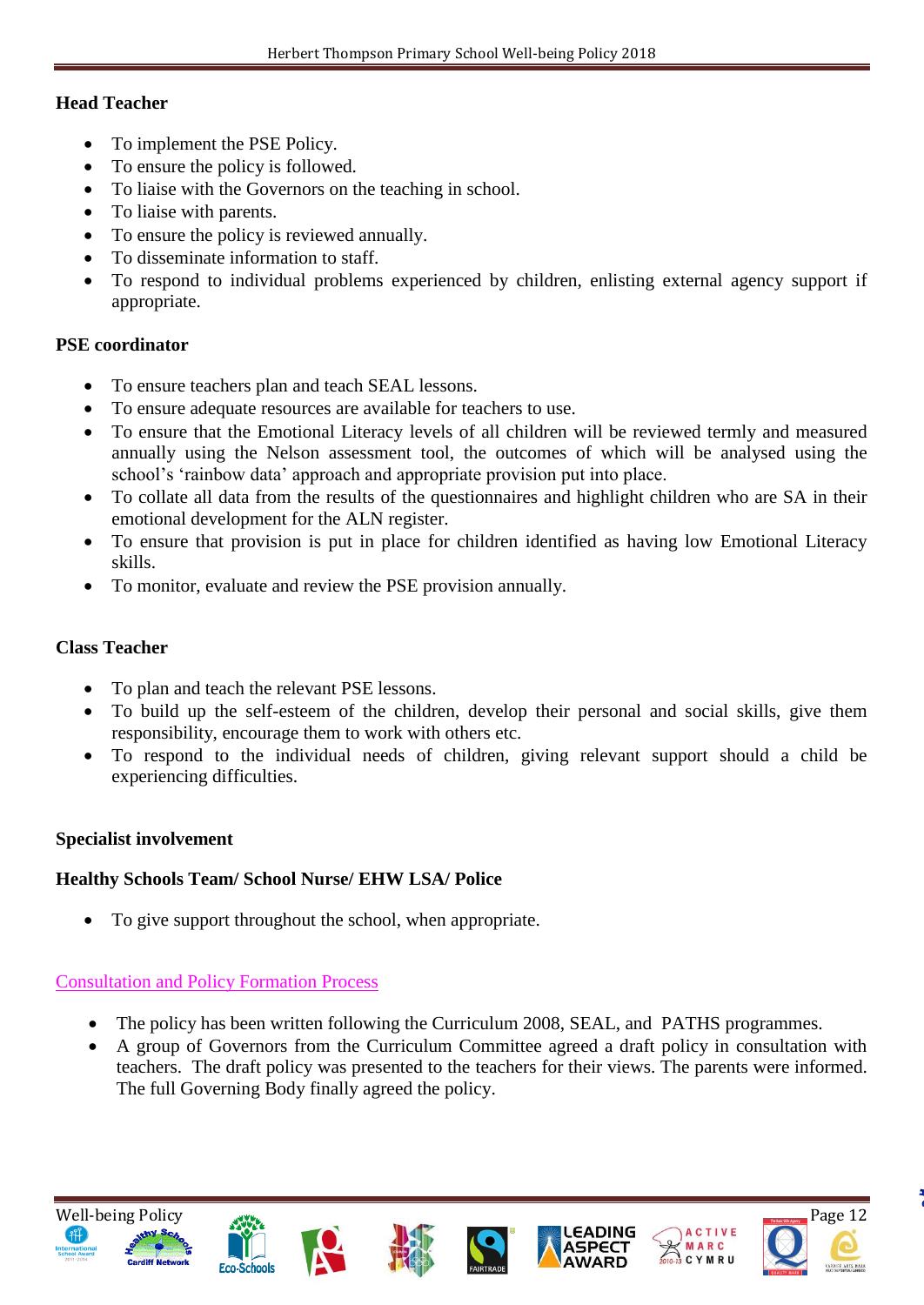#### **Head Teacher**

- To implement the PSE Policy.
- To ensure the policy is followed.
- To liaise with the Governors on the teaching in school.
- To liaise with parents.
- To ensure the policy is reviewed annually.
- To disseminate information to staff.
- To respond to individual problems experienced by children, enlisting external agency support if appropriate.

### **PSE coordinator**

- To ensure teachers plan and teach SEAL lessons.
- To ensure adequate resources are available for teachers to use.
- To ensure that the Emotional Literacy levels of all children will be reviewed termly and measured annually using the Nelson assessment tool, the outcomes of which will be analysed using the school's 'rainbow data' approach and appropriate provision put into place.
- To collate all data from the results of the questionnaires and highlight children who are SA in their emotional development for the ALN register.
- To ensure that provision is put in place for children identified as having low Emotional Literacy skills.
- To monitor, evaluate and review the PSE provision annually.

## **Class Teacher**

- To plan and teach the relevant PSE lessons.
- To build up the self-esteem of the children, develop their personal and social skills, give them responsibility, encourage them to work with others etc.
- To respond to the individual needs of children, giving relevant support should a child be experiencing difficulties.

#### **Specialist involvement**

# **Healthy Schools Team/ School Nurse/ EHW LSA/ Police**

To give support throughout the school, when appropriate.

#### Consultation and Policy Formation Process

- The policy has been written following the Curriculum 2008, SEAL, and PATHS programmes.
- A group of Governors from the Curriculum Committee agreed a draft policy in consultation with teachers. The draft policy was presented to the teachers for their views. The parents were informed. The full Governing Body finally agreed the policy.













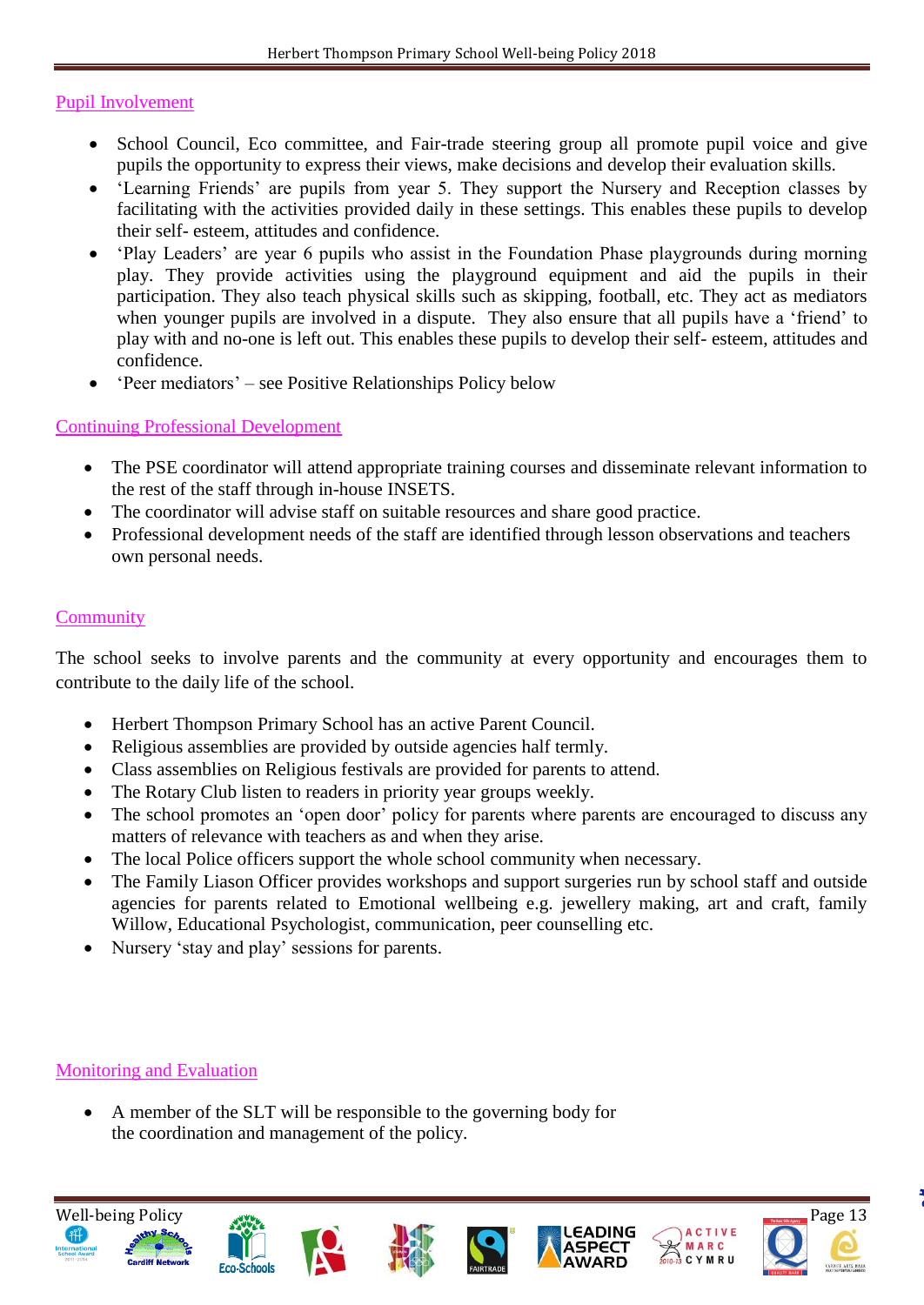#### Pupil Involvement

- School Council, Eco committee, and Fair-trade steering group all promote pupil voice and give pupils the opportunity to express their views, make decisions and develop their evaluation skills.
- 'Learning Friends' are pupils from year 5. They support the Nursery and Reception classes by facilitating with the activities provided daily in these settings. This enables these pupils to develop their self- esteem, attitudes and confidence.
- 'Play Leaders' are year 6 pupils who assist in the Foundation Phase playgrounds during morning play. They provide activities using the playground equipment and aid the pupils in their participation. They also teach physical skills such as skipping, football, etc. They act as mediators when younger pupils are involved in a dispute. They also ensure that all pupils have a 'friend' to play with and no-one is left out. This enables these pupils to develop their self- esteem, attitudes and confidence.
- 'Peer mediators' see Positive Relationships Policy below

#### Continuing Professional Development

- The PSE coordinator will attend appropriate training courses and disseminate relevant information to the rest of the staff through in-house INSETS.
- The coordinator will advise staff on suitable resources and share good practice.
- Professional development needs of the staff are identified through lesson observations and teachers own personal needs.

### **Community**

The school seeks to involve parents and the community at every opportunity and encourages them to contribute to the daily life of the school.

- Herbert Thompson Primary School has an active Parent Council.
- Religious assemblies are provided by outside agencies half termly.
- Class assemblies on Religious festivals are provided for parents to attend.
- The Rotary Club listen to readers in priority year groups weekly.
- The school promotes an 'open door' policy for parents where parents are encouraged to discuss any matters of relevance with teachers as and when they arise.
- The local Police officers support the whole school community when necessary.
- The Family Liason Officer provides workshops and support surgeries run by school staff and outside agencies for parents related to Emotional wellbeing e.g. jewellery making, art and craft, family Willow, Educational Psychologist, communication, peer counselling etc.
- Nursery 'stay and play' sessions for parents.

# Monitoring and Evaluation

 A member of the SLT will be responsible to the governing body for the coordination and management of the policy.

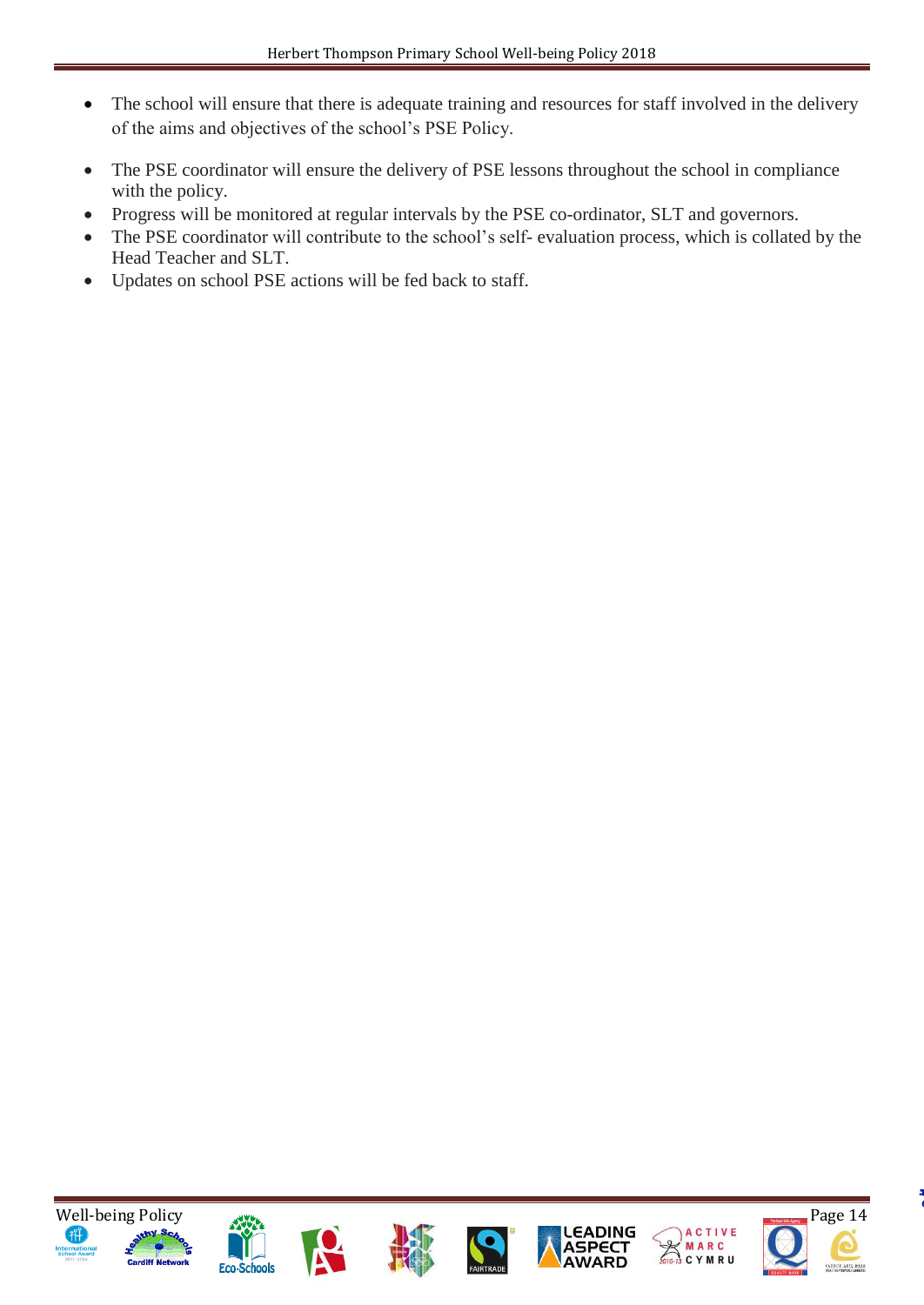- The school will ensure that there is adequate training and resources for staff involved in the delivery of the aims and objectives of the school's PSE Policy.
- The PSE coordinator will ensure the delivery of PSE lessons throughout the school in compliance with the policy.
- Progress will be monitored at regular intervals by the PSE co-ordinator, SLT and governors.
- The PSE coordinator will contribute to the school's self- evaluation process, which is collated by the Head Teacher and SLT.
- Updates on school PSE actions will be fed back to staff.













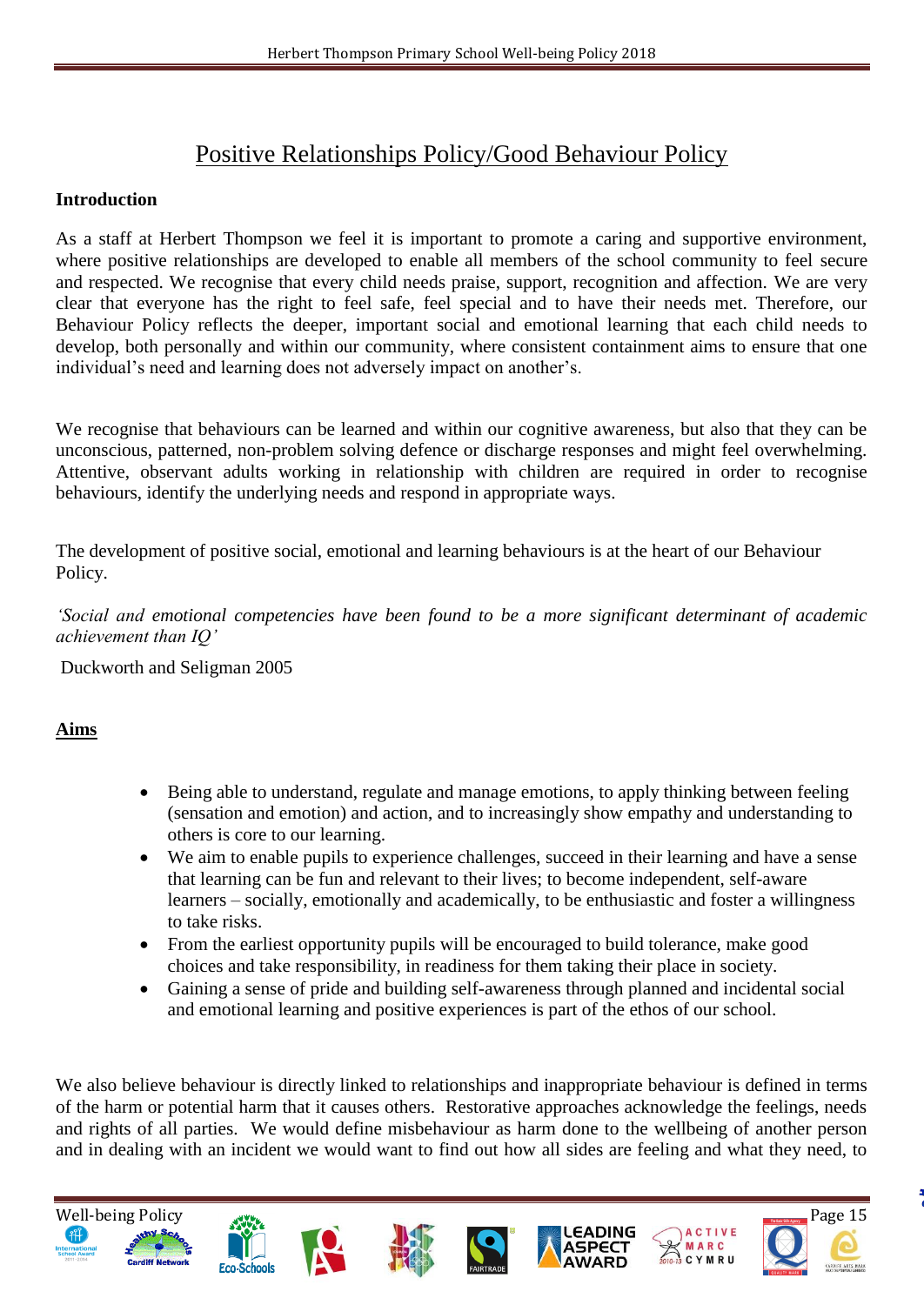# Positive Relationships Policy/Good Behaviour Policy

#### **Introduction**

As a staff at Herbert Thompson we feel it is important to promote a caring and supportive environment, where positive relationships are developed to enable all members of the school community to feel secure and respected. We recognise that every child needs praise, support, recognition and affection. We are very clear that everyone has the right to feel safe, feel special and to have their needs met. Therefore, our Behaviour Policy reflects the deeper, important social and emotional learning that each child needs to develop, both personally and within our community, where consistent containment aims to ensure that one individual's need and learning does not adversely impact on another's.

We recognise that behaviours can be learned and within our cognitive awareness, but also that they can be unconscious, patterned, non-problem solving defence or discharge responses and might feel overwhelming. Attentive, observant adults working in relationship with children are required in order to recognise behaviours, identify the underlying needs and respond in appropriate ways.

The development of positive social, emotional and learning behaviours is at the heart of our Behaviour Policy.

*'Social and emotional competencies have been found to be a more significant determinant of academic achievement than IQ'*

Duckworth and Seligman 2005

# **Aims**

- Being able to understand, regulate and manage emotions, to apply thinking between feeling (sensation and emotion) and action, and to increasingly show empathy and understanding to others is core to our learning.
- We aim to enable pupils to experience challenges, succeed in their learning and have a sense that learning can be fun and relevant to their lives; to become independent, self-aware learners – socially, emotionally and academically, to be enthusiastic and foster a willingness to take risks.
- From the earliest opportunity pupils will be encouraged to build tolerance, make good choices and take responsibility, in readiness for them taking their place in society.
- Gaining a sense of pride and building self-awareness through planned and incidental social and emotional learning and positive experiences is part of the ethos of our school.

We also believe behaviour is directly linked to relationships and inappropriate behaviour is defined in terms of the harm or potential harm that it causes others. Restorative approaches acknowledge the feelings, needs and rights of all parties. We would define misbehaviour as harm done to the wellbeing of another person and in dealing with an incident we would want to find out how all sides are feeling and what they need, to

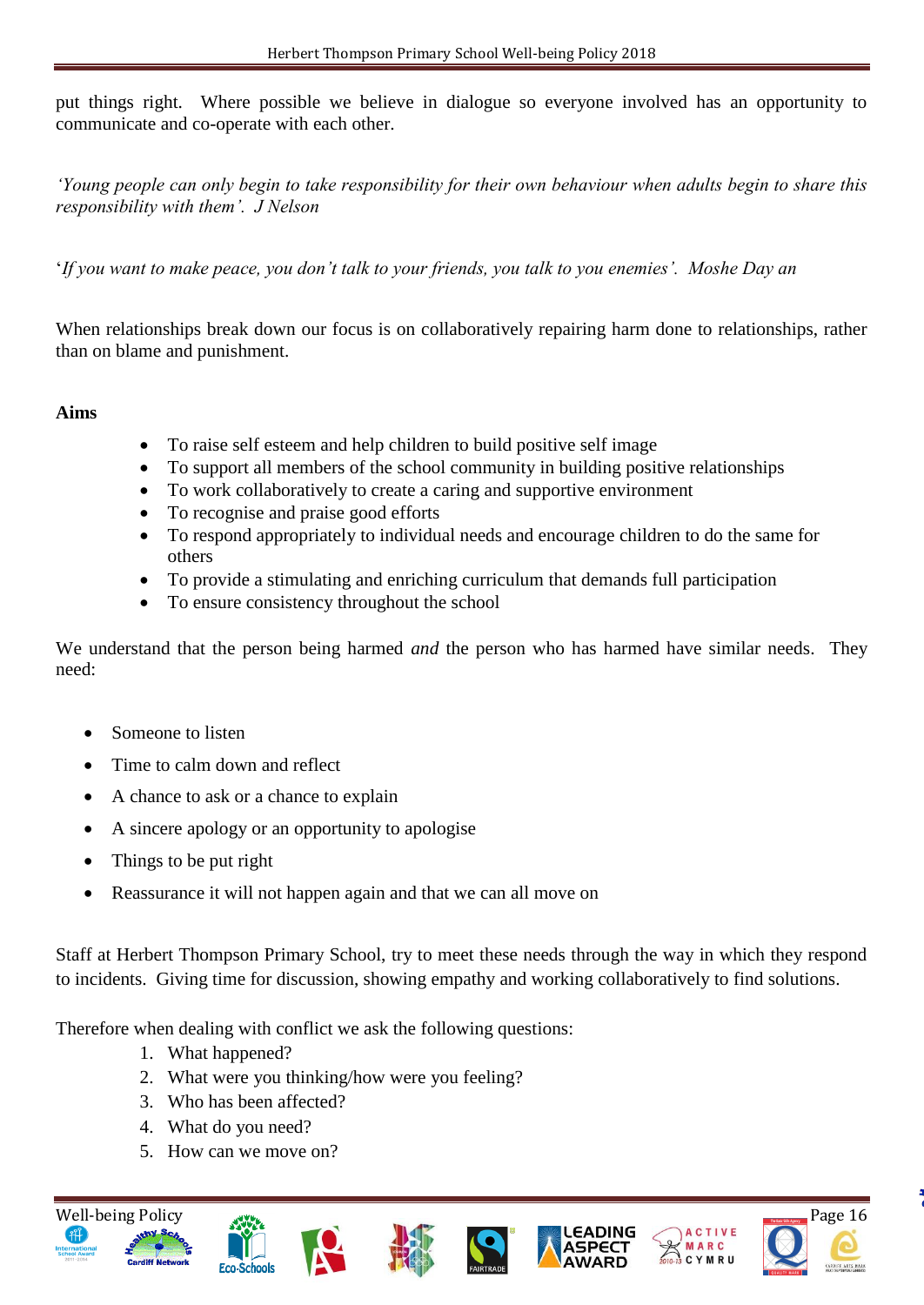put things right. Where possible we believe in dialogue so everyone involved has an opportunity to communicate and co-operate with each other.

*'Young people can only begin to take responsibility for their own behaviour when adults begin to share this responsibility with them'. J Nelson* 

'*If you want to make peace, you don't talk to your friends, you talk to you enemies'. Moshe Day an*

When relationships break down our focus is on collaboratively repairing harm done to relationships, rather than on blame and punishment.

#### **Aims**

- To raise self esteem and help children to build positive self image
- To support all members of the school community in building positive relationships
- To work collaboratively to create a caring and supportive environment
- To recognise and praise good efforts
- To respond appropriately to individual needs and encourage children to do the same for others
- To provide a stimulating and enriching curriculum that demands full participation
- To ensure consistency throughout the school

We understand that the person being harmed *and* the person who has harmed have similar needs. They need:

- Someone to listen
- Time to calm down and reflect
- A chance to ask or a chance to explain
- A sincere apology or an opportunity to apologise
- Things to be put right
- Reassurance it will not happen again and that we can all move on

Staff at Herbert Thompson Primary School, try to meet these needs through the way in which they respond to incidents. Giving time for discussion, showing empathy and working collaboratively to find solutions.

Therefore when dealing with conflict we ask the following questions:

- 1. What happened?
- 2. What were you thinking/how were you feeling?
- 3. Who has been affected?
- 4. What do you need?
- 5. How can we move on?













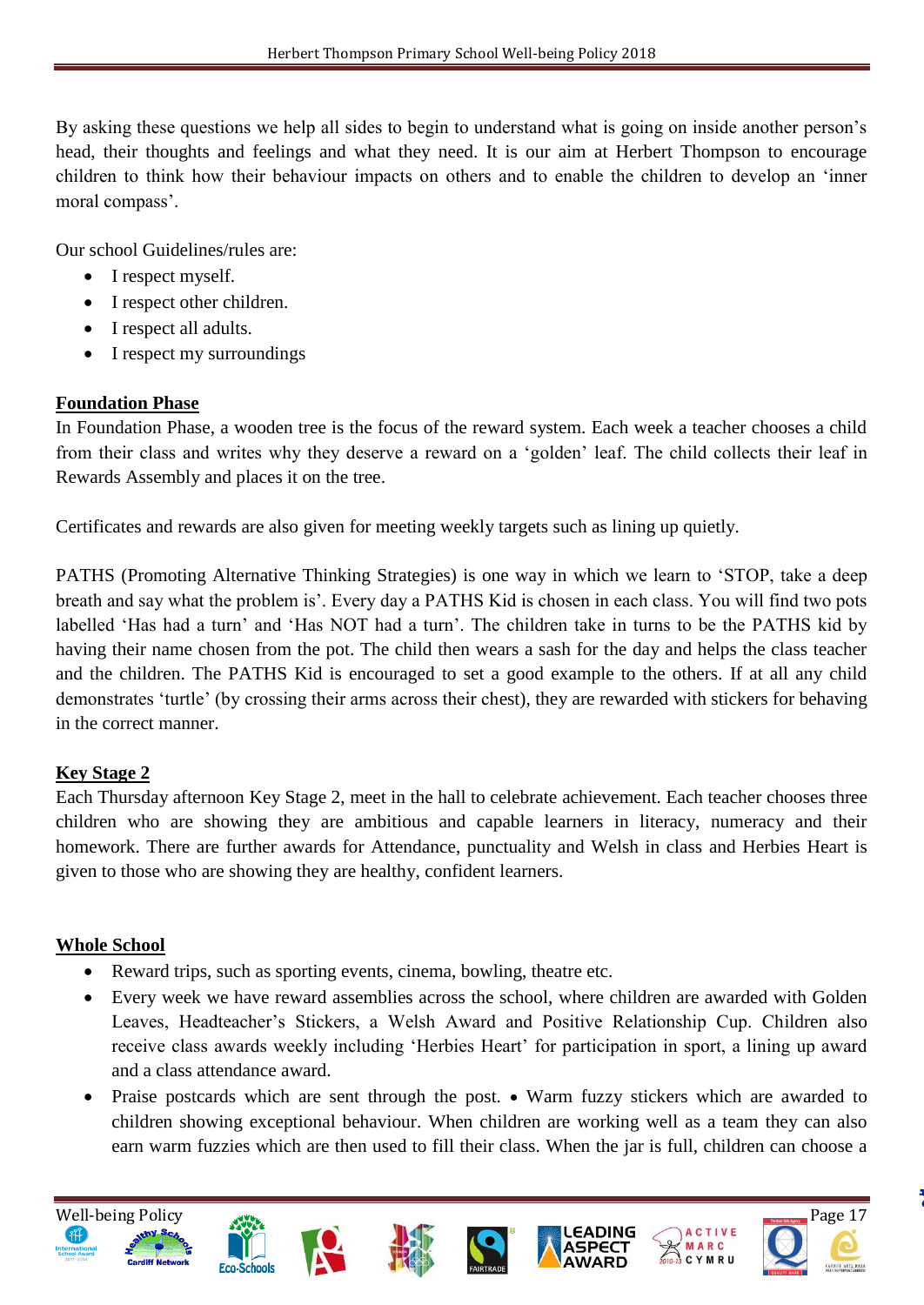By asking these questions we help all sides to begin to understand what is going on inside another person's head, their thoughts and feelings and what they need. It is our aim at Herbert Thompson to encourage children to think how their behaviour impacts on others and to enable the children to develop an 'inner moral compass'.

Our school Guidelines/rules are:

- I respect myself.
- I respect other children.
- I respect all adults.
- I respect my surroundings

### **Foundation Phase**

In Foundation Phase, a wooden tree is the focus of the reward system. Each week a teacher chooses a child from their class and writes why they deserve a reward on a 'golden' leaf. The child collects their leaf in Rewards Assembly and places it on the tree.

Certificates and rewards are also given for meeting weekly targets such as lining up quietly.

PATHS (Promoting Alternative Thinking Strategies) is one way in which we learn to 'STOP, take a deep breath and say what the problem is'. Every day a PATHS Kid is chosen in each class. You will find two pots labelled 'Has had a turn' and 'Has NOT had a turn'. The children take in turns to be the PATHS kid by having their name chosen from the pot. The child then wears a sash for the day and helps the class teacher and the children. The PATHS Kid is encouraged to set a good example to the others. If at all any child demonstrates 'turtle' (by crossing their arms across their chest), they are rewarded with stickers for behaving in the correct manner.

# **Key Stage 2**

Each Thursday afternoon Key Stage 2, meet in the hall to celebrate achievement. Each teacher chooses three children who are showing they are ambitious and capable learners in literacy, numeracy and their homework. There are further awards for Attendance, punctuality and Welsh in class and Herbies Heart is given to those who are showing they are healthy, confident learners.

#### **Whole School**

- Reward trips, such as sporting events, cinema, bowling, theatre etc.
- Every week we have reward assemblies across the school, where children are awarded with Golden Leaves, Headteacher's Stickers, a Welsh Award and Positive Relationship Cup. Children also receive class awards weekly including 'Herbies Heart' for participation in sport, a lining up award and a class attendance award.
- Praise postcards which are sent through the post. Warm fuzzy stickers which are awarded to children showing exceptional behaviour. When children are working well as a team they can also earn warm fuzzies which are then used to fill their class. When the jar is full, children can choose a









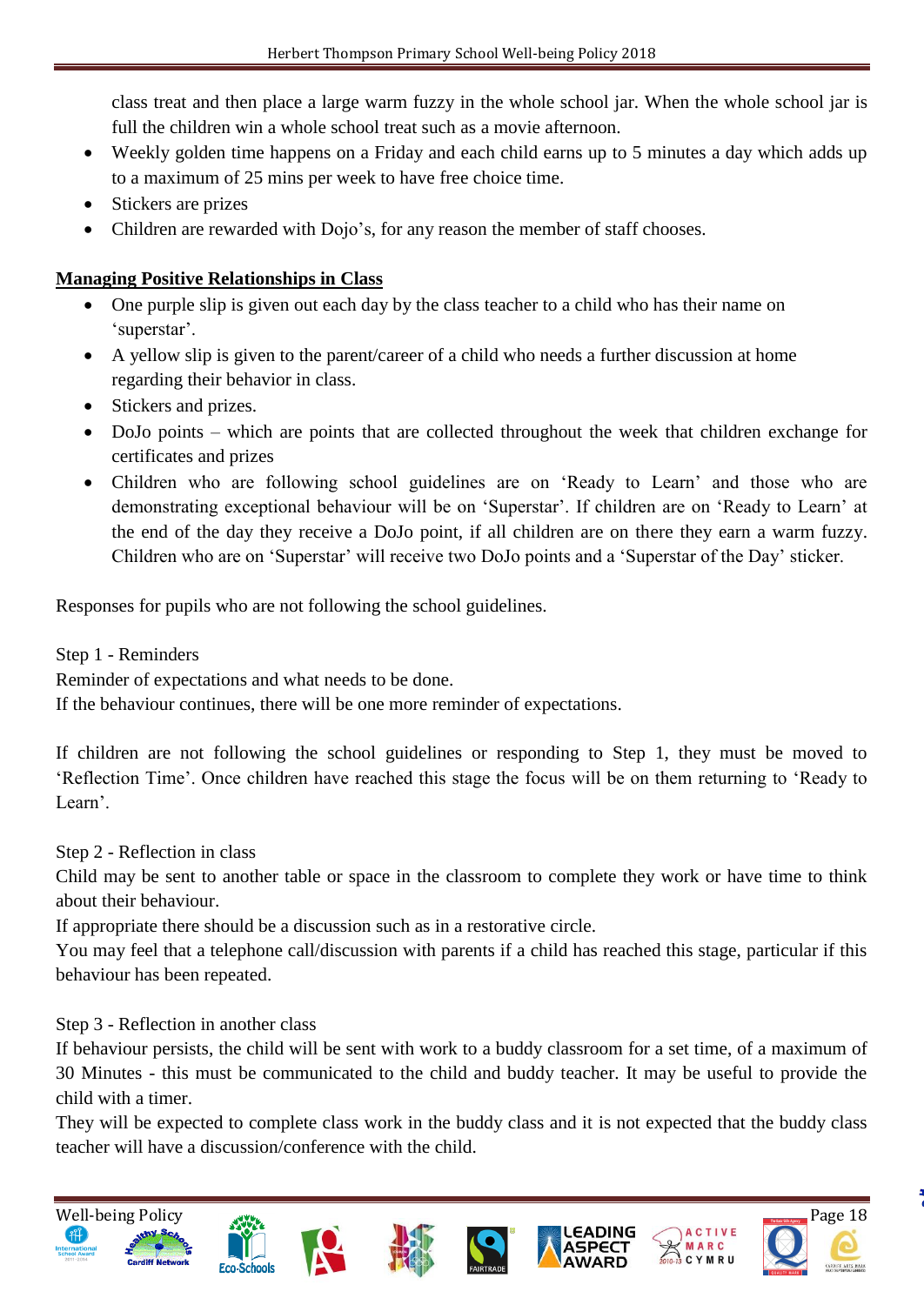class treat and then place a large warm fuzzy in the whole school jar. When the whole school jar is full the children win a whole school treat such as a movie afternoon.

- Weekly golden time happens on a Friday and each child earns up to 5 minutes a day which adds up to a maximum of 25 mins per week to have free choice time.
- Stickers are prizes
- Children are rewarded with Dojo's, for any reason the member of staff chooses.

# **Managing Positive Relationships in Class**

- One purple slip is given out each day by the class teacher to a child who has their name on 'superstar'.
- A yellow slip is given to the parent/career of a child who needs a further discussion at home regarding their behavior in class.
- Stickers and prizes.
- DoJo points which are points that are collected throughout the week that children exchange for certificates and prizes
- Children who are following school guidelines are on 'Ready to Learn' and those who are demonstrating exceptional behaviour will be on 'Superstar'. If children are on 'Ready to Learn' at the end of the day they receive a DoJo point, if all children are on there they earn a warm fuzzy. Children who are on 'Superstar' will receive two DoJo points and a 'Superstar of the Day' sticker.

Responses for pupils who are not following the school guidelines.

# Step 1 - Reminders

Reminder of expectations and what needs to be done.

If the behaviour continues, there will be one more reminder of expectations.

If children are not following the school guidelines or responding to Step 1, they must be moved to 'Reflection Time'. Once children have reached this stage the focus will be on them returning to 'Ready to Learn'.

Step 2 - Reflection in class

Child may be sent to another table or space in the classroom to complete they work or have time to think about their behaviour.

If appropriate there should be a discussion such as in a restorative circle.

You may feel that a telephone call/discussion with parents if a child has reached this stage, particular if this behaviour has been repeated.

Step 3 - Reflection in another class

If behaviour persists, the child will be sent with work to a buddy classroom for a set time, of a maximum of 30 Minutes - this must be communicated to the child and buddy teacher. It may be useful to provide the child with a timer.

They will be expected to complete class work in the buddy class and it is not expected that the buddy class teacher will have a discussion/conference with the child.

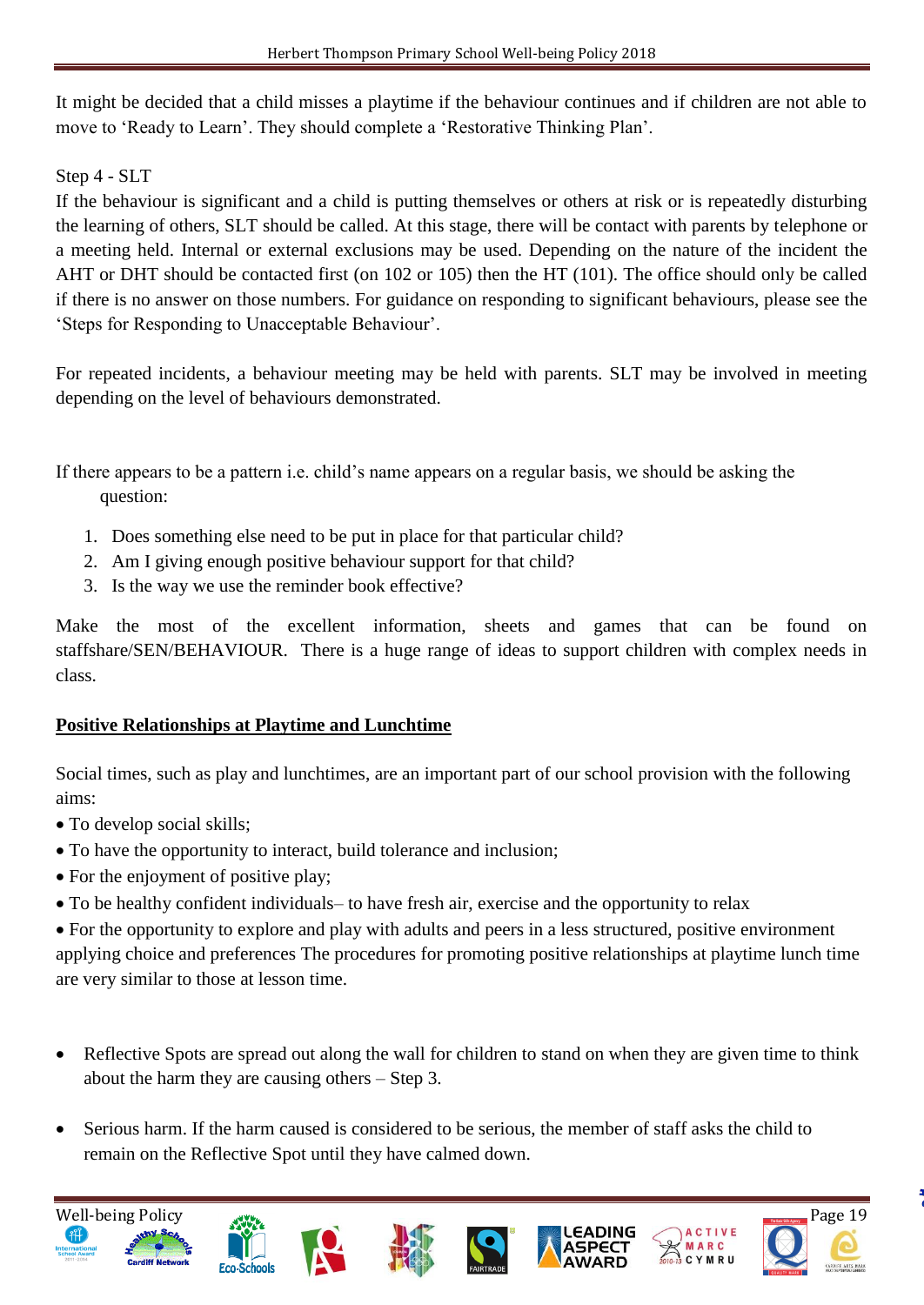It might be decided that a child misses a playtime if the behaviour continues and if children are not able to move to 'Ready to Learn'. They should complete a 'Restorative Thinking Plan'.

Step 4 - SLT

If the behaviour is significant and a child is putting themselves or others at risk or is repeatedly disturbing the learning of others, SLT should be called. At this stage, there will be contact with parents by telephone or a meeting held. Internal or external exclusions may be used. Depending on the nature of the incident the AHT or DHT should be contacted first (on 102 or 105) then the HT (101). The office should only be called if there is no answer on those numbers. For guidance on responding to significant behaviours, please see the 'Steps for Responding to Unacceptable Behaviour'.

For repeated incidents, a behaviour meeting may be held with parents. SLT may be involved in meeting depending on the level of behaviours demonstrated.

If there appears to be a pattern i.e. child's name appears on a regular basis, we should be asking the question:

- 1. Does something else need to be put in place for that particular child?
- 2. Am I giving enough positive behaviour support for that child?
- 3. Is the way we use the reminder book effective?

Make the most of the excellent information, sheets and games that can be found on staffshare/SEN/BEHAVIOUR. There is a huge range of ideas to support children with complex needs in class.

# **Positive Relationships at Playtime and Lunchtime**

Social times, such as play and lunchtimes, are an important part of our school provision with the following aims:

- To develop social skills;
- To have the opportunity to interact, build tolerance and inclusion;
- For the enjoyment of positive play;
- To be healthy confident individuals– to have fresh air, exercise and the opportunity to relax

 For the opportunity to explore and play with adults and peers in a less structured, positive environment applying choice and preferences The procedures for promoting positive relationships at playtime lunch time are very similar to those at lesson time.

- Reflective Spots are spread out along the wall for children to stand on when they are given time to think about the harm they are causing others – Step 3.
- Serious harm. If the harm caused is considered to be serious, the member of staff asks the child to remain on the Reflective Spot until they have calmed down.

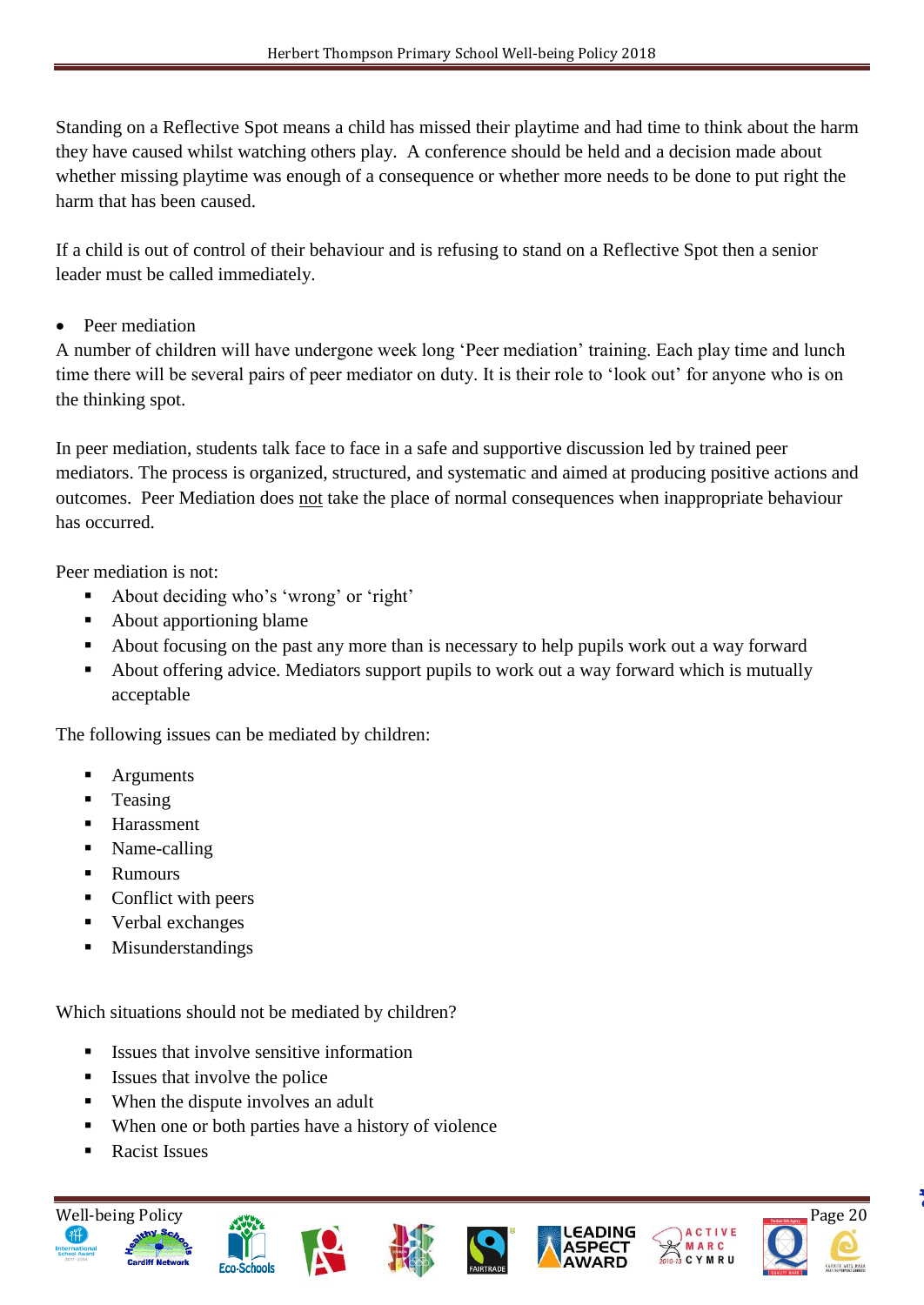Standing on a Reflective Spot means a child has missed their playtime and had time to think about the harm they have caused whilst watching others play. A conference should be held and a decision made about whether missing playtime was enough of a consequence or whether more needs to be done to put right the harm that has been caused.

If a child is out of control of their behaviour and is refusing to stand on a Reflective Spot then a senior leader must be called immediately.

• Peer mediation

A number of children will have undergone week long 'Peer mediation' training. Each play time and lunch time there will be several pairs of peer mediator on duty. It is their role to 'look out' for anyone who is on the thinking spot.

In peer mediation, students talk face to face in a safe and supportive discussion led by trained peer mediators. The process is organized, structured, and systematic and aimed at producing positive actions and outcomes. Peer Mediation does not take the place of normal consequences when inappropriate behaviour has occurred.

Peer mediation is not:

- About deciding who's 'wrong' or 'right'
- About apportioning blame
- About focusing on the past any more than is necessary to help pupils work out a way forward
- About offering advice. Mediators support pupils to work out a way forward which is mutually acceptable

The following issues can be mediated by children:

- **Arguments**
- **Teasing**
- **Harassment**
- Name-calling
- Rumours
- Conflict with peers
- Verbal exchanges
- **Misunderstandings**

Which situations should not be mediated by children?

- $\blacksquare$  Issues that involve sensitive information
- Issues that involve the police
- When the dispute involves an adult
- When one or both parties have a history of violence
- Racist Issues











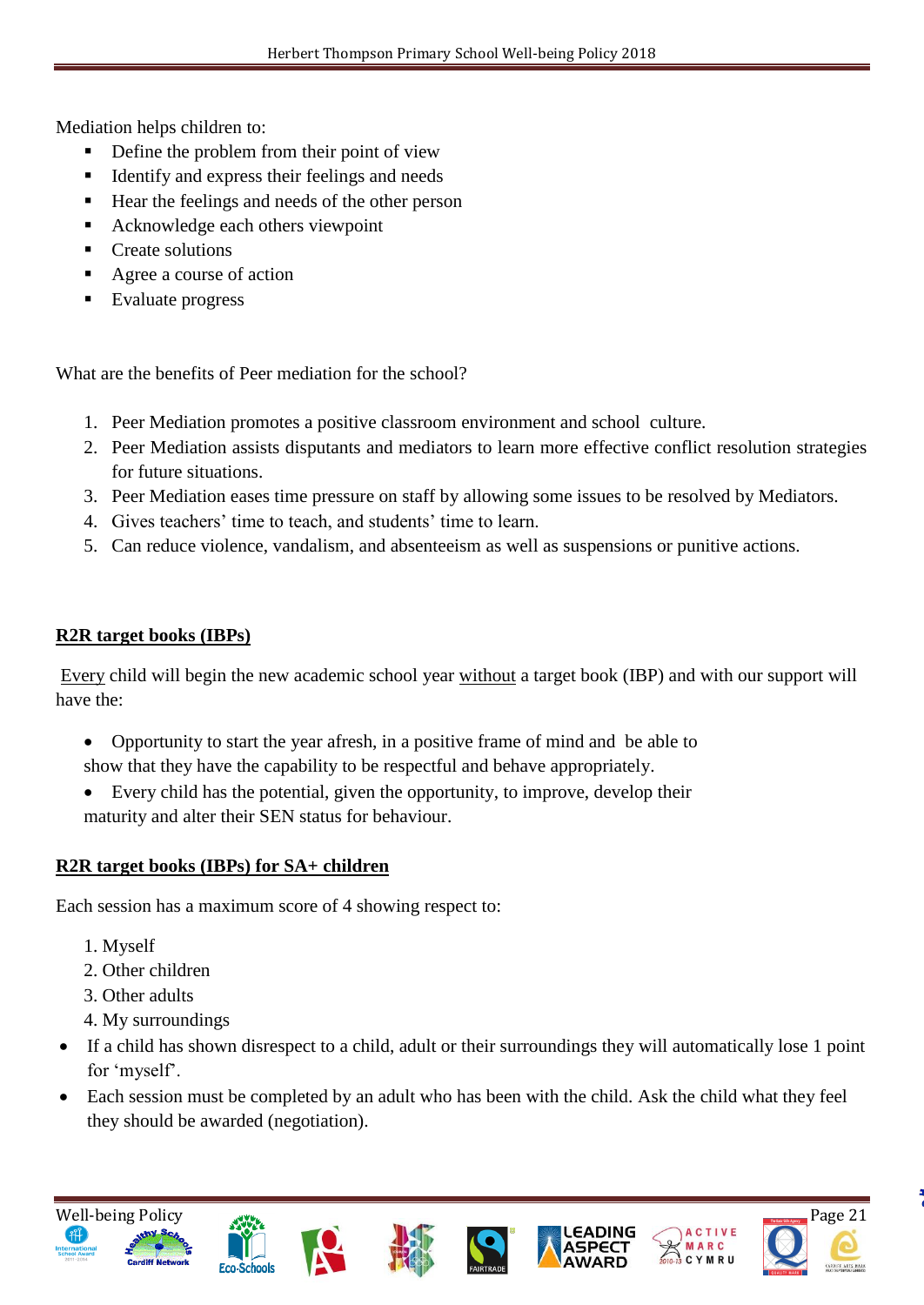Mediation helps children to:

- Define the problem from their point of view
- Identify and express their feelings and needs
- Hear the feelings and needs of the other person
- Acknowledge each others viewpoint
- **Create solutions**
- Agree a course of action
- Evaluate progress

What are the benefits of Peer mediation for the school?

- 1. Peer Mediation promotes a positive classroom environment and school culture.
- 2. Peer Mediation assists disputants and mediators to learn more effective conflict resolution strategies for future situations.
- 3. Peer Mediation eases time pressure on staff by allowing some issues to be resolved by Mediators.
- 4. Gives teachers' time to teach, and students' time to learn.
- 5. Can reduce violence, vandalism, and absenteeism as well as suspensions or punitive actions.

# **R2R target books (IBPs)**

Every child will begin the new academic school year without a target book (IBP) and with our support will have the:

- Opportunity to start the year afresh, in a positive frame of mind and be able to show that they have the capability to be respectful and behave appropriately.
- Every child has the potential, given the opportunity, to improve, develop their maturity and alter their SEN status for behaviour.

# **R2R target books (IBPs) for SA+ children**

Each session has a maximum score of 4 showing respect to:

- 1. Myself
- 2. Other children
- 3. Other adults
- 4. My surroundings
- If a child has shown disrespect to a child, adult or their surroundings they will automatically lose 1 point for 'myself'.
- Each session must be completed by an adult who has been with the child. Ask the child what they feel they should be awarded (negotiation).













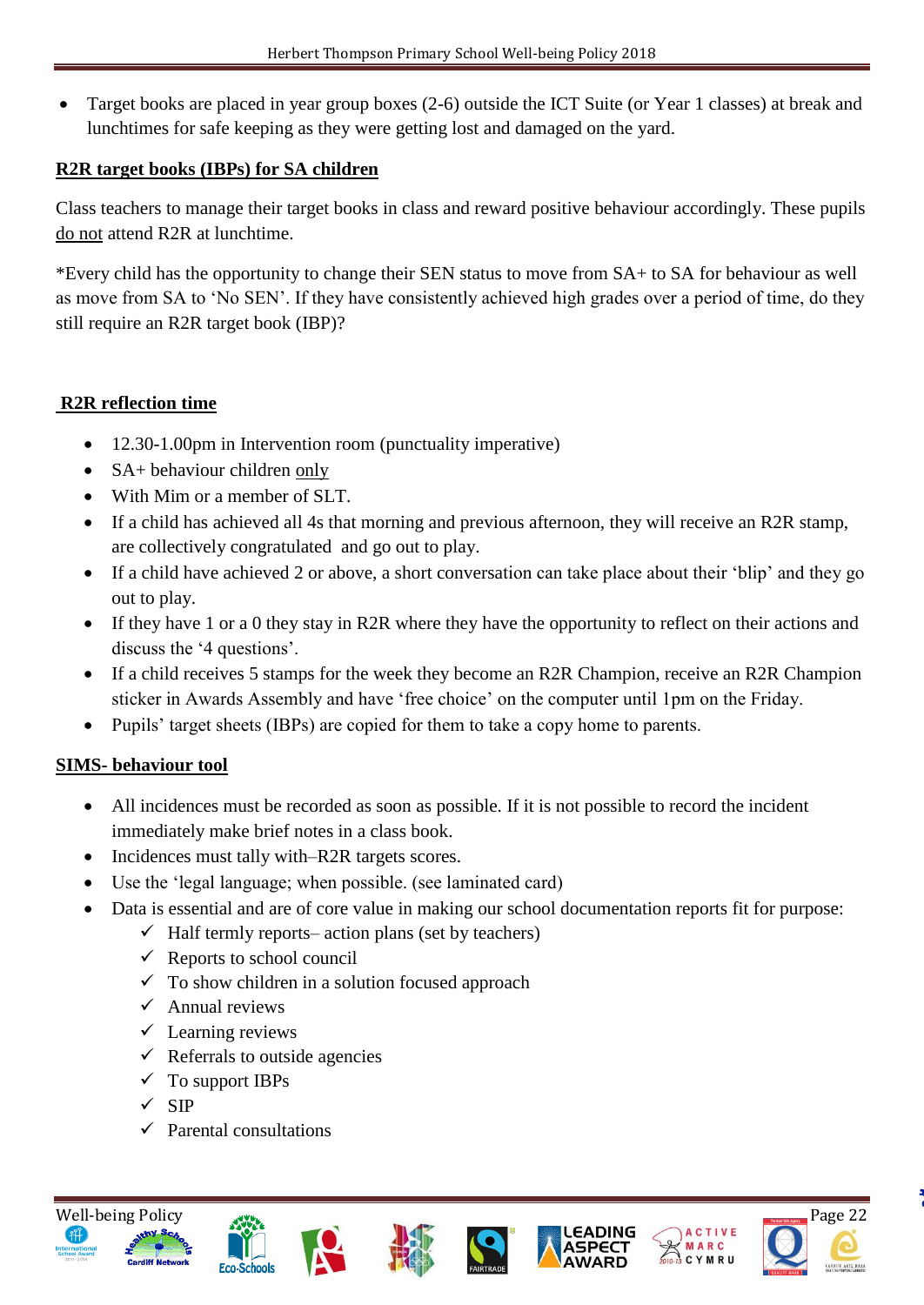Target books are placed in year group boxes (2-6) outside the ICT Suite (or Year 1 classes) at break and lunchtimes for safe keeping as they were getting lost and damaged on the yard.

## **R2R target books (IBPs) for SA children**

Class teachers to manage their target books in class and reward positive behaviour accordingly. These pupils do not attend R2R at lunchtime.

\*Every child has the opportunity to change their SEN status to move from SA+ to SA for behaviour as well as move from SA to 'No SEN'. If they have consistently achieved high grades over a period of time, do they still require an R2R target book (IBP)?

# **R2R reflection time**

- 12.30-1.00pm in Intervention room (punctuality imperative)
- SA+ behaviour children only
- With Mim or a member of SLT.
- If a child has achieved all 4s that morning and previous afternoon, they will receive an R2R stamp, are collectively congratulated and go out to play.
- If a child have achieved 2 or above, a short conversation can take place about their 'blip' and they go out to play.
- If they have 1 or a 0 they stay in R2R where they have the opportunity to reflect on their actions and discuss the '4 questions'.
- If a child receives 5 stamps for the week they become an R2R Champion, receive an R2R Champion sticker in Awards Assembly and have 'free choice' on the computer until 1pm on the Friday.
- Pupils' target sheets (IBPs) are copied for them to take a copy home to parents.

# **SIMS- behaviour tool**

- All incidences must be recorded as soon as possible. If it is not possible to record the incident immediately make brief notes in a class book.
- Incidences must tally with–R2R targets scores.
- Use the 'legal language; when possible. (see laminated card)
- Data is essential and are of core value in making our school documentation reports fit for purpose:
	- $\checkmark$  Half termly reports– action plans (set by teachers)
	- $\checkmark$  Reports to school council
	- $\checkmark$  To show children in a solution focused approach
	- $\checkmark$  Annual reviews
	- $\checkmark$  Learning reviews
	- $\checkmark$  Referrals to outside agencies
	- $\checkmark$  To support IBPs
	- $\checkmark$  SIP
	- $\checkmark$  Parental consultations













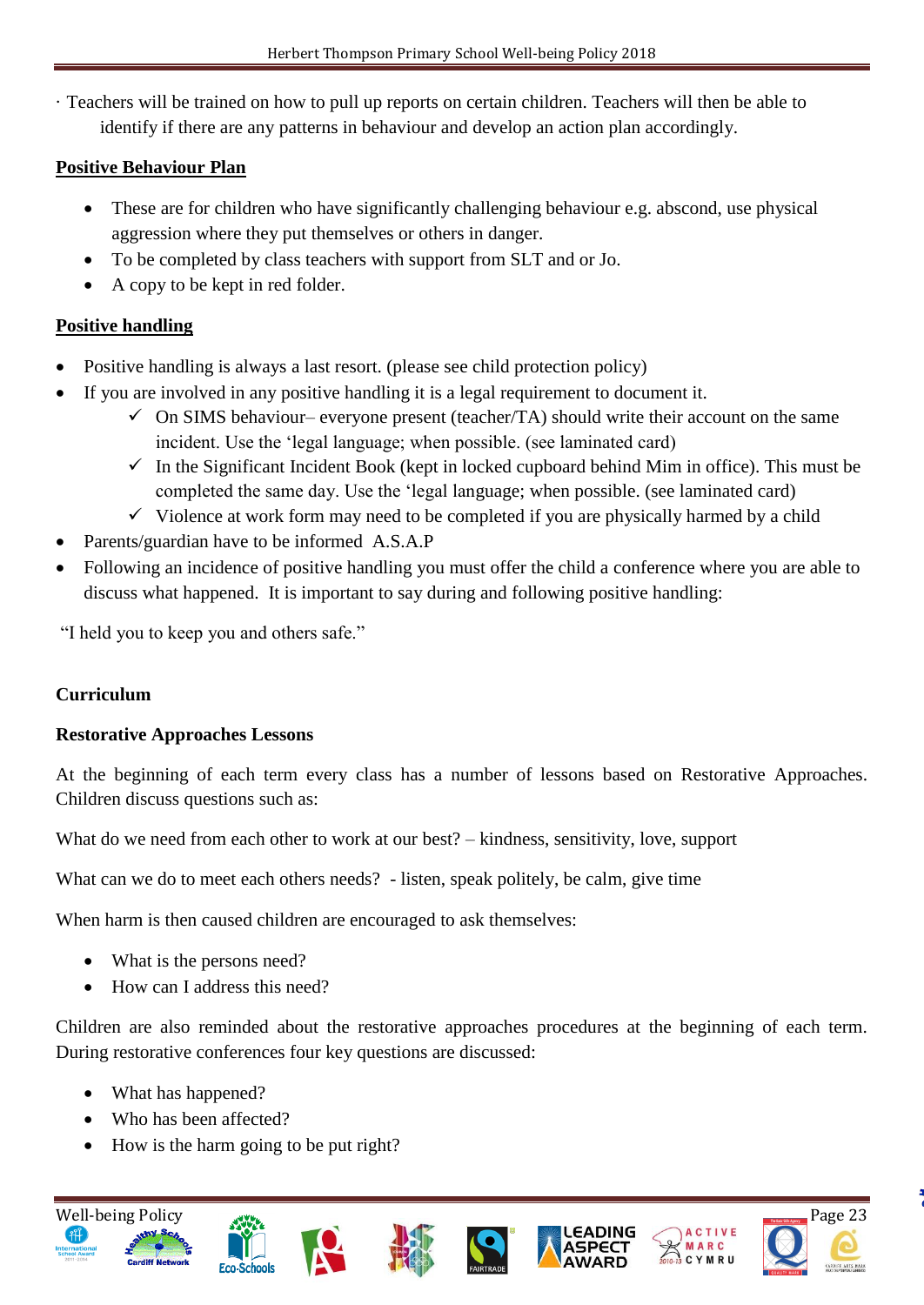· Teachers will be trained on how to pull up reports on certain children. Teachers will then be able to identify if there are any patterns in behaviour and develop an action plan accordingly.

# **Positive Behaviour Plan**

- These are for children who have significantly challenging behaviour e.g. abscond, use physical aggression where they put themselves or others in danger.
- To be completed by class teachers with support from SLT and or Jo.
- A copy to be kept in red folder.

# **Positive handling**

- Positive handling is always a last resort. (please see child protection policy)
- If you are involved in any positive handling it is a legal requirement to document it.
	- $\checkmark$  On SIMS behaviour– everyone present (teacher/TA) should write their account on the same incident. Use the 'legal language; when possible. (see laminated card)
	- $\checkmark$  In the Significant Incident Book (kept in locked cupboard behind Mim in office). This must be completed the same day. Use the 'legal language; when possible. (see laminated card)
	- $\checkmark$  Violence at work form may need to be completed if you are physically harmed by a child
- Parents/guardian have to be informed A.S.A.P
- Following an incidence of positive handling you must offer the child a conference where you are able to discuss what happened. It is important to say during and following positive handling:

"I held you to keep you and others safe."

# **Curriculum**

# **Restorative Approaches Lessons**

At the beginning of each term every class has a number of lessons based on Restorative Approaches. Children discuss questions such as:

What do we need from each other to work at our best? – kindness, sensitivity, love, support

What can we do to meet each others needs? - listen, speak politely, be calm, give time

When harm is then caused children are encouraged to ask themselves:

- What is the persons need?
- How can I address this need?

Children are also reminded about the restorative approaches procedures at the beginning of each term. During restorative conferences four key questions are discussed:

- What has happened?
- Who has been affected?
- How is the harm going to be put right?













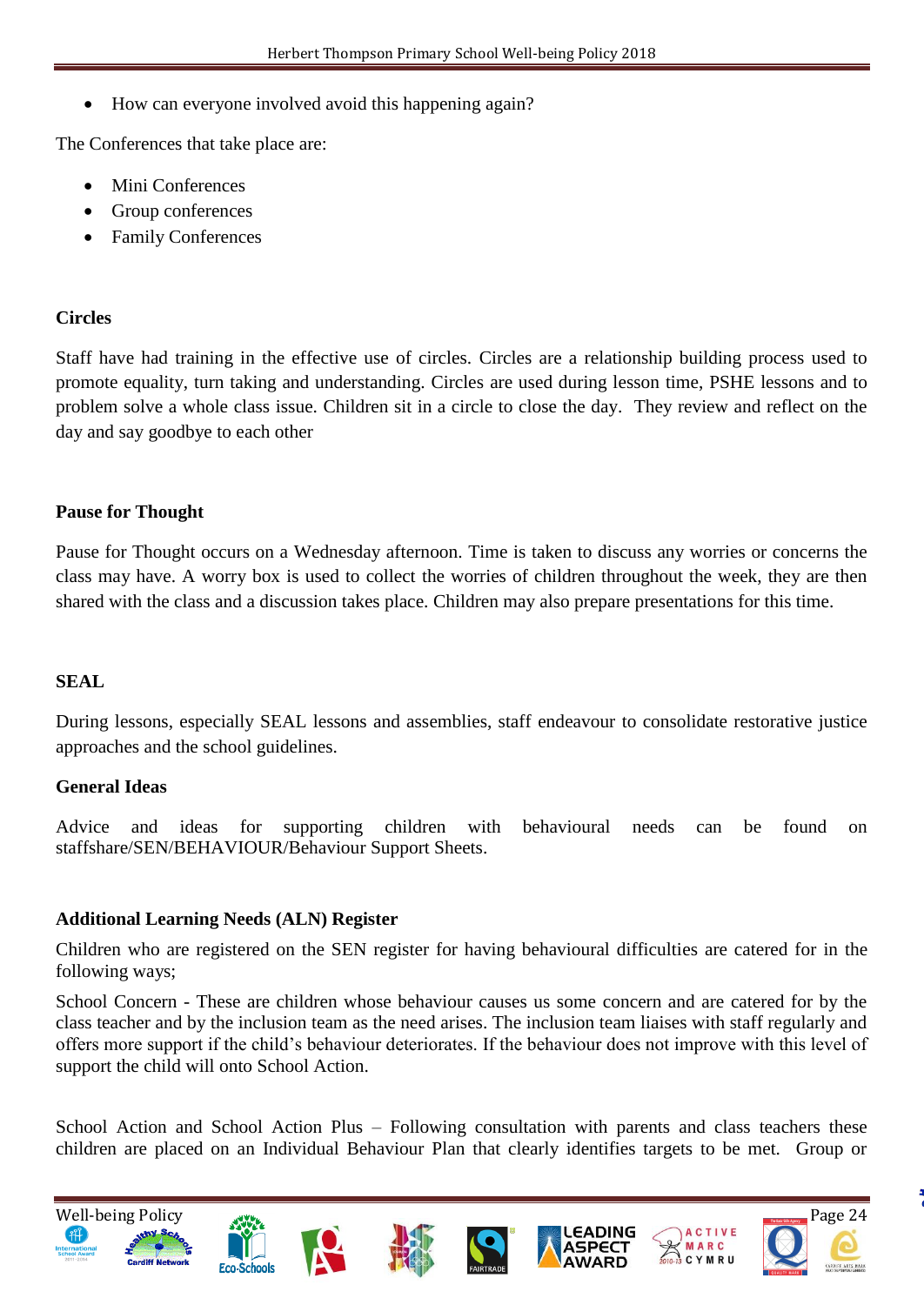How can everyone involved avoid this happening again?

The Conferences that take place are:

- Mini Conferences
- Group conferences
- Family Conferences

#### **Circles**

Staff have had training in the effective use of circles. Circles are a relationship building process used to promote equality, turn taking and understanding. Circles are used during lesson time, PSHE lessons and to problem solve a whole class issue. Children sit in a circle to close the day. They review and reflect on the day and say goodbye to each other

#### **Pause for Thought**

Pause for Thought occurs on a Wednesday afternoon. Time is taken to discuss any worries or concerns the class may have. A worry box is used to collect the worries of children throughout the week, they are then shared with the class and a discussion takes place. Children may also prepare presentations for this time.

#### **SEAL**

During lessons, especially SEAL lessons and assemblies, staff endeavour to consolidate restorative justice approaches and the school guidelines.

#### **General Ideas**

Advice and ideas for supporting children with behavioural needs can be found on staffshare/SEN/BEHAVIOUR/Behaviour Support Sheets.

#### **Additional Learning Needs (ALN) Register**

Children who are registered on the SEN register for having behavioural difficulties are catered for in the following ways;

School Concern - These are children whose behaviour causes us some concern and are catered for by the class teacher and by the inclusion team as the need arises. The inclusion team liaises with staff regularly and offers more support if the child's behaviour deteriorates. If the behaviour does not improve with this level of support the child will onto School Action.

School Action and School Action Plus – Following consultation with parents and class teachers these children are placed on an Individual Behaviour Plan that clearly identifies targets to be met. Group or

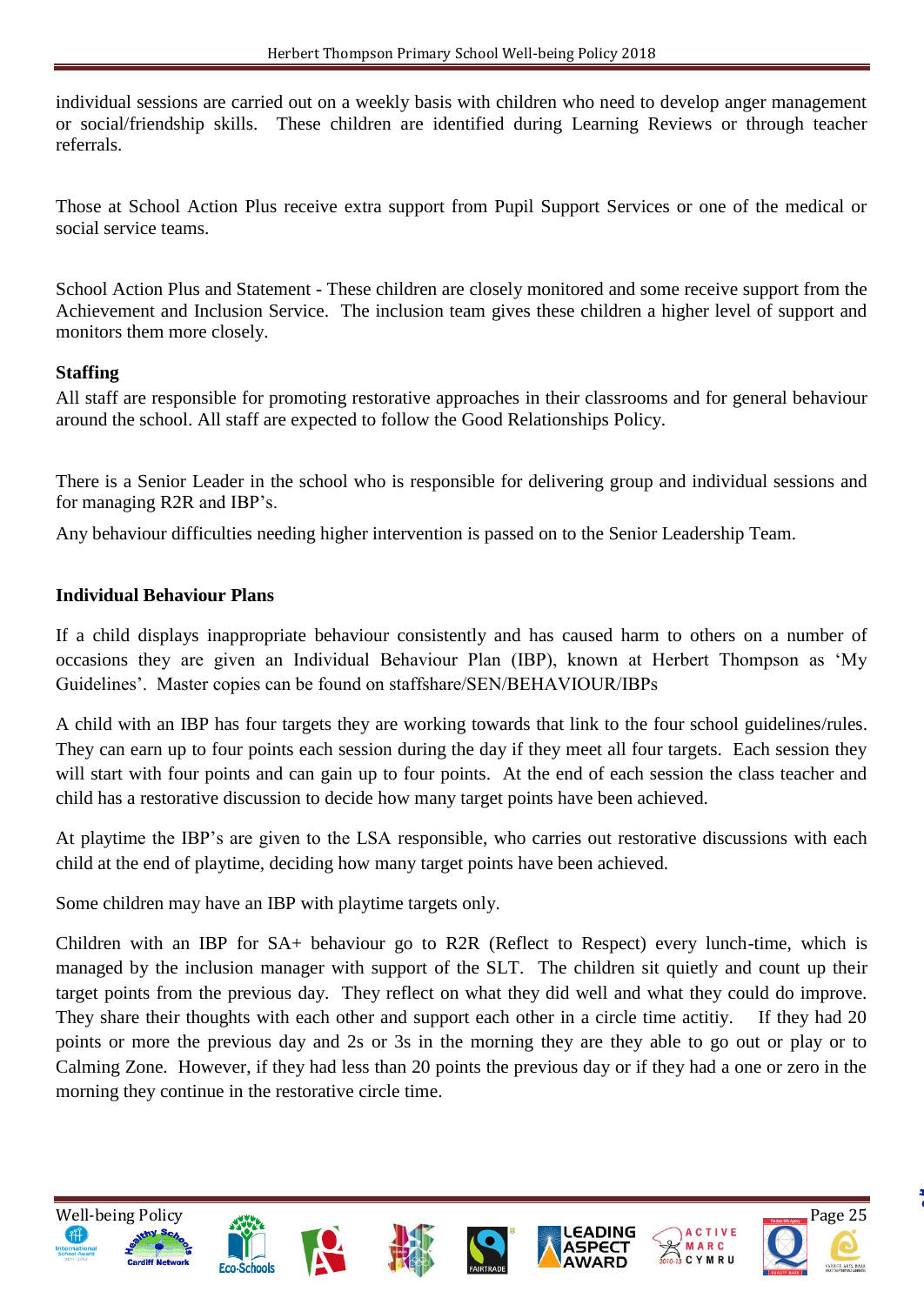individual sessions are carried out on a weekly basis with children who need to develop anger management or social/friendship skills. These children are identified during Learning Reviews or through teacher referrals.

Those at School Action Plus receive extra support from Pupil Support Services or one of the medical or social service teams.

School Action Plus and Statement - These children are closely monitored and some receive support from the Achievement and Inclusion Service. The inclusion team gives these children a higher level of support and monitors them more closely.

#### **Staffing**

All staff are responsible for promoting restorative approaches in their classrooms and for general behaviour around the school. All staff are expected to follow the Good Relationships Policy.

There is a Senior Leader in the school who is responsible for delivering group and individual sessions and for managing R2R and IBP's.

Any behaviour difficulties needing higher intervention is passed on to the Senior Leadership Team.

#### **Individual Behaviour Plans**

If a child displays inappropriate behaviour consistently and has caused harm to others on a number of occasions they are given an Individual Behaviour Plan (IBP), known at Herbert Thompson as 'My Guidelines'. Master copies can be found on staffshare/SEN/BEHAVIOUR/IBPs

A child with an IBP has four targets they are working towards that link to the four school guidelines/rules. They can earn up to four points each session during the day if they meet all four targets. Each session they will start with four points and can gain up to four points. At the end of each session the class teacher and child has a restorative discussion to decide how many target points have been achieved.

At playtime the IBP's are given to the LSA responsible, who carries out restorative discussions with each child at the end of playtime, deciding how many target points have been achieved.

Some children may have an IBP with playtime targets only.

Children with an IBP for SA+ behaviour go to R2R (Reflect to Respect) every lunch-time, which is managed by the inclusion manager with support of the SLT. The children sit quietly and count up their target points from the previous day. They reflect on what they did well and what they could do improve. They share their thoughts with each other and support each other in a circle time actitiy. If they had 20 points or more the previous day and 2s or 3s in the morning they are they able to go out or play or to Calming Zone. However, if they had less than 20 points the previous day or if they had a one or zero in the morning they continue in the restorative circle time.

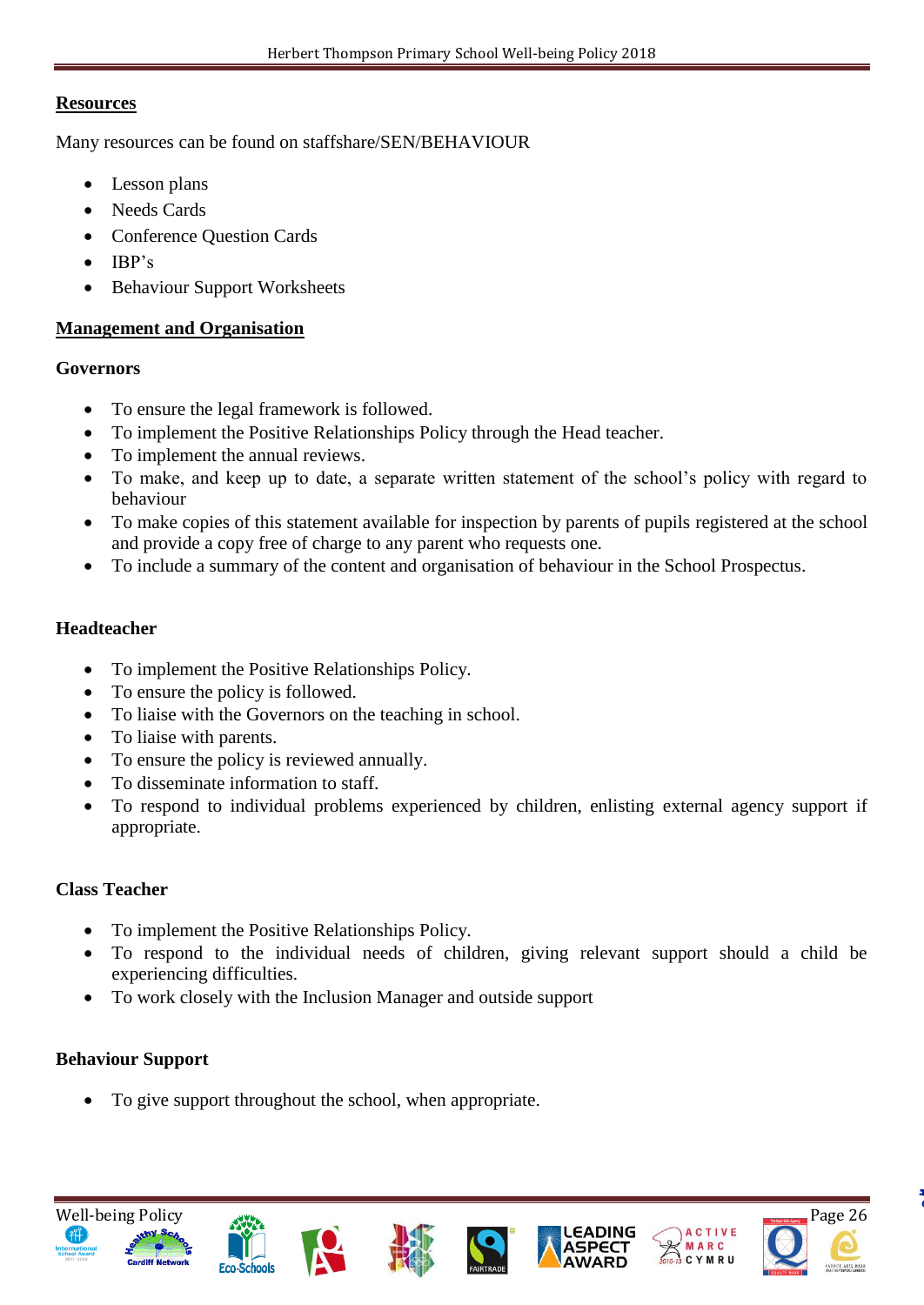#### **Resources**

Many resources can be found on staffshare/SEN/BEHAVIOUR

- Lesson plans
- Needs Cards
- Conference Ouestion Cards
- $\bullet$  IBP's
- Behaviour Support Worksheets

#### **Management and Organisation**

#### **Governors**

- To ensure the legal framework is followed.
- To implement the Positive Relationships Policy through the Head teacher.
- To implement the annual reviews.
- To make, and keep up to date, a separate written statement of the school's policy with regard to behaviour
- To make copies of this statement available for inspection by parents of pupils registered at the school and provide a copy free of charge to any parent who requests one.
- To include a summary of the content and organisation of behaviour in the School Prospectus.

#### **Headteacher**

- To implement the Positive Relationships Policy.
- To ensure the policy is followed.
- To liaise with the Governors on the teaching in school.
- To liaise with parents.
- To ensure the policy is reviewed annually.
- To disseminate information to staff.
- To respond to individual problems experienced by children, enlisting external agency support if appropriate.

#### **Class Teacher**

- To implement the Positive Relationships Policy.
- To respond to the individual needs of children, giving relevant support should a child be experiencing difficulties.
- To work closely with the Inclusion Manager and outside support

# **Behaviour Support**

To give support throughout the school, when appropriate.



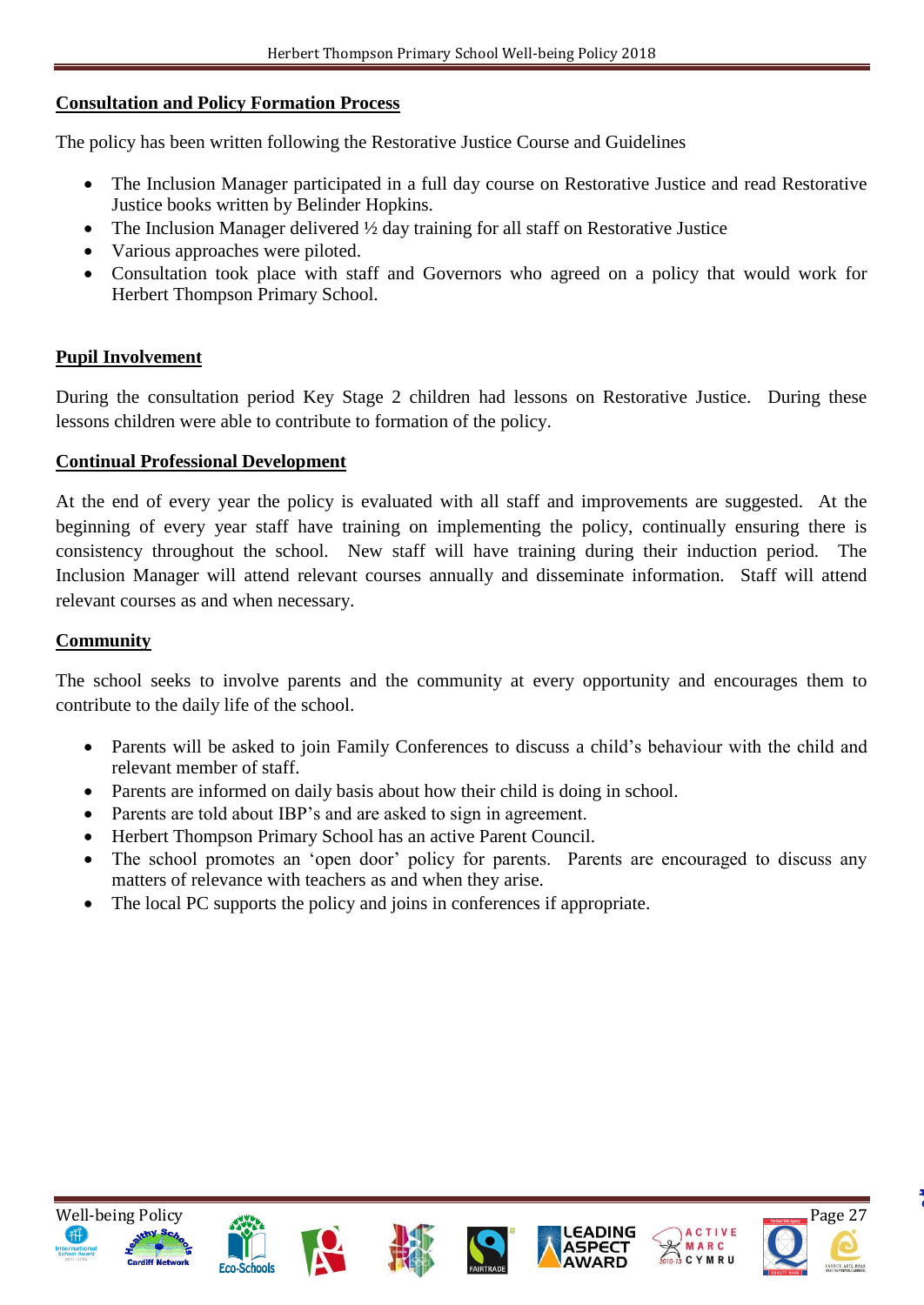#### **Consultation and Policy Formation Process**

The policy has been written following the Restorative Justice Course and Guidelines

- The Inclusion Manager participated in a full day course on Restorative Justice and read Restorative Justice books written by Belinder Hopkins.
- The Inclusion Manager delivered  $\frac{1}{2}$  day training for all staff on Restorative Justice
- Various approaches were piloted.
- Consultation took place with staff and Governors who agreed on a policy that would work for Herbert Thompson Primary School.

#### **Pupil Involvement**

During the consultation period Key Stage 2 children had lessons on Restorative Justice. During these lessons children were able to contribute to formation of the policy.

#### **Continual Professional Development**

At the end of every year the policy is evaluated with all staff and improvements are suggested. At the beginning of every year staff have training on implementing the policy, continually ensuring there is consistency throughout the school. New staff will have training during their induction period. The Inclusion Manager will attend relevant courses annually and disseminate information. Staff will attend relevant courses as and when necessary.

#### **Community**

The school seeks to involve parents and the community at every opportunity and encourages them to contribute to the daily life of the school.

- Parents will be asked to join Family Conferences to discuss a child's behaviour with the child and relevant member of staff.
- Parents are informed on daily basis about how their child is doing in school.
- Parents are told about IBP's and are asked to sign in agreement.
- Herbert Thompson Primary School has an active Parent Council.
- The school promotes an 'open door' policy for parents. Parents are encouraged to discuss any matters of relevance with teachers as and when they arise.
- The local PC supports the policy and joins in conferences if appropriate.













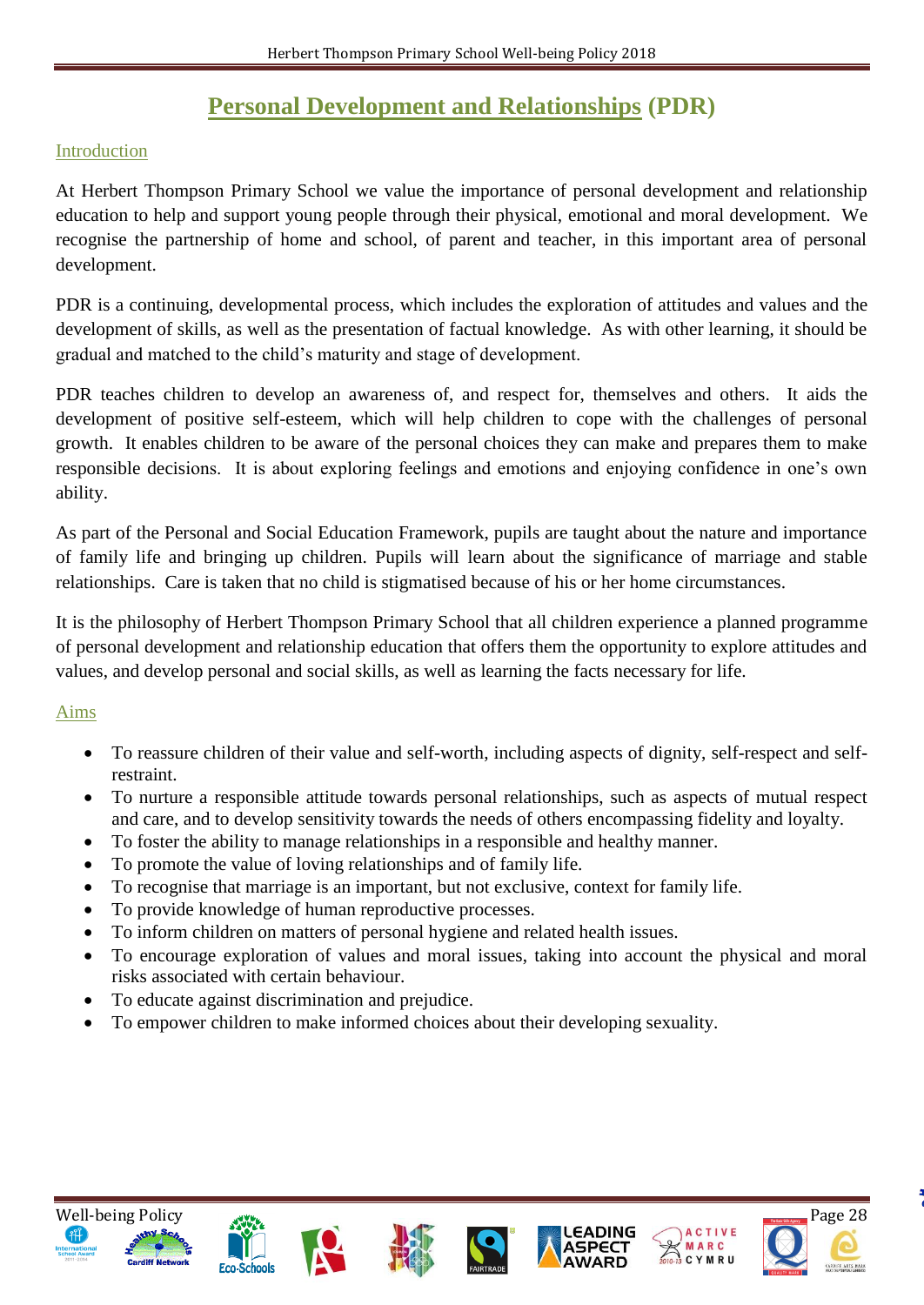# **Personal Development and Relationships (PDR)**

### Introduction

At Herbert Thompson Primary School we value the importance of personal development and relationship education to help and support young people through their physical, emotional and moral development. We recognise the partnership of home and school, of parent and teacher, in this important area of personal development.

PDR is a continuing, developmental process, which includes the exploration of attitudes and values and the development of skills, as well as the presentation of factual knowledge. As with other learning, it should be gradual and matched to the child's maturity and stage of development.

PDR teaches children to develop an awareness of, and respect for, themselves and others. It aids the development of positive self-esteem, which will help children to cope with the challenges of personal growth. It enables children to be aware of the personal choices they can make and prepares them to make responsible decisions. It is about exploring feelings and emotions and enjoying confidence in one's own ability.

As part of the Personal and Social Education Framework, pupils are taught about the nature and importance of family life and bringing up children. Pupils will learn about the significance of marriage and stable relationships. Care is taken that no child is stigmatised because of his or her home circumstances.

It is the philosophy of Herbert Thompson Primary School that all children experience a planned programme of personal development and relationship education that offers them the opportunity to explore attitudes and values, and develop personal and social skills, as well as learning the facts necessary for life.

#### Aims

- To reassure children of their value and self-worth, including aspects of dignity, self-respect and selfrestraint.
- To nurture a responsible attitude towards personal relationships, such as aspects of mutual respect and care, and to develop sensitivity towards the needs of others encompassing fidelity and loyalty.
- To foster the ability to manage relationships in a responsible and healthy manner.
- To promote the value of loving relationships and of family life.
- To recognise that marriage is an important, but not exclusive, context for family life.
- To provide knowledge of human reproductive processes.
- To inform children on matters of personal hygiene and related health issues.
- To encourage exploration of values and moral issues, taking into account the physical and moral risks associated with certain behaviour.
- To educate against discrimination and prejudice.
- To empower children to make informed choices about their developing sexuality.













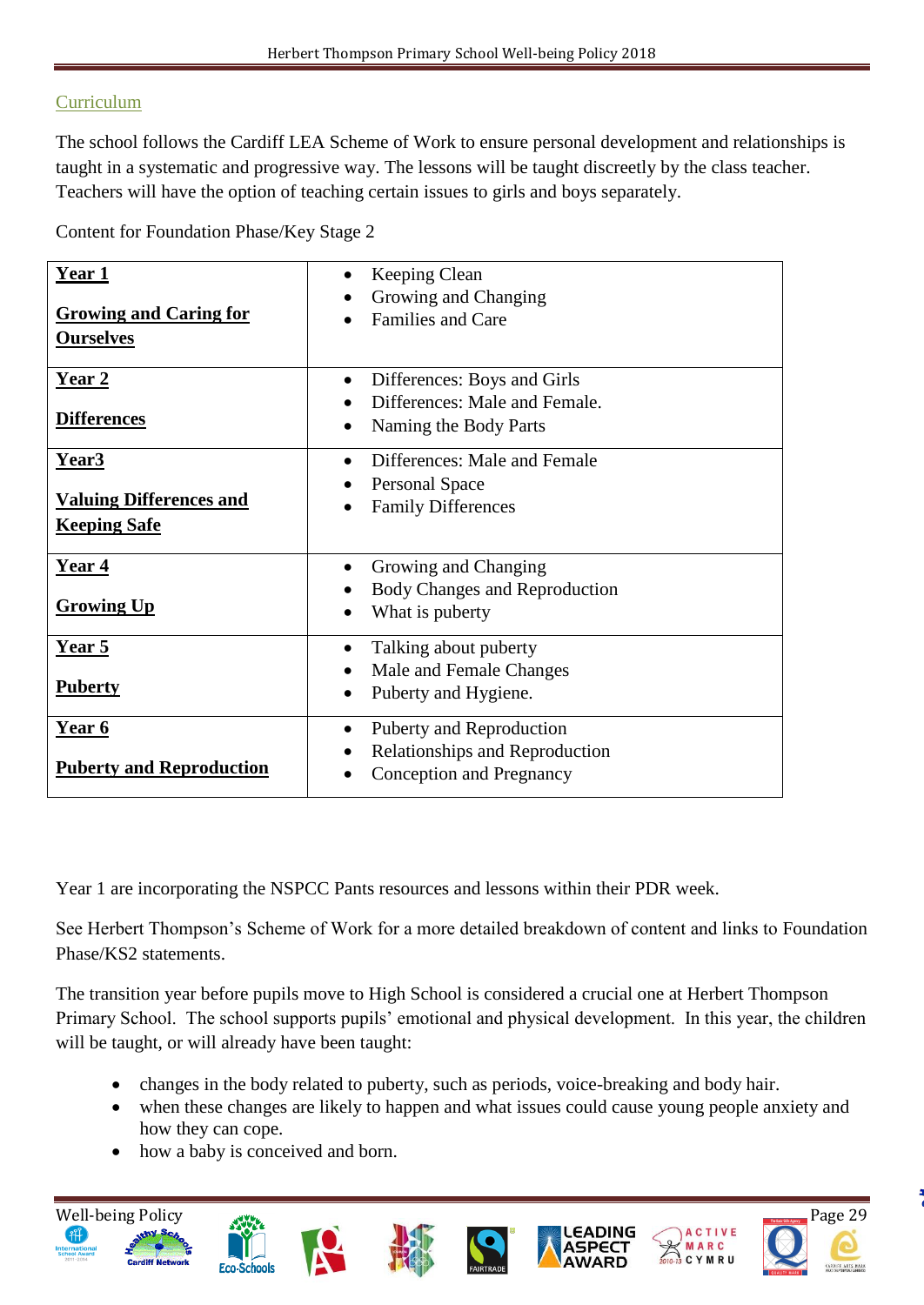# **Curriculum**

The school follows the Cardiff LEA Scheme of Work to ensure personal development and relationships is taught in a systematic and progressive way. The lessons will be taught discreetly by the class teacher. Teachers will have the option of teaching certain issues to girls and boys separately.

Content for Foundation Phase/Key Stage 2

| Year <sub>1</sub><br><b>Growing and Caring for</b><br><b>Ourselves</b> | Keeping Clean<br>Growing and Changing<br><b>Families and Care</b>                                  |
|------------------------------------------------------------------------|----------------------------------------------------------------------------------------------------|
| Year 2<br><b>Differences</b>                                           | Differences: Boys and Girls<br>$\bullet$<br>Differences: Male and Female.<br>Naming the Body Parts |
| <u>Year3</u><br><b>Valuing Differences and</b><br><b>Keeping Safe</b>  | Differences: Male and Female<br><b>Personal Space</b><br><b>Family Differences</b>                 |
| Year 4<br><b>Growing Up</b>                                            | Growing and Changing<br>Body Changes and Reproduction<br>What is puberty                           |
| Year 5<br><b>Puberty</b>                                               | Talking about puberty<br>Male and Female Changes<br>Puberty and Hygiene.                           |
| Year 6<br><b>Puberty and Reproduction</b>                              | Puberty and Reproduction<br>Relationships and Reproduction<br>Conception and Pregnancy             |

Year 1 are incorporating the NSPCC Pants resources and lessons within their PDR week.

See Herbert Thompson's Scheme of Work for a more detailed breakdown of content and links to Foundation Phase/KS2 statements.

The transition year before pupils move to High School is considered a crucial one at Herbert Thompson Primary School. The school supports pupils' emotional and physical development. In this year, the children will be taught, or will already have been taught:

- changes in the body related to puberty, such as periods, voice-breaking and body hair.
- when these changes are likely to happen and what issues could cause young people anxiety and how they can cope.
- how a baby is conceived and born.

**Eco-Schools** 

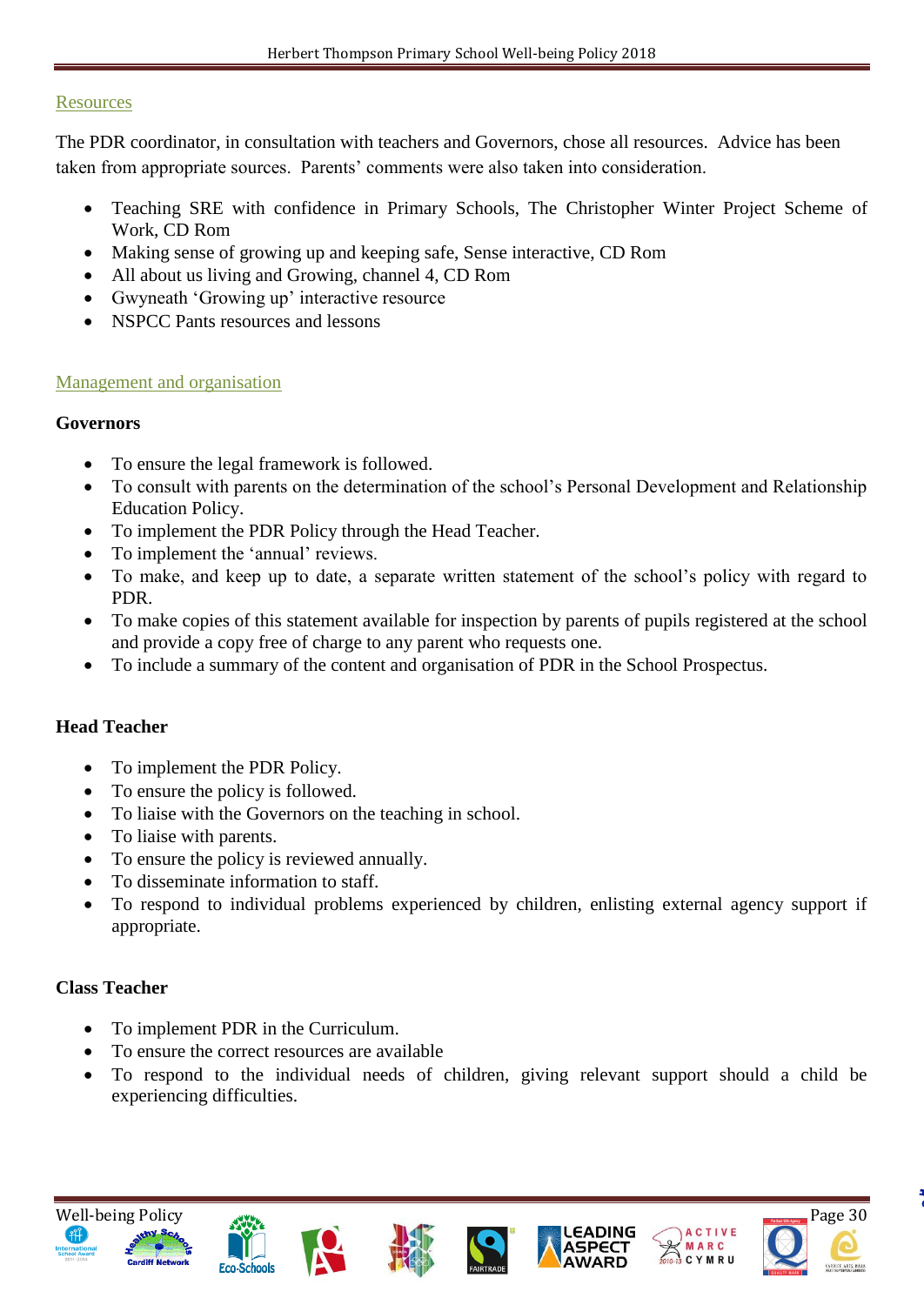#### **Resources**

The PDR coordinator, in consultation with teachers and Governors, chose all resources. Advice has been taken from appropriate sources. Parents' comments were also taken into consideration.

- Teaching SRE with confidence in Primary Schools, The Christopher Winter Project Scheme of Work, CD Rom
- Making sense of growing up and keeping safe, Sense interactive, CD Rom
- All about us living and Growing, channel 4, CD Rom
- Gwyneath 'Growing up' interactive resource
- NSPCC Pants resources and lessons

#### Management and organisation

#### **Governors**

- To ensure the legal framework is followed.
- To consult with parents on the determination of the school's Personal Development and Relationship Education Policy.
- To implement the PDR Policy through the Head Teacher.
- To implement the 'annual' reviews.
- To make, and keep up to date, a separate written statement of the school's policy with regard to PDR.
- To make copies of this statement available for inspection by parents of pupils registered at the school and provide a copy free of charge to any parent who requests one.
- To include a summary of the content and organisation of PDR in the School Prospectus.

#### **Head Teacher**

- To implement the PDR Policy.
- To ensure the policy is followed.
- To liaise with the Governors on the teaching in school.
- To liaise with parents.
- To ensure the policy is reviewed annually.
- To disseminate information to staff.
- To respond to individual problems experienced by children, enlisting external agency support if appropriate.

#### **Class Teacher**

- To implement PDR in the Curriculum.
- To ensure the correct resources are available
- To respond to the individual needs of children, giving relevant support should a child be experiencing difficulties.













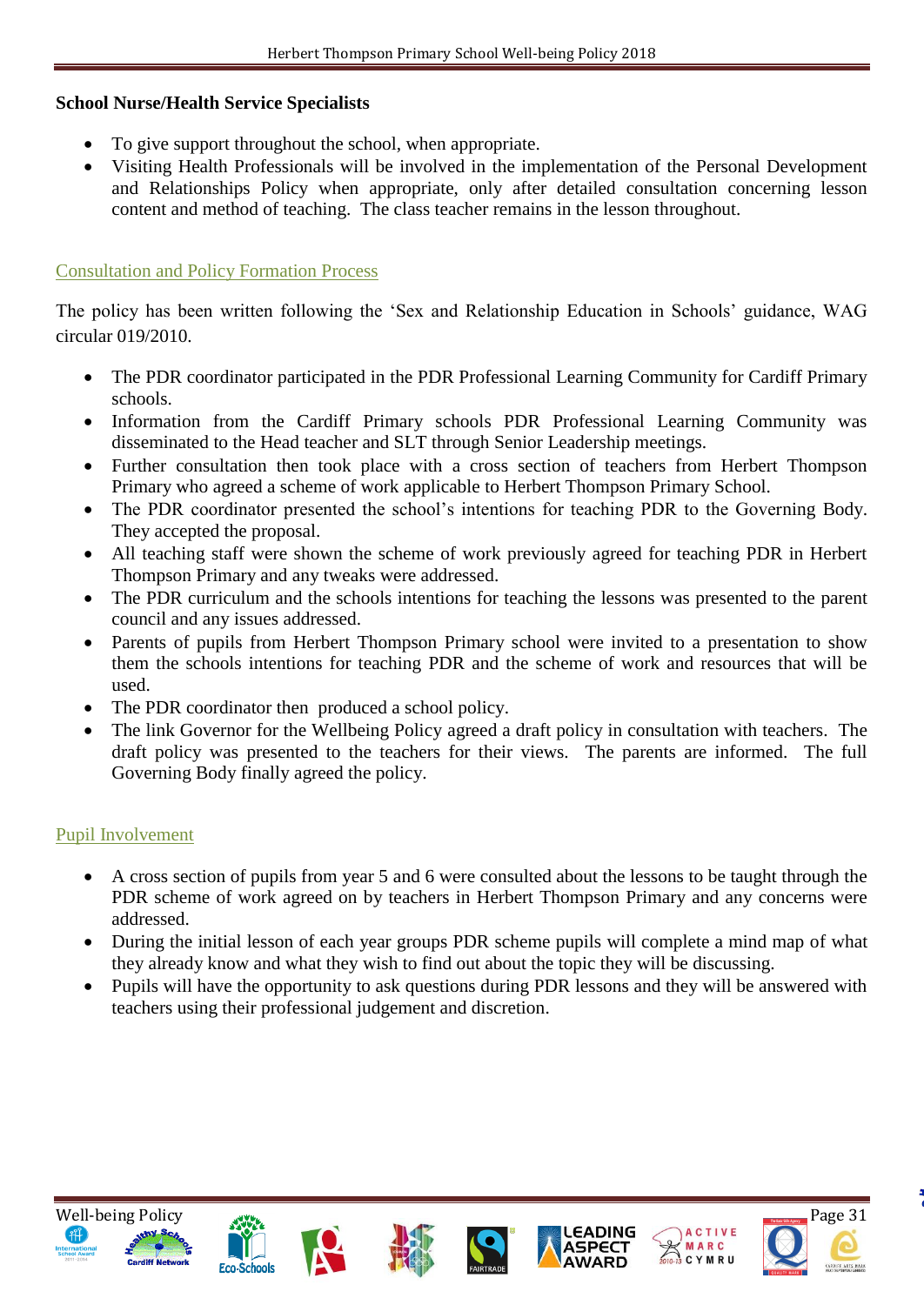#### **School Nurse/Health Service Specialists**

- To give support throughout the school, when appropriate.
- Visiting Health Professionals will be involved in the implementation of the Personal Development and Relationships Policy when appropriate, only after detailed consultation concerning lesson content and method of teaching. The class teacher remains in the lesson throughout.

#### Consultation and Policy Formation Process

The policy has been written following the 'Sex and Relationship Education in Schools' guidance, WAG circular 019/2010.

- The PDR coordinator participated in the PDR Professional Learning Community for Cardiff Primary schools.
- Information from the Cardiff Primary schools PDR Professional Learning Community was disseminated to the Head teacher and SLT through Senior Leadership meetings.
- Further consultation then took place with a cross section of teachers from Herbert Thompson Primary who agreed a scheme of work applicable to Herbert Thompson Primary School.
- The PDR coordinator presented the school's intentions for teaching PDR to the Governing Body. They accepted the proposal.
- All teaching staff were shown the scheme of work previously agreed for teaching PDR in Herbert Thompson Primary and any tweaks were addressed.
- The PDR curriculum and the schools intentions for teaching the lessons was presented to the parent council and any issues addressed.
- Parents of pupils from Herbert Thompson Primary school were invited to a presentation to show them the schools intentions for teaching PDR and the scheme of work and resources that will be used.
- The PDR coordinator then produced a school policy.
- The link Governor for the Wellbeing Policy agreed a draft policy in consultation with teachers. The draft policy was presented to the teachers for their views. The parents are informed. The full Governing Body finally agreed the policy.

#### Pupil Involvement

- A cross section of pupils from year 5 and 6 were consulted about the lessons to be taught through the PDR scheme of work agreed on by teachers in Herbert Thompson Primary and any concerns were addressed.
- During the initial lesson of each year groups PDR scheme pupils will complete a mind map of what they already know and what they wish to find out about the topic they will be discussing.
- Pupils will have the opportunity to ask questions during PDR lessons and they will be answered with teachers using their professional judgement and discretion.













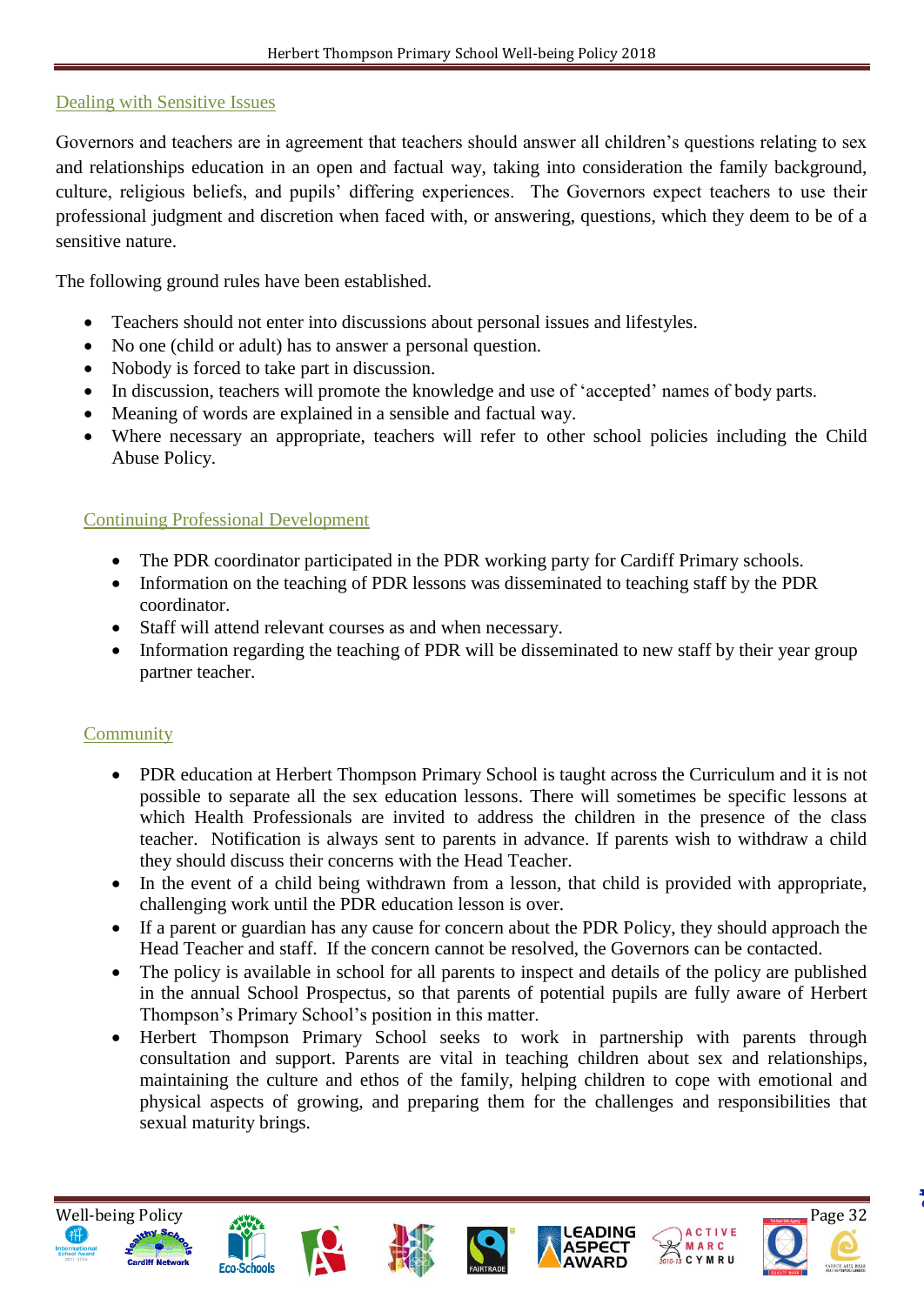#### Dealing with Sensitive Issues

Governors and teachers are in agreement that teachers should answer all children's questions relating to sex and relationships education in an open and factual way, taking into consideration the family background, culture, religious beliefs, and pupils' differing experiences. The Governors expect teachers to use their professional judgment and discretion when faced with, or answering, questions, which they deem to be of a sensitive nature.

The following ground rules have been established.

- Teachers should not enter into discussions about personal issues and lifestyles.
- No one (child or adult) has to answer a personal question.
- Nobody is forced to take part in discussion.
- In discussion, teachers will promote the knowledge and use of 'accepted' names of body parts.
- Meaning of words are explained in a sensible and factual way.
- Where necessary an appropriate, teachers will refer to other school policies including the Child Abuse Policy.

#### Continuing Professional Development

- The PDR coordinator participated in the PDR working party for Cardiff Primary schools.
- Information on the teaching of PDR lessons was disseminated to teaching staff by the PDR coordinator.
- Staff will attend relevant courses as and when necessary.
- Information regarding the teaching of PDR will be disseminated to new staff by their year group partner teacher.

#### **Community**

- PDR education at Herbert Thompson Primary School is taught across the Curriculum and it is not possible to separate all the sex education lessons. There will sometimes be specific lessons at which Health Professionals are invited to address the children in the presence of the class teacher. Notification is always sent to parents in advance. If parents wish to withdraw a child they should discuss their concerns with the Head Teacher.
- In the event of a child being withdrawn from a lesson, that child is provided with appropriate, challenging work until the PDR education lesson is over.
- If a parent or guardian has any cause for concern about the PDR Policy, they should approach the Head Teacher and staff. If the concern cannot be resolved, the Governors can be contacted.
- The policy is available in school for all parents to inspect and details of the policy are published in the annual School Prospectus, so that parents of potential pupils are fully aware of Herbert Thompson's Primary School's position in this matter.
- Herbert Thompson Primary School seeks to work in partnership with parents through consultation and support. Parents are vital in teaching children about sex and relationships, maintaining the culture and ethos of the family, helping children to cope with emotional and physical aspects of growing, and preparing them for the challenges and responsibilities that sexual maturity brings.













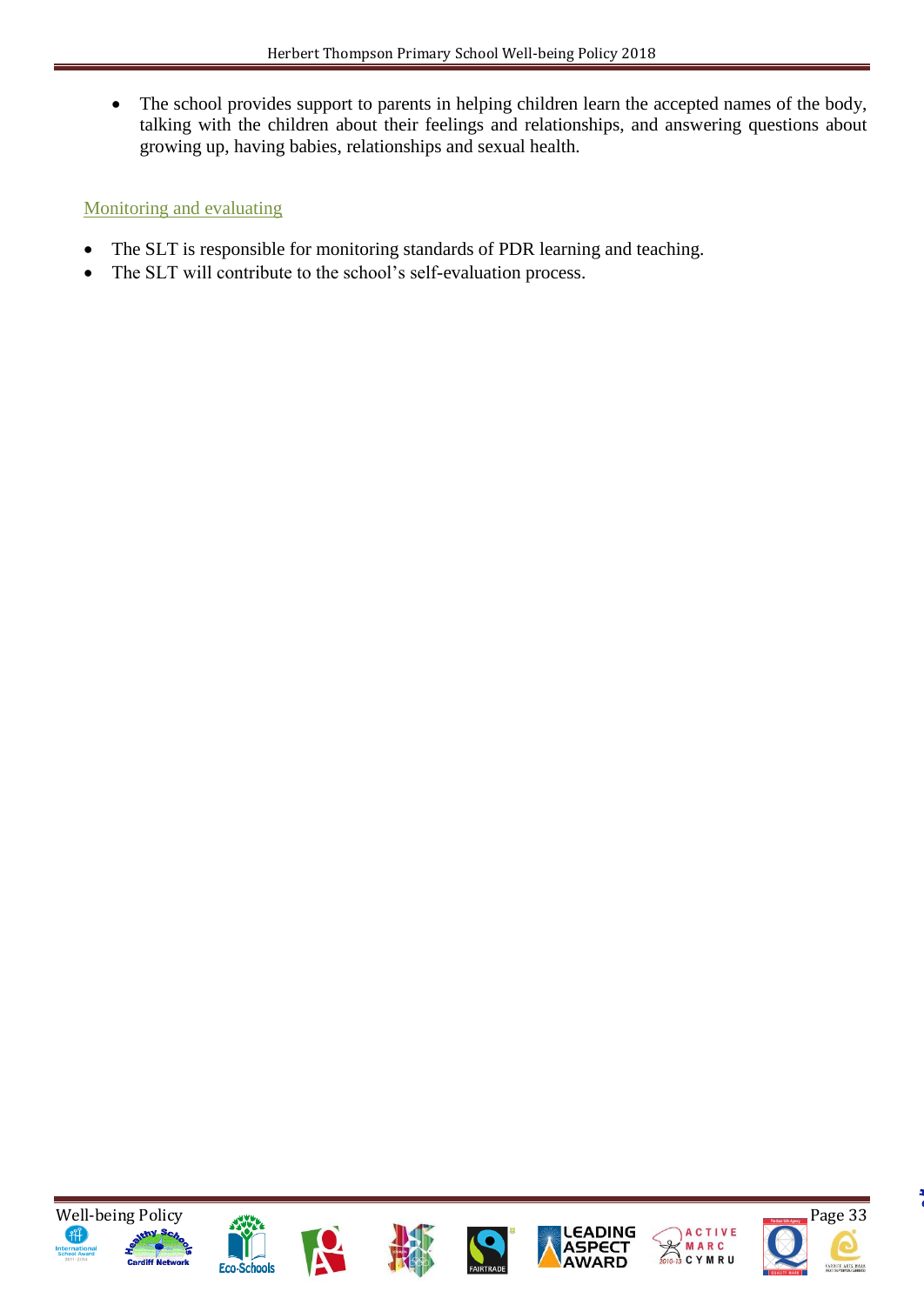• The school provides support to parents in helping children learn the accepted names of the body, talking with the children about their feelings and relationships, and answering questions about growing up, having babies, relationships and sexual health.

# Monitoring and evaluating

- The SLT is responsible for monitoring standards of PDR learning and teaching.
- The SLT will contribute to the school's self-evaluation process.















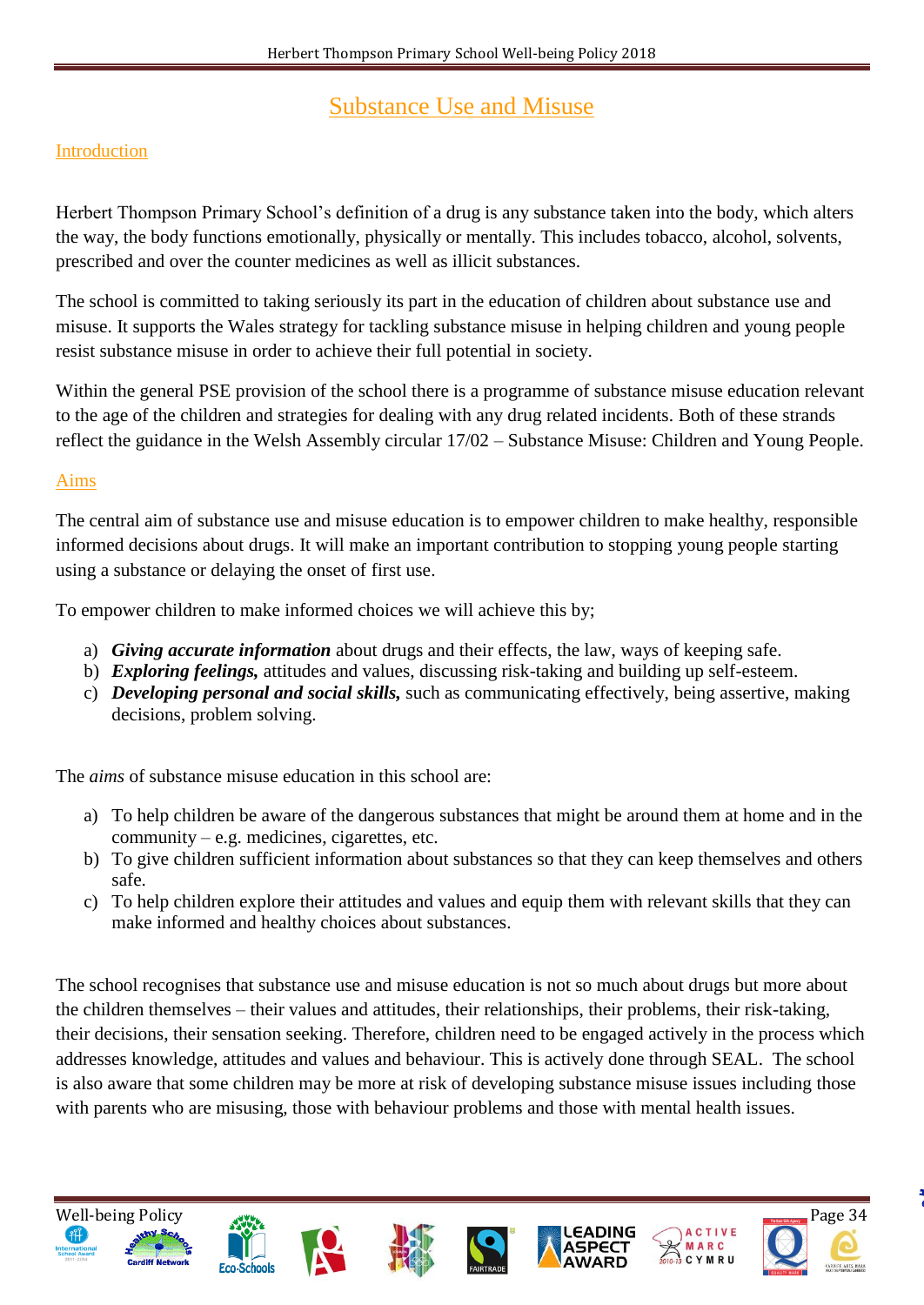# Substance Use and Misuse

### Introduction

Herbert Thompson Primary School's definition of a drug is any substance taken into the body, which alters the way, the body functions emotionally, physically or mentally. This includes tobacco, alcohol, solvents, prescribed and over the counter medicines as well as illicit substances.

The school is committed to taking seriously its part in the education of children about substance use and misuse. It supports the Wales strategy for tackling substance misuse in helping children and young people resist substance misuse in order to achieve their full potential in society.

Within the general PSE provision of the school there is a programme of substance misuse education relevant to the age of the children and strategies for dealing with any drug related incidents. Both of these strands reflect the guidance in the Welsh Assembly circular 17/02 – Substance Misuse: Children and Young People.

#### Aims

The central aim of substance use and misuse education is to empower children to make healthy, responsible informed decisions about drugs. It will make an important contribution to stopping young people starting using a substance or delaying the onset of first use.

To empower children to make informed choices we will achieve this by;

- a) *Giving accurate information* about drugs and their effects, the law, ways of keeping safe.
- b) *Exploring feelings,* attitudes and values, discussing risk-taking and building up self-esteem.
- c) *Developing personal and social skills,* such as communicating effectively, being assertive, making decisions, problem solving.

The *aims* of substance misuse education in this school are:

- a) To help children be aware of the dangerous substances that might be around them at home and in the community – e.g. medicines, cigarettes, etc.
- b) To give children sufficient information about substances so that they can keep themselves and others safe.
- c) To help children explore their attitudes and values and equip them with relevant skills that they can make informed and healthy choices about substances.

The school recognises that substance use and misuse education is not so much about drugs but more about the children themselves – their values and attitudes, their relationships, their problems, their risk-taking, their decisions, their sensation seeking. Therefore, children need to be engaged actively in the process which addresses knowledge, attitudes and values and behaviour. This is actively done through SEAL. The school is also aware that some children may be more at risk of developing substance misuse issues including those with parents who are misusing, those with behaviour problems and those with mental health issues.

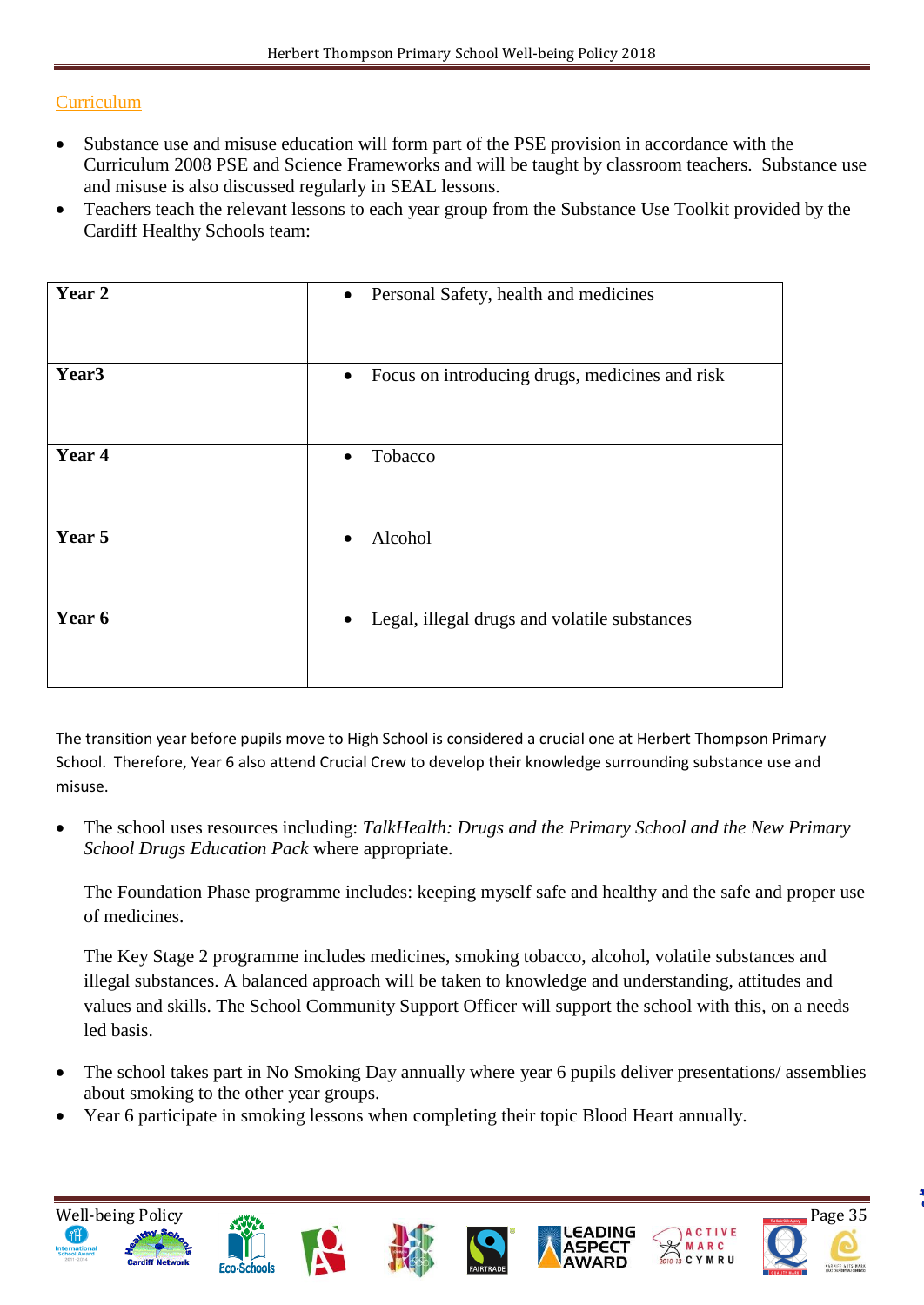### **Curriculum**

- Substance use and misuse education will form part of the PSE provision in accordance with the Curriculum 2008 PSE and Science Frameworks and will be taught by classroom teachers. Substance use and misuse is also discussed regularly in SEAL lessons.
- Teachers teach the relevant lessons to each year group from the Substance Use Toolkit provided by the Cardiff Healthy Schools team:

| Year 2            | Personal Safety, health and medicines<br>$\bullet$          |
|-------------------|-------------------------------------------------------------|
| Year <sub>3</sub> | Focus on introducing drugs, medicines and risk<br>$\bullet$ |
| Year 4            | Tobacco<br>$\bullet$                                        |
| Year 5            | Alcohol<br>$\bullet$                                        |
| Year 6            | Legal, illegal drugs and volatile substances<br>$\bullet$   |

The transition year before pupils move to High School is considered a crucial one at Herbert Thompson Primary School. Therefore, Year 6 also attend Crucial Crew to develop their knowledge surrounding substance use and misuse.

 The school uses resources including: *TalkHealth: Drugs and the Primary School and the New Primary School Drugs Education Pack* where appropriate.

The Foundation Phase programme includes: keeping myself safe and healthy and the safe and proper use of medicines.

The Key Stage 2 programme includes medicines, smoking tobacco, alcohol, volatile substances and illegal substances. A balanced approach will be taken to knowledge and understanding, attitudes and values and skills. The School Community Support Officer will support the school with this, on a needs led basis.

- The school takes part in No Smoking Day annually where year 6 pupils deliver presentations/ assemblies about smoking to the other year groups.
- Year 6 participate in smoking lessons when completing their topic Blood Heart annually.

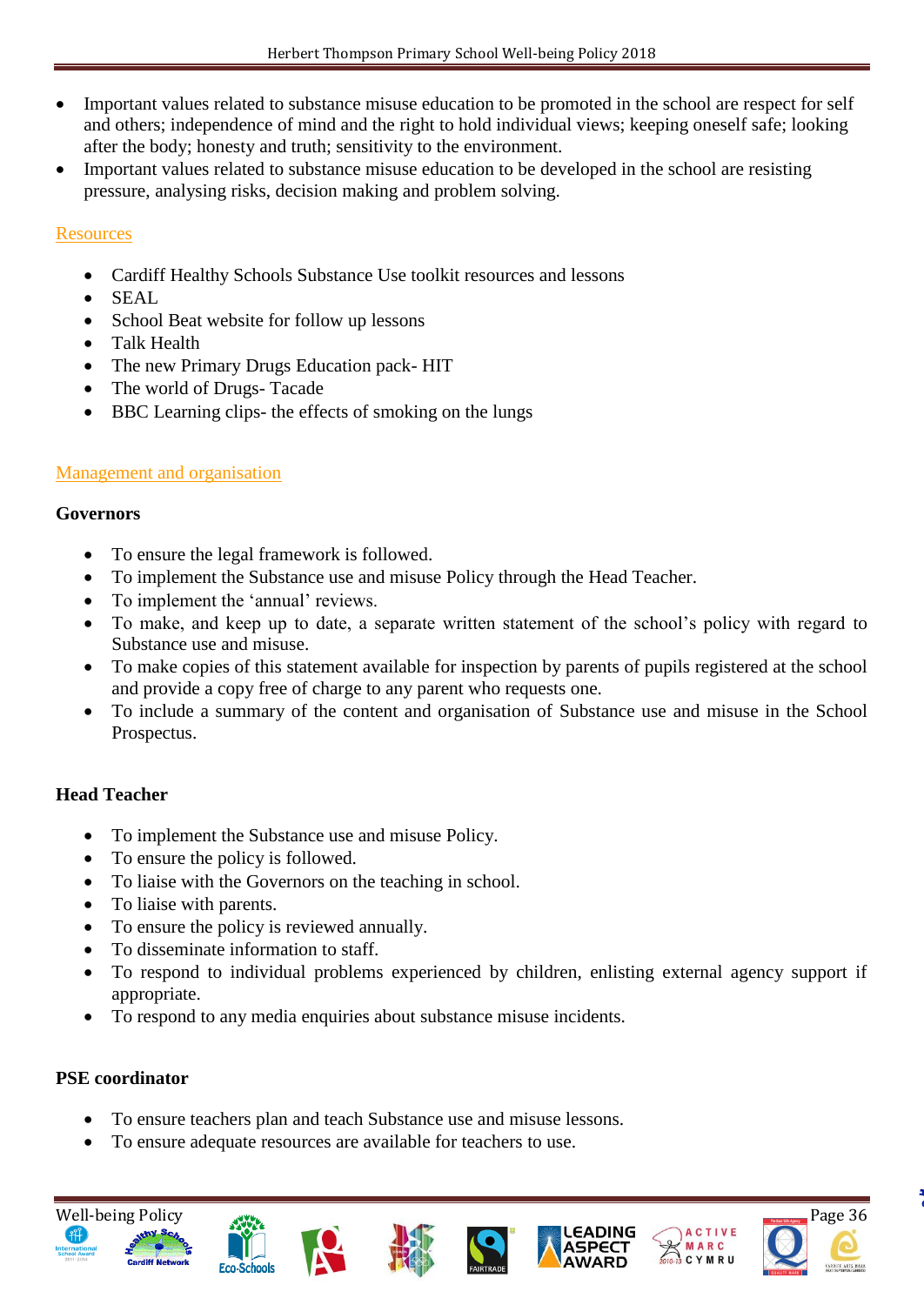- Important values related to substance misuse education to be promoted in the school are respect for self and others; independence of mind and the right to hold individual views; keeping oneself safe; looking after the body; honesty and truth; sensitivity to the environment.
- Important values related to substance misuse education to be developed in the school are resisting pressure, analysing risks, decision making and problem solving.

### **Resources**

- Cardiff Healthy Schools Substance Use toolkit resources and lessons
- SEAL
- School Beat website for follow up lessons
- Talk Health
- The new Primary Drugs Education pack- HIT
- The world of Drugs-Tacade
- BBC Learning clips- the effects of smoking on the lungs

# Management and organisation

### **Governors**

- To ensure the legal framework is followed.
- To implement the Substance use and misuse Policy through the Head Teacher.
- To implement the 'annual' reviews.
- To make, and keep up to date, a separate written statement of the school's policy with regard to Substance use and misuse.
- To make copies of this statement available for inspection by parents of pupils registered at the school and provide a copy free of charge to any parent who requests one.
- To include a summary of the content and organisation of Substance use and misuse in the School Prospectus.

# **Head Teacher**

- To implement the Substance use and misuse Policy.
- To ensure the policy is followed.
- To liaise with the Governors on the teaching in school.
- To liaise with parents.
- To ensure the policy is reviewed annually.
- To disseminate information to staff.

**Eco-Schools** 

- To respond to individual problems experienced by children, enlisting external agency support if appropriate.
- To respond to any media enquiries about substance misuse incidents.

# **PSE coordinator**

- To ensure teachers plan and teach Substance use and misuse lessons.
- To ensure adequate resources are available for teachers to use.



MARC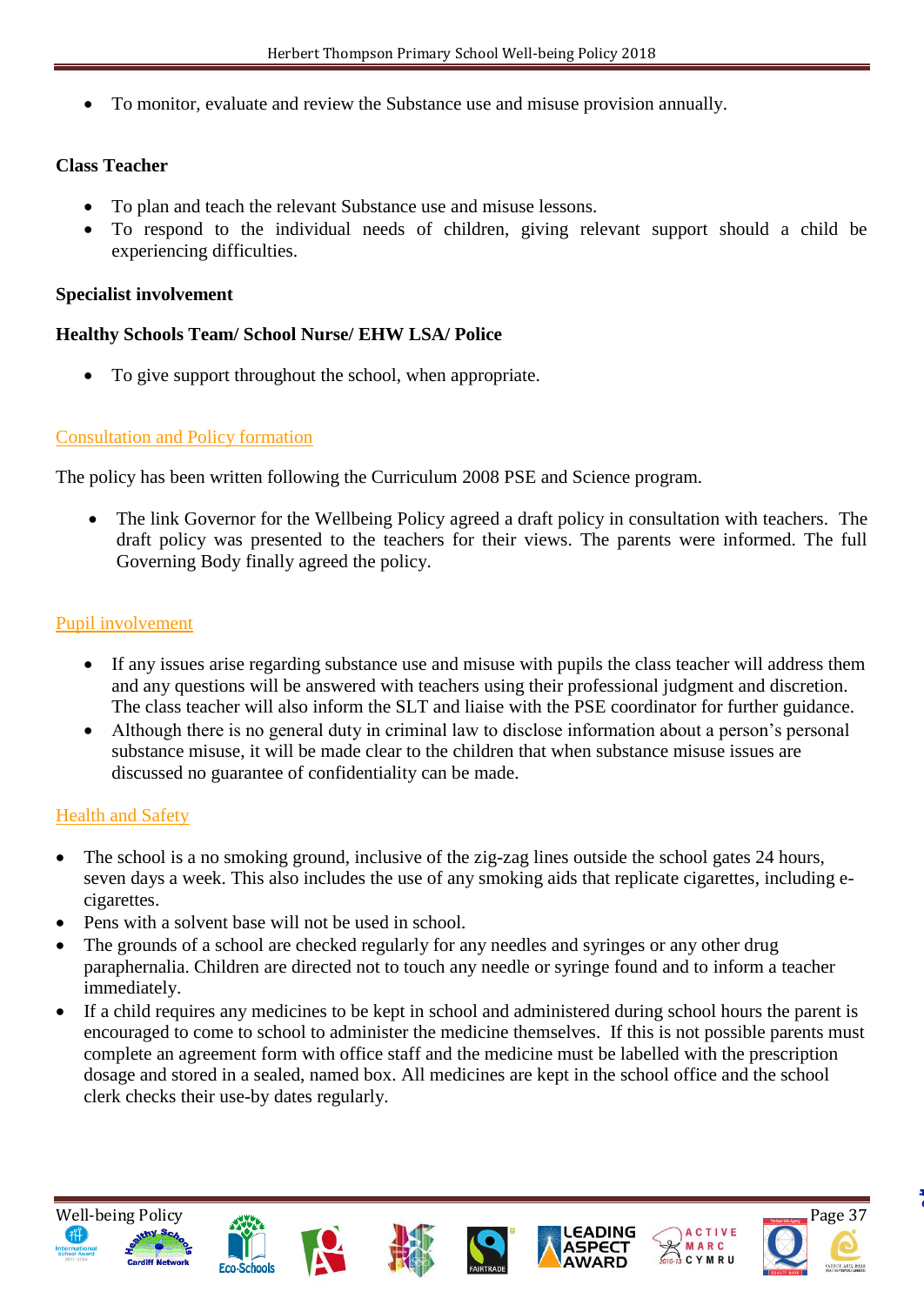To monitor, evaluate and review the Substance use and misuse provision annually.

#### **Class Teacher**

- To plan and teach the relevant Substance use and misuse lessons.
- To respond to the individual needs of children, giving relevant support should a child be experiencing difficulties.

#### **Specialist involvement**

#### **Healthy Schools Team/ School Nurse/ EHW LSA/ Police**

• To give support throughout the school, when appropriate.

#### Consultation and Policy formation

The policy has been written following the Curriculum 2008 PSE and Science program.

 The link Governor for the Wellbeing Policy agreed a draft policy in consultation with teachers. The draft policy was presented to the teachers for their views. The parents were informed. The full Governing Body finally agreed the policy.

#### Pupil involvement

- If any issues arise regarding substance use and misuse with pupils the class teacher will address them and any questions will be answered with teachers using their professional judgment and discretion. The class teacher will also inform the SLT and liaise with the PSE coordinator for further guidance.
- Although there is no general duty in criminal law to disclose information about a person's personal substance misuse, it will be made clear to the children that when substance misuse issues are discussed no guarantee of confidentiality can be made.

#### Health and Safety

- The school is a no smoking ground, inclusive of the zig-zag lines outside the school gates 24 hours, seven days a week. This also includes the use of any smoking aids that replicate cigarettes, including ecigarettes.
- Pens with a solvent base will not be used in school.
- The grounds of a school are checked regularly for any needles and syringes or any other drug paraphernalia. Children are directed not to touch any needle or syringe found and to inform a teacher immediately.
- If a child requires any medicines to be kept in school and administered during school hours the parent is encouraged to come to school to administer the medicine themselves. If this is not possible parents must complete an agreement form with office staff and the medicine must be labelled with the prescription dosage and stored in a sealed, named box. All medicines are kept in the school office and the school clerk checks their use-by dates regularly.













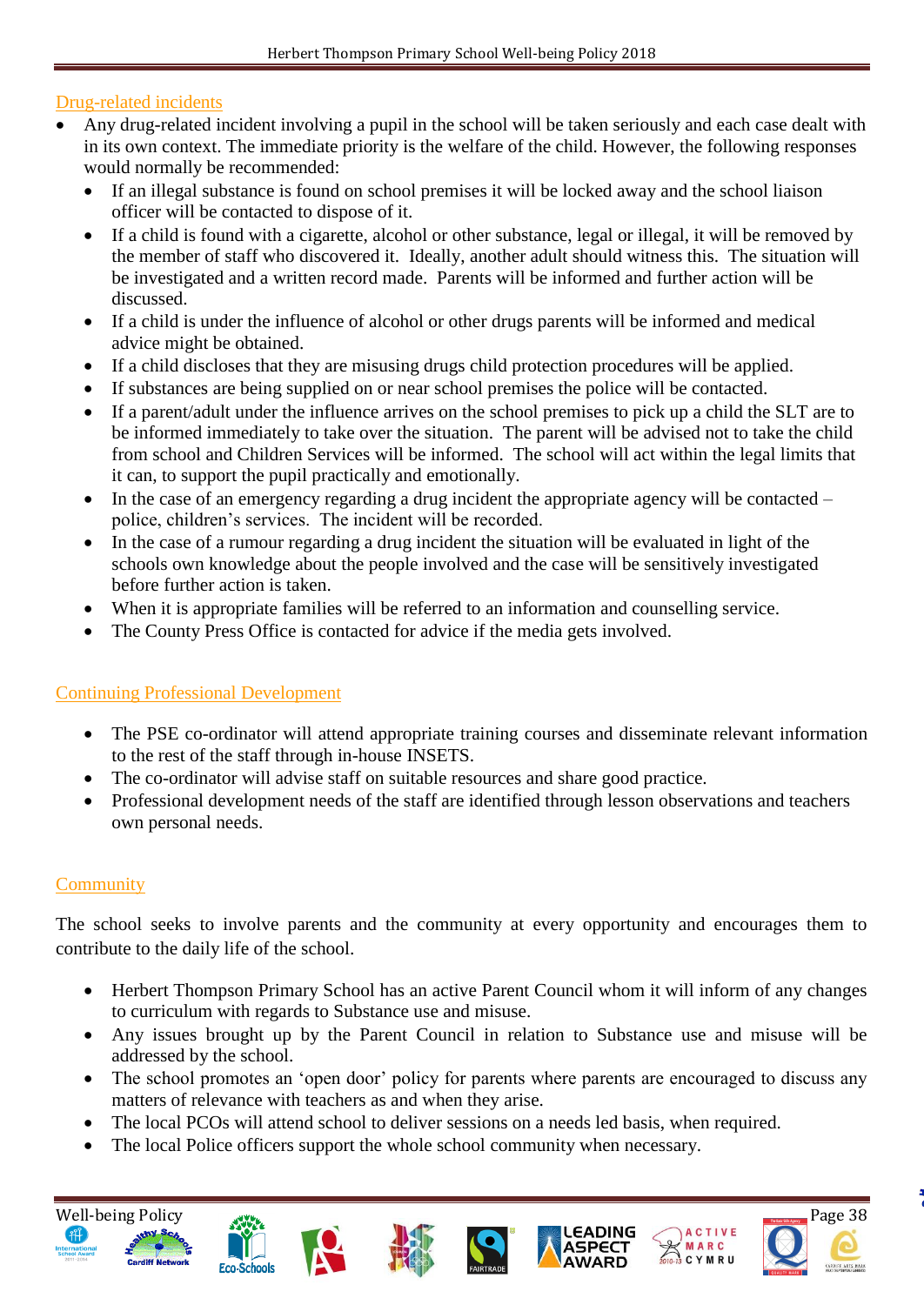### Drug-related incidents

- Any drug-related incident involving a pupil in the school will be taken seriously and each case dealt with in its own context. The immediate priority is the welfare of the child. However, the following responses would normally be recommended:
	- If an illegal substance is found on school premises it will be locked away and the school liaison officer will be contacted to dispose of it.
	- If a child is found with a cigarette, alcohol or other substance, legal or illegal, it will be removed by the member of staff who discovered it. Ideally, another adult should witness this. The situation will be investigated and a written record made. Parents will be informed and further action will be discussed.
	- If a child is under the influence of alcohol or other drugs parents will be informed and medical advice might be obtained.
	- If a child discloses that they are misusing drugs child protection procedures will be applied.
	- If substances are being supplied on or near school premises the police will be contacted.
	- If a parent/adult under the influence arrives on the school premises to pick up a child the SLT are to be informed immediately to take over the situation. The parent will be advised not to take the child from school and Children Services will be informed. The school will act within the legal limits that it can, to support the pupil practically and emotionally.
	- In the case of an emergency regarding a drug incident the appropriate agency will be contacted police, children's services. The incident will be recorded.
	- In the case of a rumour regarding a drug incident the situation will be evaluated in light of the schools own knowledge about the people involved and the case will be sensitively investigated before further action is taken.
	- When it is appropriate families will be referred to an information and counselling service.
	- The County Press Office is contacted for advice if the media gets involved.

#### Continuing Professional Development

- The PSE co-ordinator will attend appropriate training courses and disseminate relevant information to the rest of the staff through in-house INSETS.
- The co-ordinator will advise staff on suitable resources and share good practice.
- Professional development needs of the staff are identified through lesson observations and teachers own personal needs.

#### **Community**

The school seeks to involve parents and the community at every opportunity and encourages them to contribute to the daily life of the school.

- Herbert Thompson Primary School has an active Parent Council whom it will inform of any changes to curriculum with regards to Substance use and misuse.
- Any issues brought up by the Parent Council in relation to Substance use and misuse will be addressed by the school.
- The school promotes an 'open door' policy for parents where parents are encouraged to discuss any matters of relevance with teachers as and when they arise.
- The local PCOs will attend school to deliver sessions on a needs led basis, when required.
- The local Police officers support the whole school community when necessary.













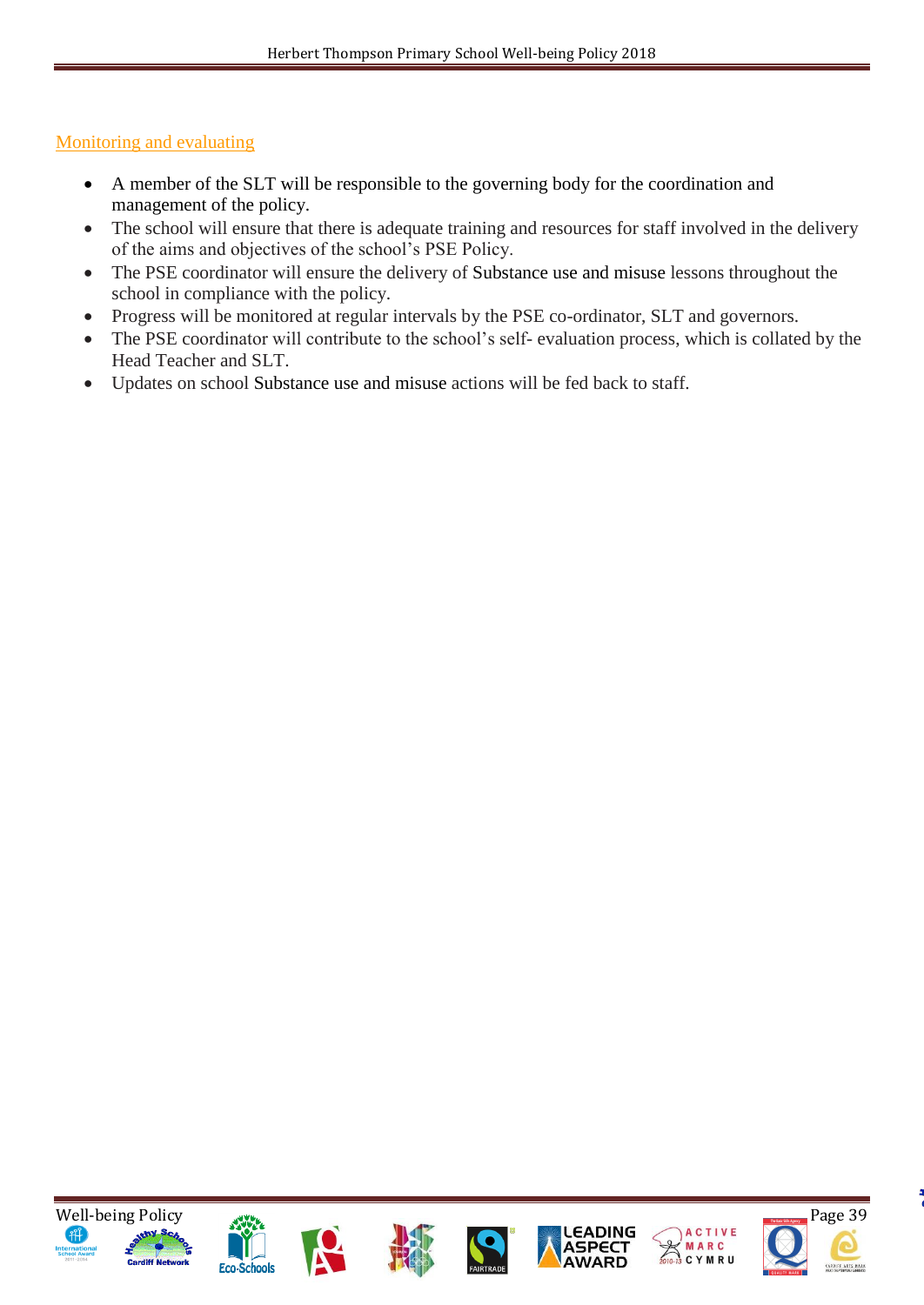#### Monitoring and evaluating

- A member of the SLT will be responsible to the governing body for the coordination and management of the policy.
- The school will ensure that there is adequate training and resources for staff involved in the delivery of the aims and objectives of the school's PSE Policy.
- The PSE coordinator will ensure the delivery of Substance use and misuse lessons throughout the school in compliance with the policy.
- Progress will be monitored at regular intervals by the PSE co-ordinator, SLT and governors.
- The PSE coordinator will contribute to the school's self- evaluation process, which is collated by the Head Teacher and SLT.
- Updates on school Substance use and misuse actions will be fed back to staff.













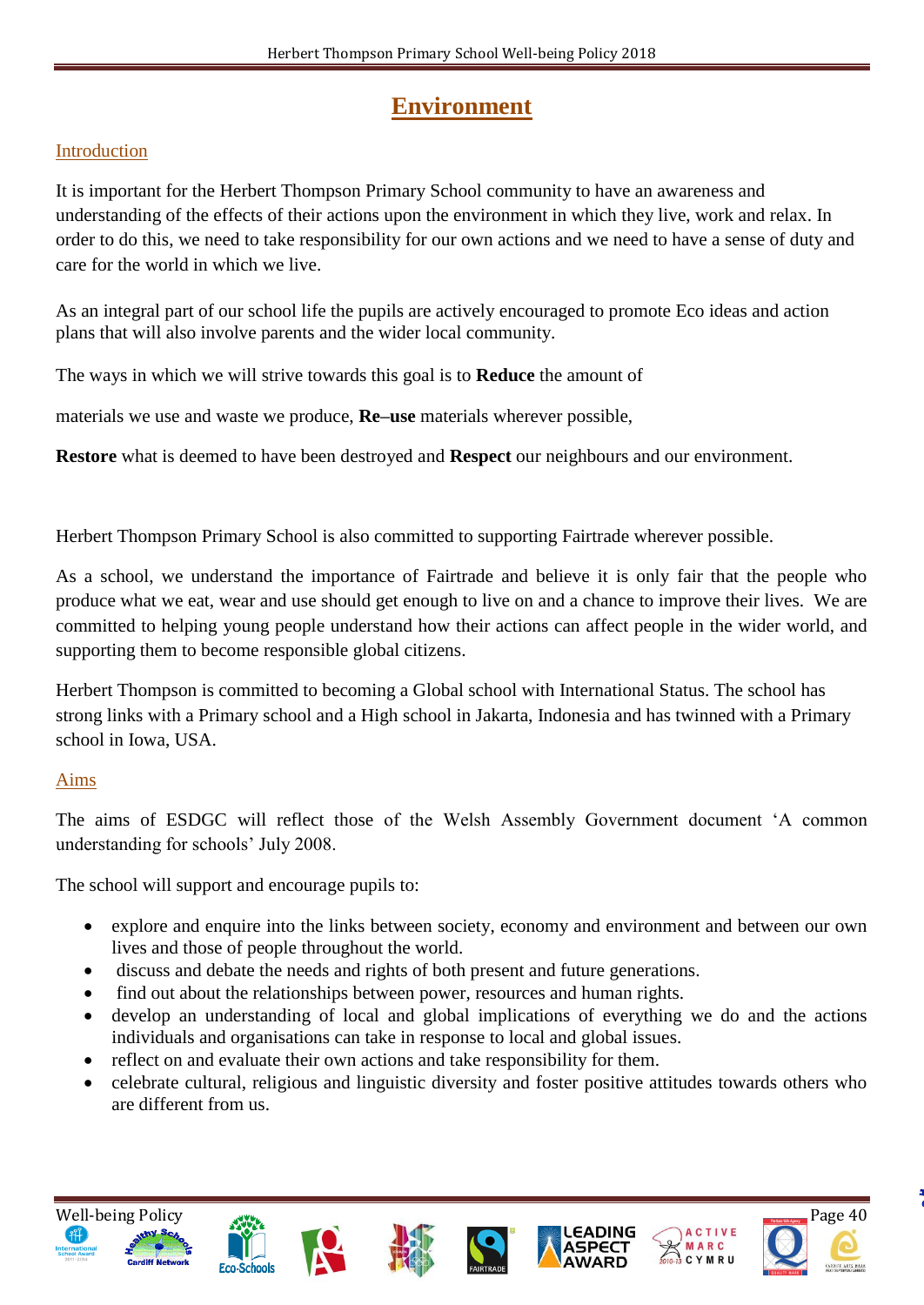# **Environment**

### Introduction

It is important for the Herbert Thompson Primary School community to have an awareness and understanding of the effects of their actions upon the environment in which they live, work and relax. In order to do this, we need to take responsibility for our own actions and we need to have a sense of duty and care for the world in which we live.

As an integral part of our school life the pupils are actively encouraged to promote Eco ideas and action plans that will also involve parents and the wider local community.

The ways in which we will strive towards this goal is to **Reduce** the amount of

materials we use and waste we produce, **Re–use** materials wherever possible,

**Restore** what is deemed to have been destroyed and **Respect** our neighbours and our environment.

Herbert Thompson Primary School is also committed to supporting Fairtrade wherever possible.

As a school, we understand the importance of Fairtrade and believe it is only fair that the people who produce what we eat, wear and use should get enough to live on and a chance to improve their lives. We are committed to helping young people understand how their actions can affect people in the wider world, and supporting them to become responsible global citizens.

Herbert Thompson is committed to becoming a Global school with International Status. The school has strong links with a Primary school and a High school in Jakarta, Indonesia and has twinned with a Primary school in Iowa, USA.

#### Aims

The aims of ESDGC will reflect those of the Welsh Assembly Government document 'A common understanding for schools' July 2008.

The school will support and encourage pupils to:

- explore and enquire into the links between society, economy and environment and between our own lives and those of people throughout the world.
- discuss and debate the needs and rights of both present and future generations.
- find out about the relationships between power, resources and human rights.
- develop an understanding of local and global implications of everything we do and the actions individuals and organisations can take in response to local and global issues.
- reflect on and evaluate their own actions and take responsibility for them.
- celebrate cultural, religious and linguistic diversity and foster positive attitudes towards others who are different from us.













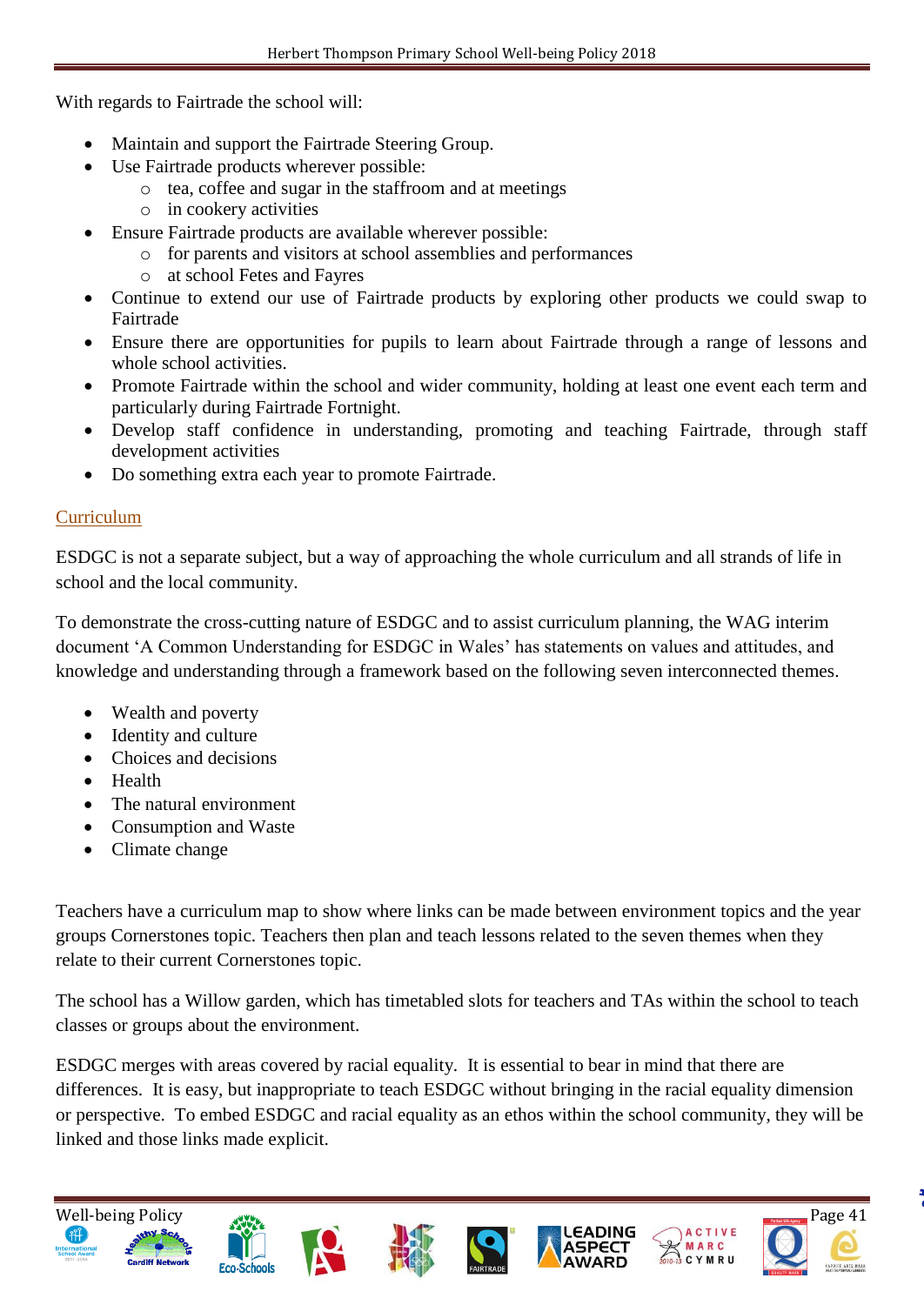With regards to Fairtrade the school will:

- Maintain and support the Fairtrade Steering Group.
- Use Fairtrade products wherever possible:
	- o tea, coffee and sugar in the staffroom and at meetings
	- o in cookery activities
- Ensure Fairtrade products are available wherever possible:
	- o for parents and visitors at school assemblies and performances
	- o at school Fetes and Fayres
- Continue to extend our use of Fairtrade products by exploring other products we could swap to Fairtrade
- Ensure there are opportunities for pupils to learn about Fairtrade through a range of lessons and whole school activities.
- Promote Fairtrade within the school and wider community, holding at least one event each term and particularly during Fairtrade Fortnight.
- Develop staff confidence in understanding, promoting and teaching Fairtrade, through staff development activities
- Do something extra each year to promote Fairtrade.

### Curriculum

ESDGC is not a separate subject, but a way of approaching the whole curriculum and all strands of life in school and the local community.

To demonstrate the cross-cutting nature of ESDGC and to assist curriculum planning, the WAG interim document 'A Common Understanding for ESDGC in Wales' has statements on values and attitudes, and knowledge and understanding through a framework based on the following seven interconnected themes.

- Wealth and poverty
- Identity and culture
- Choices and decisions
- Health
- The natural environment
- Consumption and Waste
- Climate change

Teachers have a curriculum map to show where links can be made between environment topics and the year groups Cornerstones topic. Teachers then plan and teach lessons related to the seven themes when they relate to their current Cornerstones topic.

The school has a Willow garden, which has timetabled slots for teachers and TAs within the school to teach classes or groups about the environment.

ESDGC merges with areas covered by racial equality. It is essential to bear in mind that there are differences. It is easy, but inappropriate to teach ESDGC without bringing in the racial equality dimension or perspective. To embed ESDGC and racial equality as an ethos within the school community, they will be linked and those links made explicit.









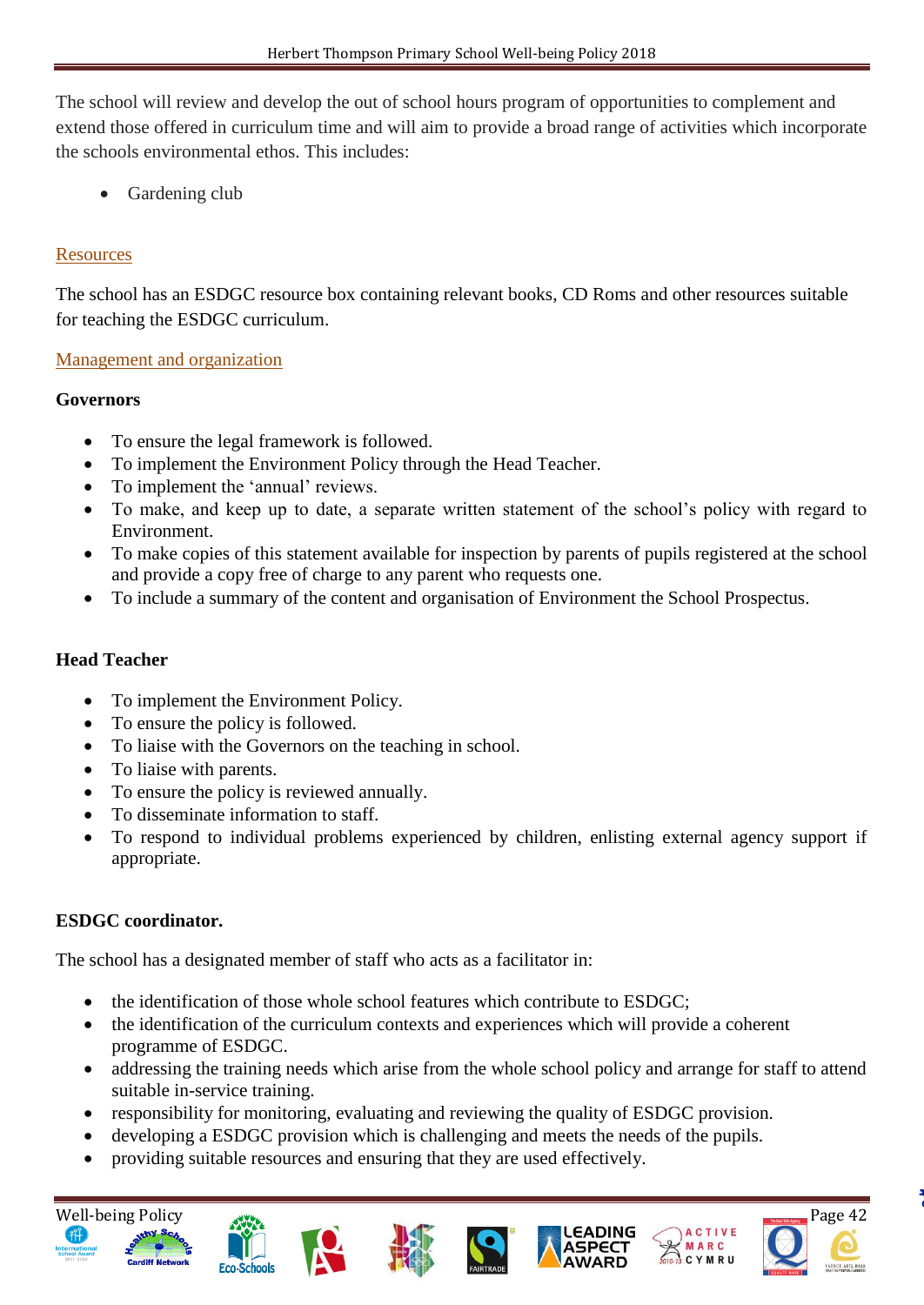The school will review and develop the out of school hours program of opportunities to complement and extend those offered in curriculum time and will aim to provide a broad range of activities which incorporate the schools environmental ethos. This includes:

• Gardening club

### **Resources**

The school has an ESDGC resource box containing relevant books, CD Roms and other resources suitable for teaching the ESDGC curriculum.

#### Management and organization

#### **Governors**

- To ensure the legal framework is followed.
- To implement the Environment Policy through the Head Teacher.
- To implement the 'annual' reviews.
- To make, and keep up to date, a separate written statement of the school's policy with regard to Environment.
- To make copies of this statement available for inspection by parents of pupils registered at the school and provide a copy free of charge to any parent who requests one.
- To include a summary of the content and organisation of Environment the School Prospectus.

#### **Head Teacher**

- To implement the Environment Policy.
- To ensure the policy is followed.
- To liaise with the Governors on the teaching in school.
- To liaise with parents.
- To ensure the policy is reviewed annually.
- To disseminate information to staff.
- To respond to individual problems experienced by children, enlisting external agency support if appropriate.

#### **ESDGC coordinator.**

The school has a designated member of staff who acts as a facilitator in:

- the identification of those whole school features which contribute to ESDGC;
- the identification of the curriculum contexts and experiences which will provide a coherent programme of ESDGC.
- addressing the training needs which arise from the whole school policy and arrange for staff to attend suitable in-service training.
- responsibility for monitoring, evaluating and reviewing the quality of ESDGC provision.
- developing a ESDGC provision which is challenging and meets the needs of the pupils.
- providing suitable resources and ensuring that they are used effectively.















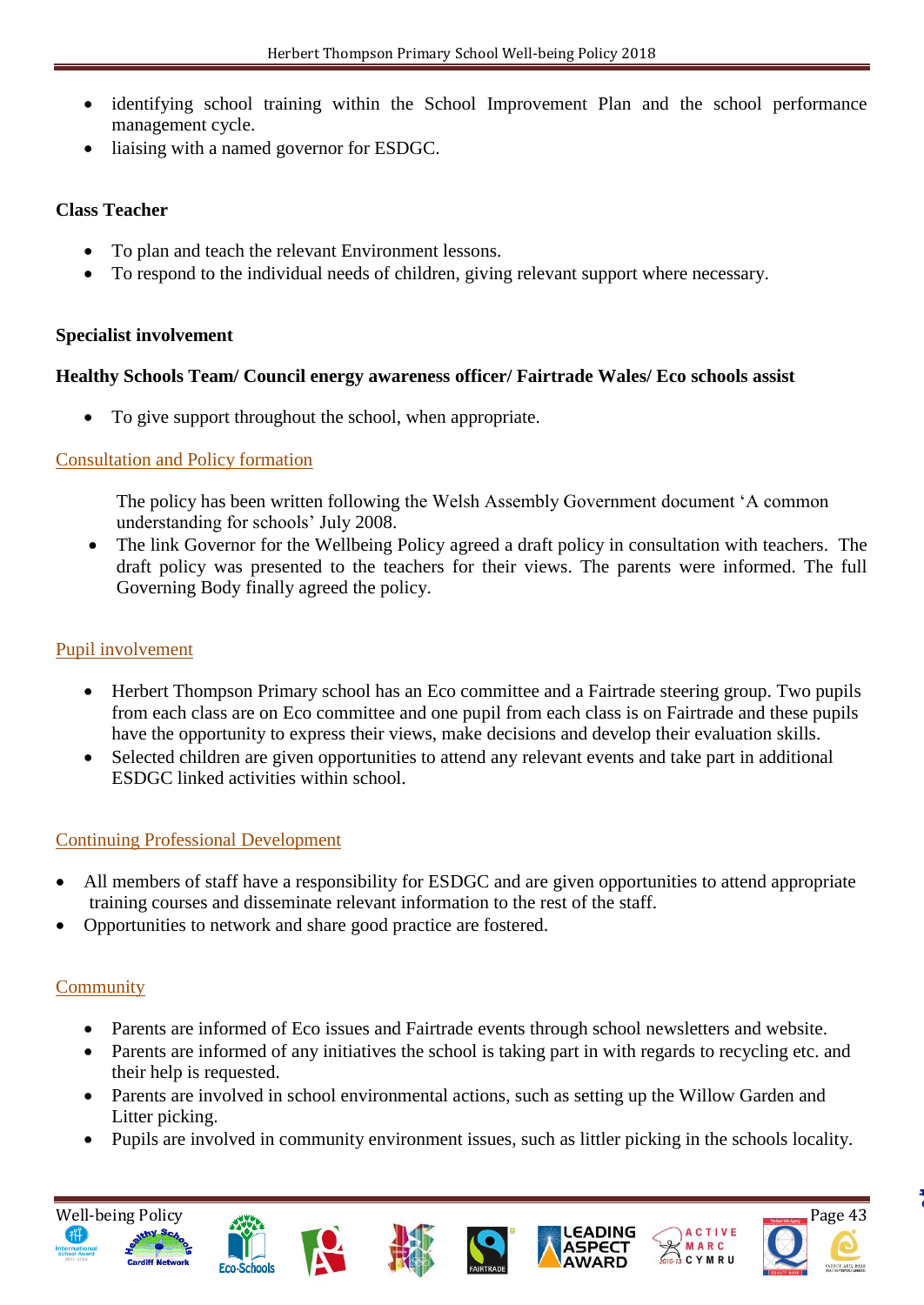- identifying school training within the School Improvement Plan and the school performance management cycle.
- liaising with a named governor for ESDGC.

#### **Class Teacher**

- To plan and teach the relevant Environment lessons.
- To respond to the individual needs of children, giving relevant support where necessary.

#### **Specialist involvement**

### **Healthy Schools Team/ Council energy awareness officer/ Fairtrade Wales/ Eco schools assist**

To give support throughout the school, when appropriate.

# Consultation and Policy formation

 The policy has been written following the Welsh Assembly Government document 'A common understanding for schools' July 2008.

• The link Governor for the Wellbeing Policy agreed a draft policy in consultation with teachers. The draft policy was presented to the teachers for their views. The parents were informed. The full Governing Body finally agreed the policy.

### Pupil involvement

- Herbert Thompson Primary school has an Eco committee and a Fairtrade steering group. Two pupils from each class are on Eco committee and one pupil from each class is on Fairtrade and these pupils have the opportunity to express their views, make decisions and develop their evaluation skills.
- Selected children are given opportunities to attend any relevant events and take part in additional ESDGC linked activities within school.

# Continuing Professional Development

- All members of staff have a responsibility for ESDGC and are given opportunities to attend appropriate training courses and disseminate relevant information to the rest of the staff.
- Opportunities to network and share good practice are fostered.

# **Community**

- Parents are informed of Eco issues and Fairtrade events through school newsletters and website.
- Parents are informed of any initiatives the school is taking part in with regards to recycling etc. and their help is requested.
- Parents are involved in school environmental actions, such as setting up the Willow Garden and Litter picking.
- Pupils are involved in community environment issues, such as littler picking in the schools locality.













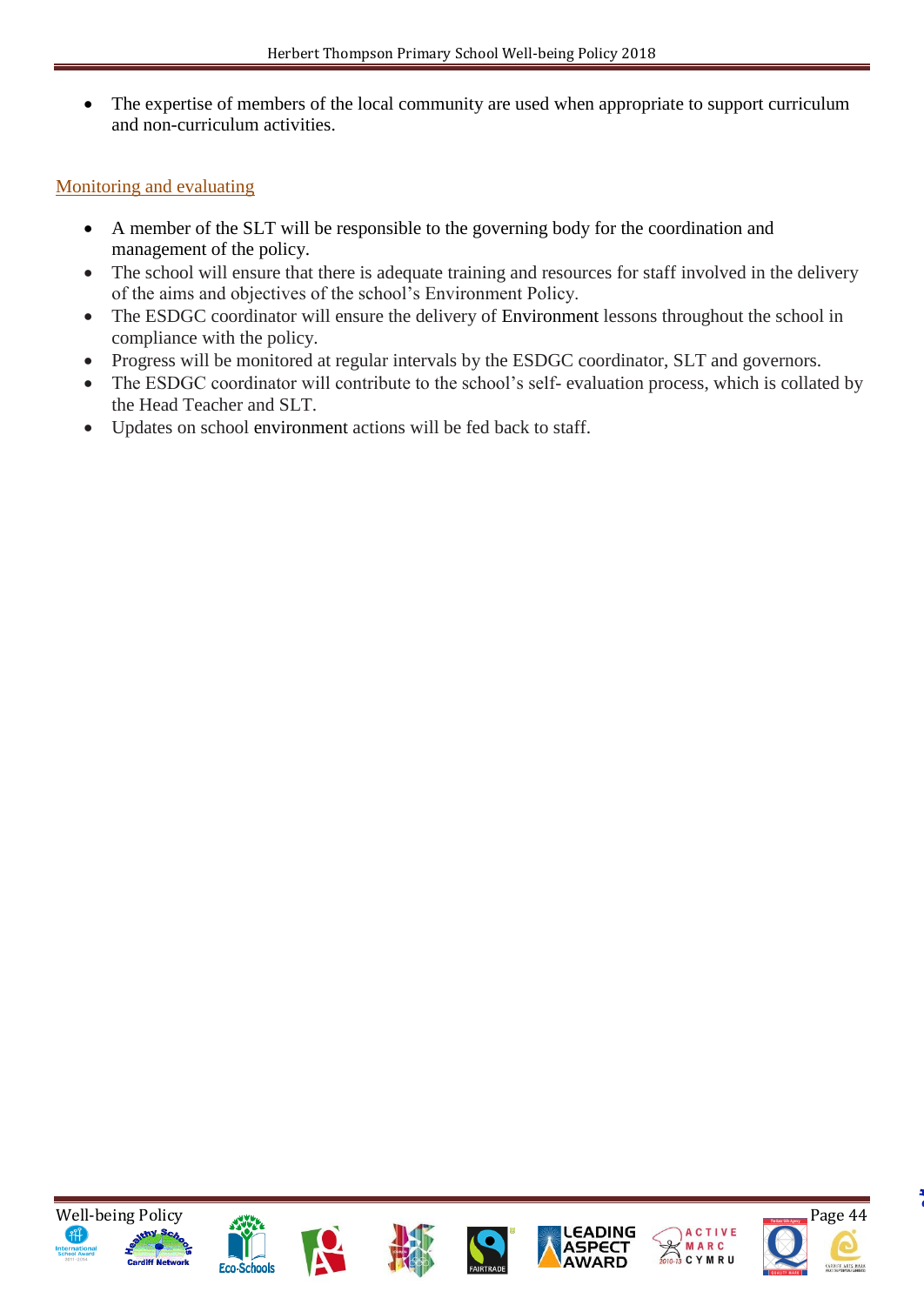• The expertise of members of the local community are used when appropriate to support curriculum and non-curriculum activities.

# Monitoring and evaluating

- A member of the SLT will be responsible to the governing body for the coordination and management of the policy.
- The school will ensure that there is adequate training and resources for staff involved in the delivery of the aims and objectives of the school's Environment Policy.
- The ESDGC coordinator will ensure the delivery of Environment lessons throughout the school in compliance with the policy.
- Progress will be monitored at regular intervals by the ESDGC coordinator, SLT and governors.
- The ESDGC coordinator will contribute to the school's self- evaluation process, which is collated by the Head Teacher and SLT.
- Updates on school environment actions will be fed back to staff.















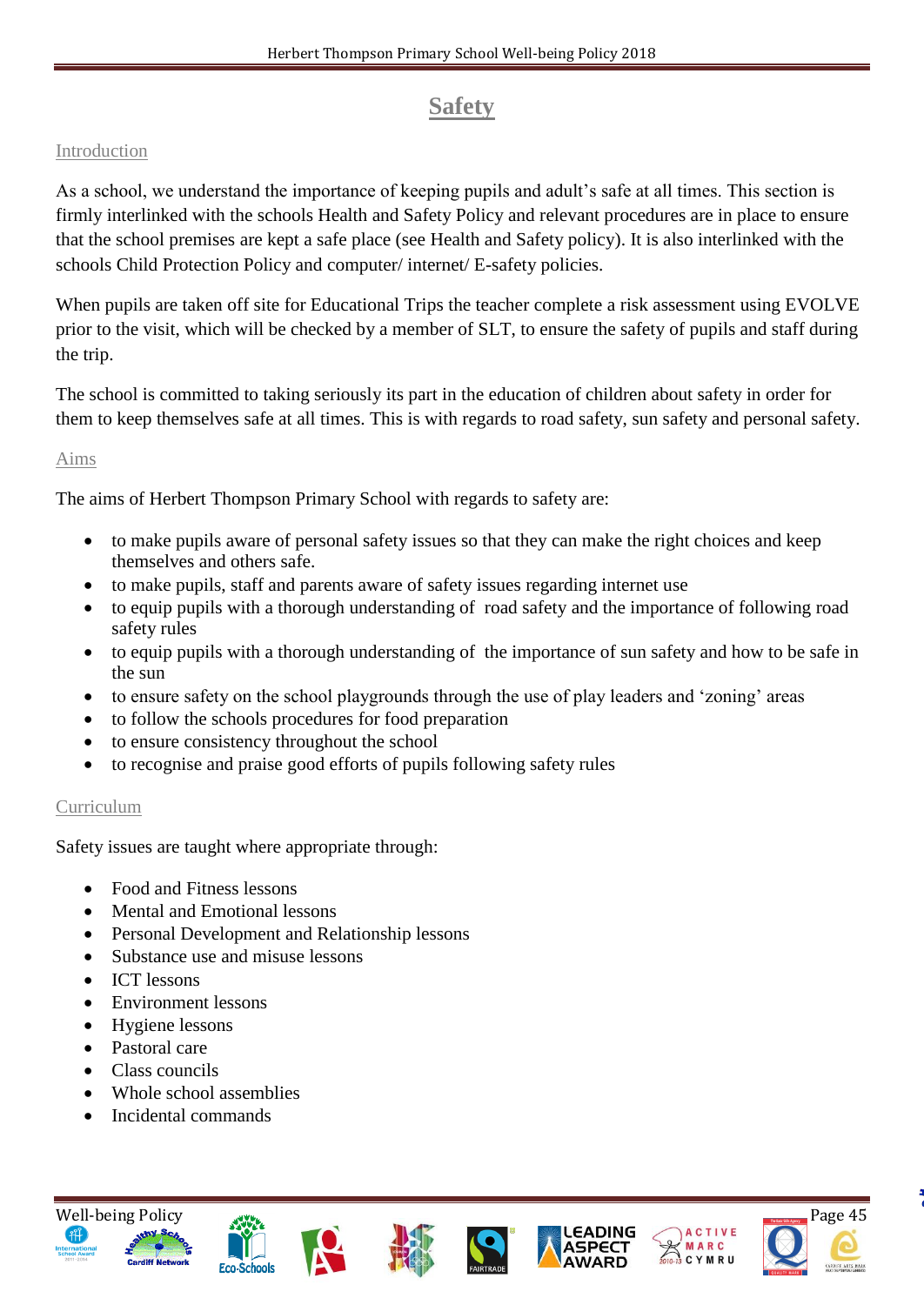# **Safety**

## Introduction

As a school, we understand the importance of keeping pupils and adult's safe at all times. This section is firmly interlinked with the schools Health and Safety Policy and relevant procedures are in place to ensure that the school premises are kept a safe place (see Health and Safety policy). It is also interlinked with the schools Child Protection Policy and computer/ internet/ E-safety policies.

When pupils are taken off site for Educational Trips the teacher complete a risk assessment using EVOLVE prior to the visit, which will be checked by a member of SLT, to ensure the safety of pupils and staff during the trip.

The school is committed to taking seriously its part in the education of children about safety in order for them to keep themselves safe at all times. This is with regards to road safety, sun safety and personal safety.

#### Aims

The aims of Herbert Thompson Primary School with regards to safety are:

- to make pupils aware of personal safety issues so that they can make the right choices and keep themselves and others safe.
- to make pupils, staff and parents aware of safety issues regarding internet use
- to equip pupils with a thorough understanding of road safety and the importance of following road safety rules
- to equip pupils with a thorough understanding of the importance of sun safety and how to be safe in the sun
- to ensure safety on the school playgrounds through the use of play leaders and 'zoning' areas
- to follow the schools procedures for food preparation
- to ensure consistency throughout the school
- to recognise and praise good efforts of pupils following safety rules

# Curriculum

Safety issues are taught where appropriate through:

- Food and Fitness lessons
- Mental and Emotional lessons
- Personal Development and Relationship lessons
- Substance use and misuse lessons
- ICT lessons
- Environment lessons
- Hygiene lessons
- Pastoral care
- Class councils
- Whole school assemblies
- Incidental commands













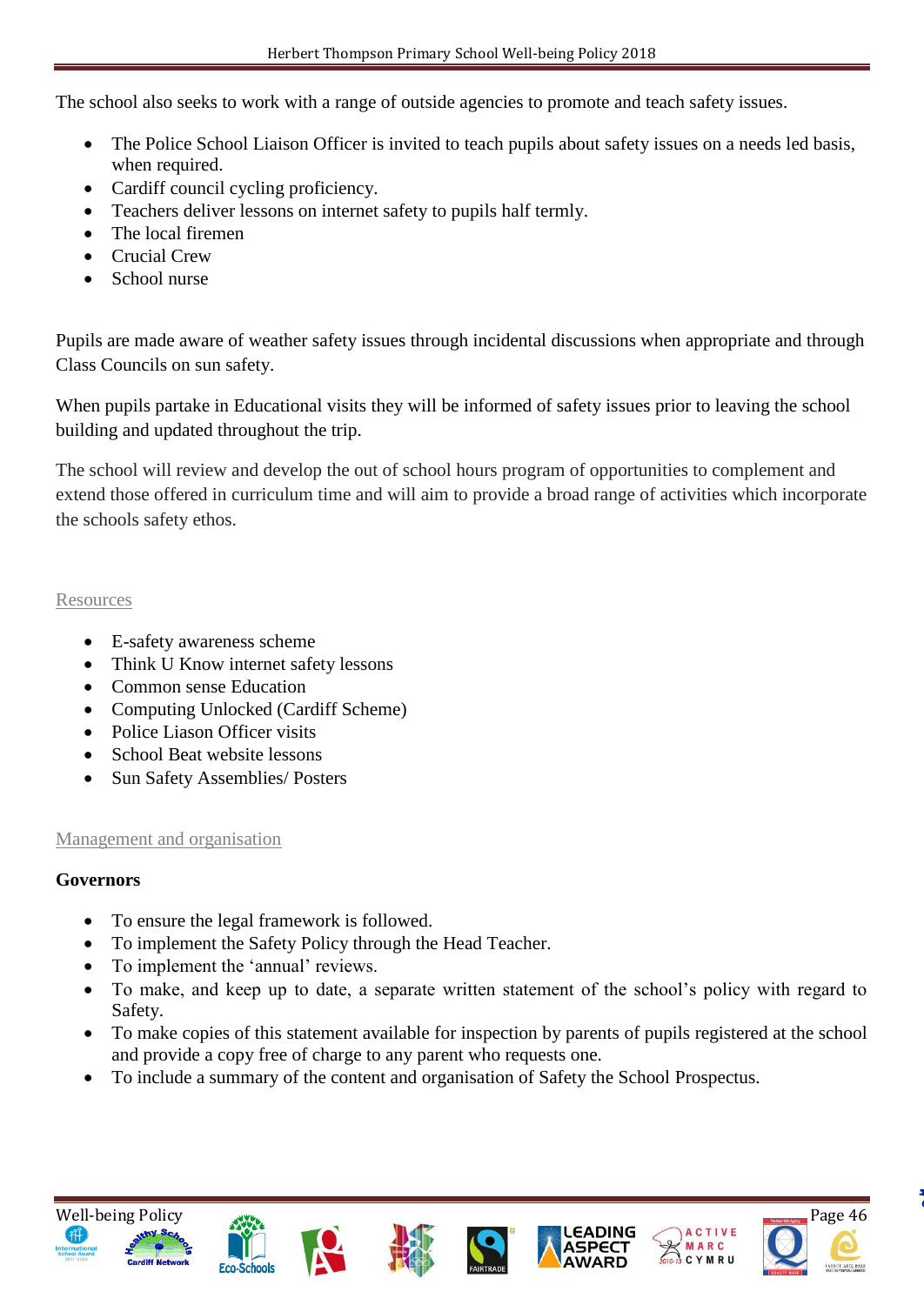The school also seeks to work with a range of outside agencies to promote and teach safety issues.

- The Police School Liaison Officer is invited to teach pupils about safety issues on a needs led basis, when required.
- Cardiff council cycling proficiency.
- Teachers deliver lessons on internet safety to pupils half termly.
- The local firemen
- Crucial Crew
- School nurse

Pupils are made aware of weather safety issues through incidental discussions when appropriate and through Class Councils on sun safety.

When pupils partake in Educational visits they will be informed of safety issues prior to leaving the school building and updated throughout the trip.

The school will review and develop the out of school hours program of opportunities to complement and extend those offered in curriculum time and will aim to provide a broad range of activities which incorporate the schools safety ethos.

#### **Resources**

- E-safety awareness scheme
- Think U Know internet safety lessons
- Common sense Education
- Computing Unlocked (Cardiff Scheme)
- Police Liason Officer visits
- School Beat website lessons
- Sun Safety Assemblies/ Posters

#### Management and organisation

# **Governors**

- To ensure the legal framework is followed.
- To implement the Safety Policy through the Head Teacher.
- To implement the 'annual' reviews.
- To make, and keep up to date, a separate written statement of the school's policy with regard to Safety.
- To make copies of this statement available for inspection by parents of pupils registered at the school and provide a copy free of charge to any parent who requests one.
- To include a summary of the content and organisation of Safety the School Prospectus.













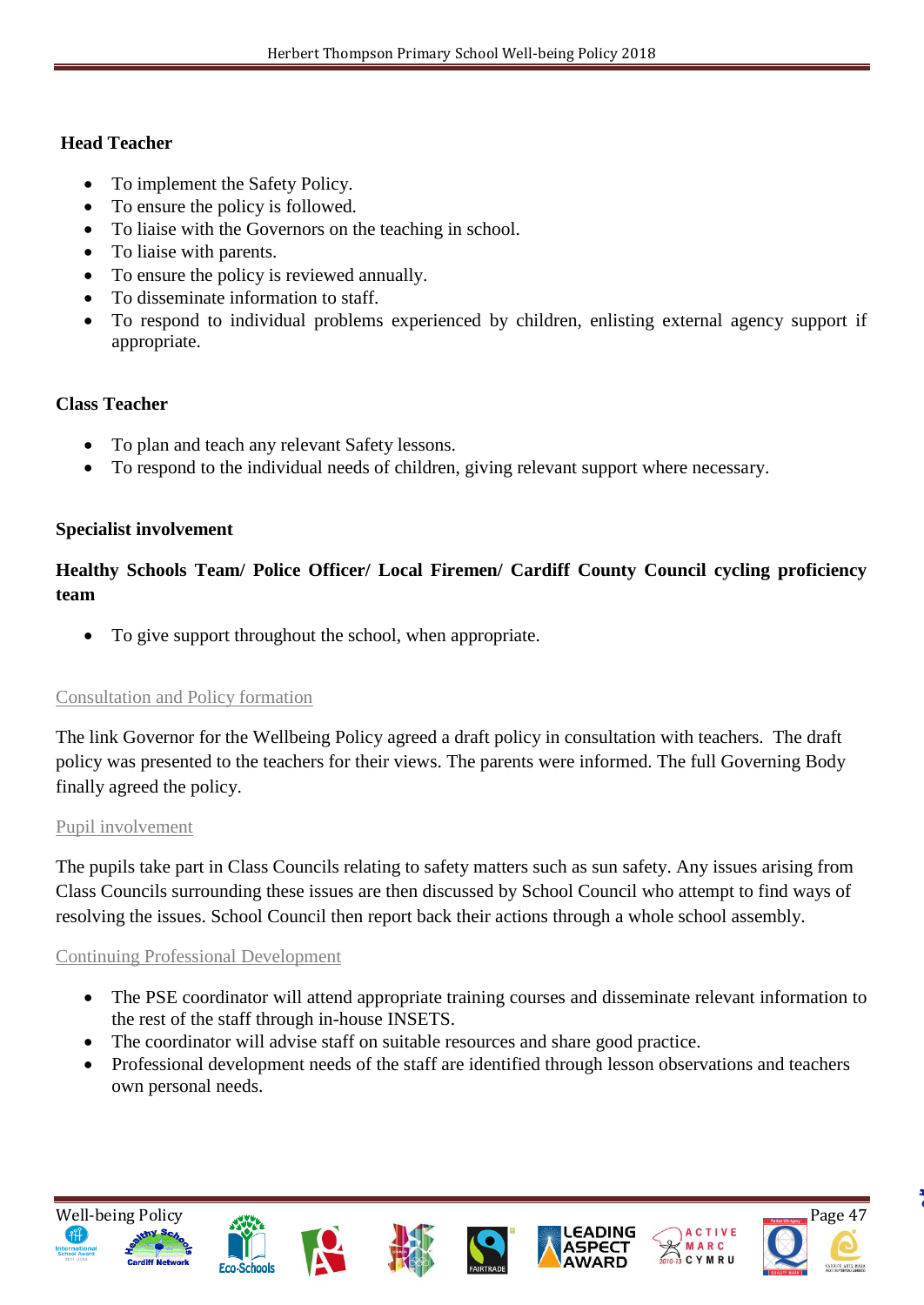#### **Head Teacher**

- To implement the Safety Policy.
- To ensure the policy is followed.
- To liaise with the Governors on the teaching in school.
- To liaise with parents.
- To ensure the policy is reviewed annually.
- To disseminate information to staff.
- To respond to individual problems experienced by children, enlisting external agency support if appropriate.

#### **Class Teacher**

- To plan and teach any relevant Safety lessons.
- To respond to the individual needs of children, giving relevant support where necessary.

#### **Specialist involvement**

# **Healthy Schools Team/ Police Officer/ Local Firemen/ Cardiff County Council cycling proficiency team**

To give support throughout the school, when appropriate.

#### Consultation and Policy formation

The link Governor for the Wellbeing Policy agreed a draft policy in consultation with teachers. The draft policy was presented to the teachers for their views. The parents were informed. The full Governing Body finally agreed the policy.

#### Pupil involvement

The pupils take part in Class Councils relating to safety matters such as sun safety. Any issues arising from Class Councils surrounding these issues are then discussed by School Council who attempt to find ways of resolving the issues. School Council then report back their actions through a whole school assembly.

#### Continuing Professional Development

- The PSE coordinator will attend appropriate training courses and disseminate relevant information to the rest of the staff through in-house INSETS.
- The coordinator will advise staff on suitable resources and share good practice.
- Professional development needs of the staff are identified through lesson observations and teachers own personal needs.













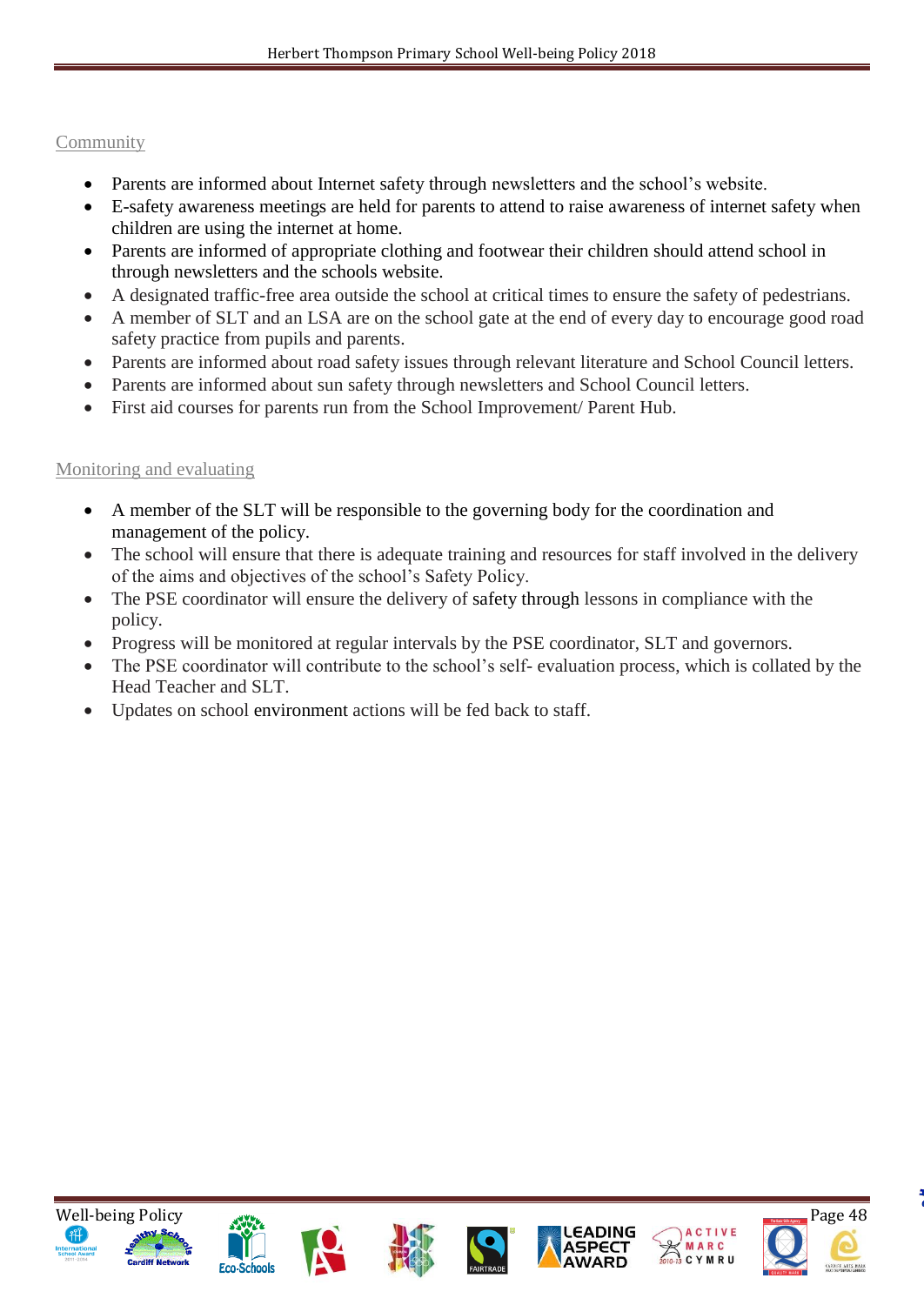## Community

- Parents are informed about Internet safety through newsletters and the school's website.
- E-safety awareness meetings are held for parents to attend to raise awareness of internet safety when children are using the internet at home.
- Parents are informed of appropriate clothing and footwear their children should attend school in through newsletters and the schools website.
- A designated traffic-free area outside the school at critical times to ensure the safety of pedestrians.
- A member of SLT and an LSA are on the school gate at the end of every day to encourage good road safety practice from pupils and parents.
- Parents are informed about road safety issues through relevant literature and School Council letters.
- Parents are informed about sun safety through newsletters and School Council letters.
- First aid courses for parents run from the School Improvement/ Parent Hub.

### Monitoring and evaluating

- A member of the SLT will be responsible to the governing body for the coordination and management of the policy.
- The school will ensure that there is adequate training and resources for staff involved in the delivery of the aims and objectives of the school's Safety Policy.
- The PSE coordinator will ensure the delivery of safety through lessons in compliance with the policy.
- Progress will be monitored at regular intervals by the PSE coordinator, SLT and governors.
- The PSE coordinator will contribute to the school's self- evaluation process, which is collated by the Head Teacher and SLT.
- Updates on school environment actions will be fed back to staff.













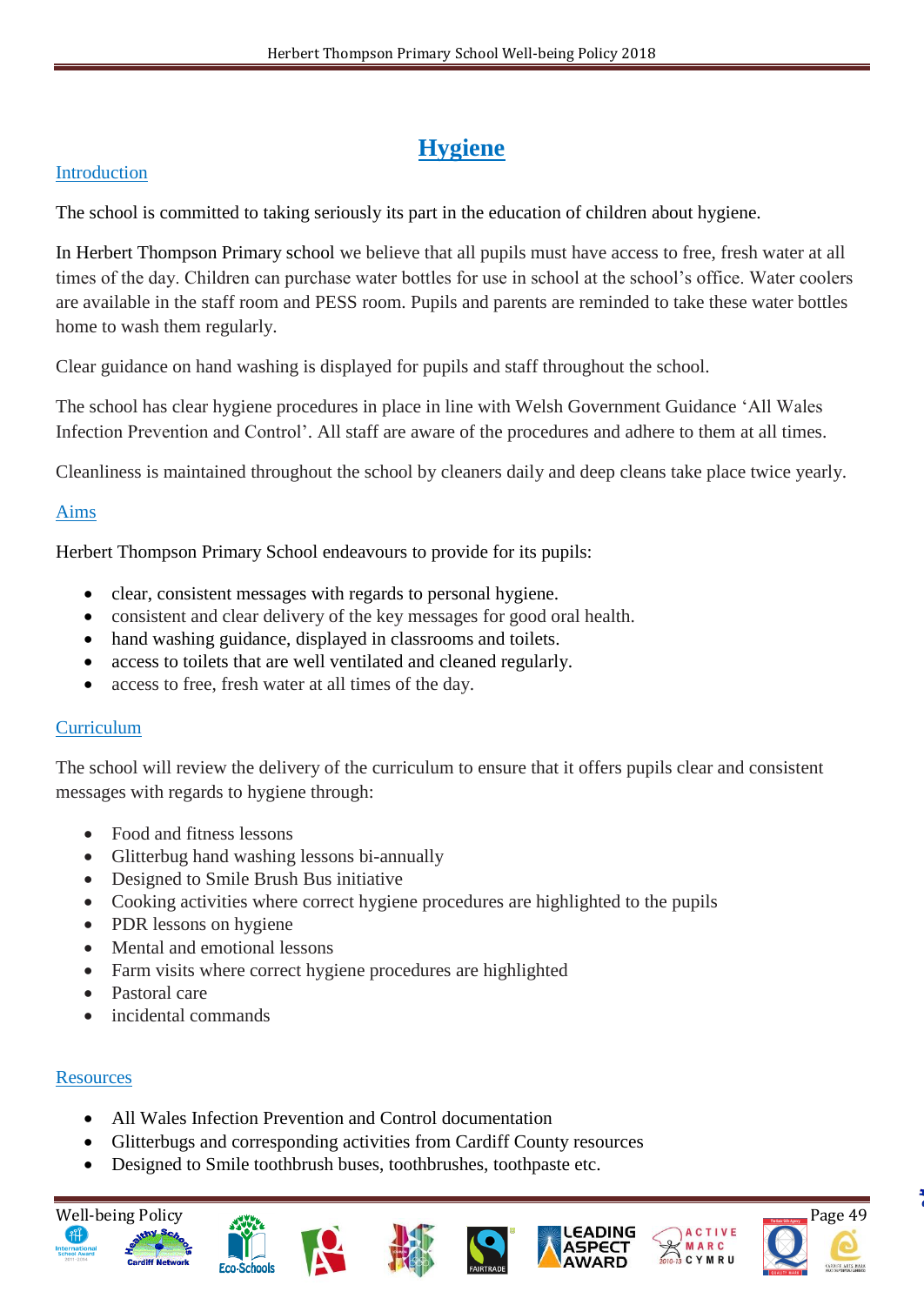# **Hygiene**

#### Introduction

The school is committed to taking seriously its part in the education of children about hygiene.

In Herbert Thompson Primary school we believe that all pupils must have access to free, fresh water at all times of the day. Children can purchase water bottles for use in school at the school's office. Water coolers are available in the staff room and PESS room. Pupils and parents are reminded to take these water bottles home to wash them regularly.

Clear guidance on hand washing is displayed for pupils and staff throughout the school.

The school has clear hygiene procedures in place in line with Welsh Government Guidance 'All Wales Infection Prevention and Control'. All staff are aware of the procedures and adhere to them at all times.

Cleanliness is maintained throughout the school by cleaners daily and deep cleans take place twice yearly.

# Aims

Herbert Thompson Primary School endeavours to provide for its pupils:

- clear, consistent messages with regards to personal hygiene.
- consistent and clear delivery of the key messages for good oral health.
- hand washing guidance, displayed in classrooms and toilets.
- access to toilets that are well ventilated and cleaned regularly.
- access to free, fresh water at all times of the day.

#### **Curriculum**

The school will review the delivery of the curriculum to ensure that it offers pupils clear and consistent messages with regards to hygiene through:

- Food and fitness lessons
- Glitterbug hand washing lessons bi-annually
- Designed to Smile Brush Bus initiative
- Cooking activities where correct hygiene procedures are highlighted to the pupils
- PDR lessons on hygiene
- Mental and emotional lessons
- Farm visits where correct hygiene procedures are highlighted
- Pastoral care
- incidental commands

# **Resources**

- All Wales Infection Prevention and Control documentation
- Glitterbugs and corresponding activities from Cardiff County resources
- Designed to Smile toothbrush buses, toothbrushes, toothpaste etc.













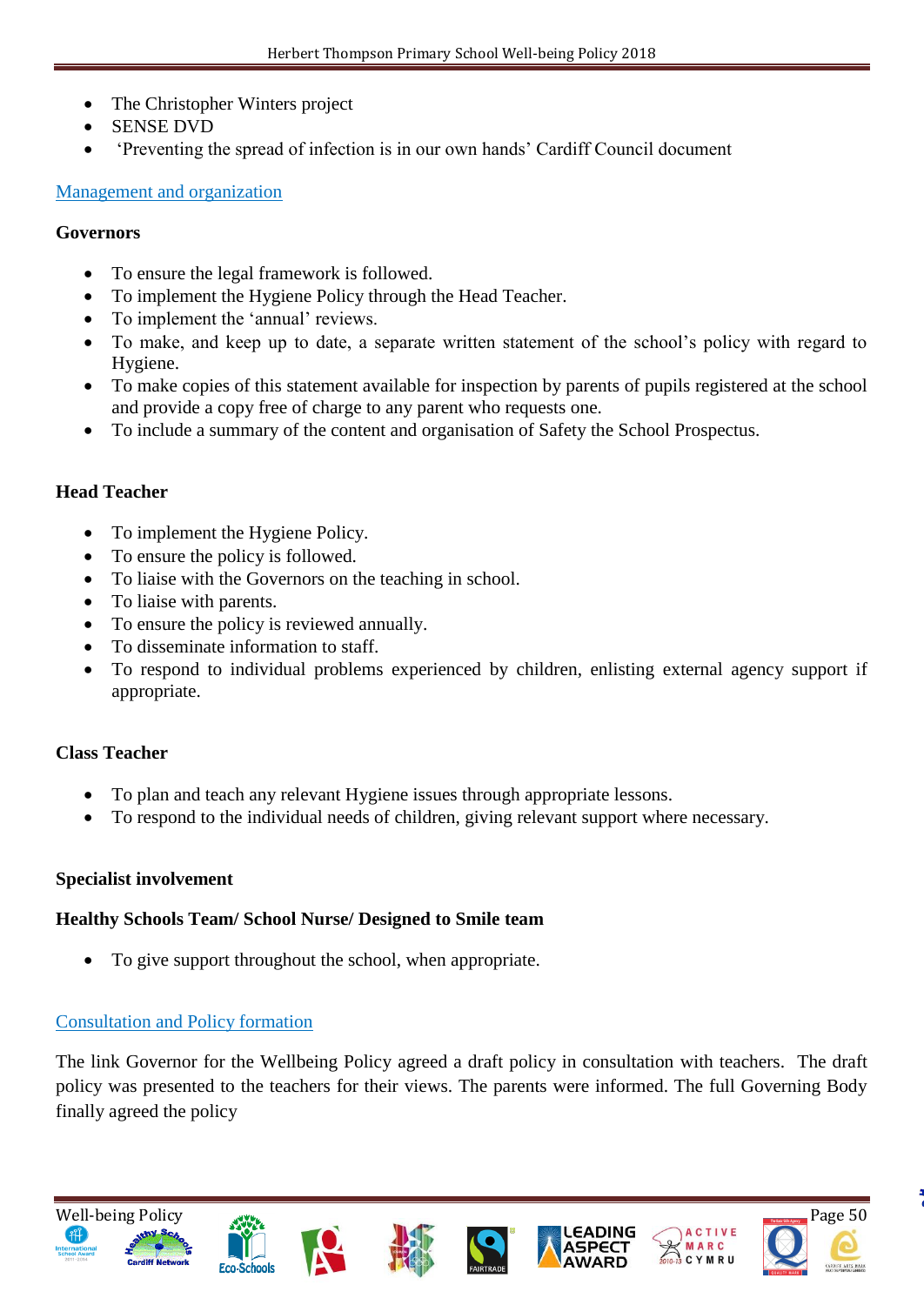- The Christopher Winters project
- SENSE DVD
- 'Preventing the spread of infection is in our own hands' Cardiff Council document

### Management and organization

#### **Governors**

- To ensure the legal framework is followed.
- To implement the Hygiene Policy through the Head Teacher.
- To implement the 'annual' reviews.
- To make, and keep up to date, a separate written statement of the school's policy with regard to Hygiene.
- To make copies of this statement available for inspection by parents of pupils registered at the school and provide a copy free of charge to any parent who requests one.
- To include a summary of the content and organisation of Safety the School Prospectus.

# **Head Teacher**

- To implement the Hygiene Policy.
- To ensure the policy is followed.
- To liaise with the Governors on the teaching in school.
- To liaise with parents.
- To ensure the policy is reviewed annually.
- To disseminate information to staff.
- To respond to individual problems experienced by children, enlisting external agency support if appropriate.

# **Class Teacher**

- To plan and teach any relevant Hygiene issues through appropriate lessons.
- To respond to the individual needs of children, giving relevant support where necessary.

# **Specialist involvement**

# **Healthy Schools Team/ School Nurse/ Designed to Smile team**

To give support throughout the school, when appropriate.

# Consultation and Policy formation

The link Governor for the Wellbeing Policy agreed a draft policy in consultation with teachers. The draft policy was presented to the teachers for their views. The parents were informed. The full Governing Body finally agreed the policy.